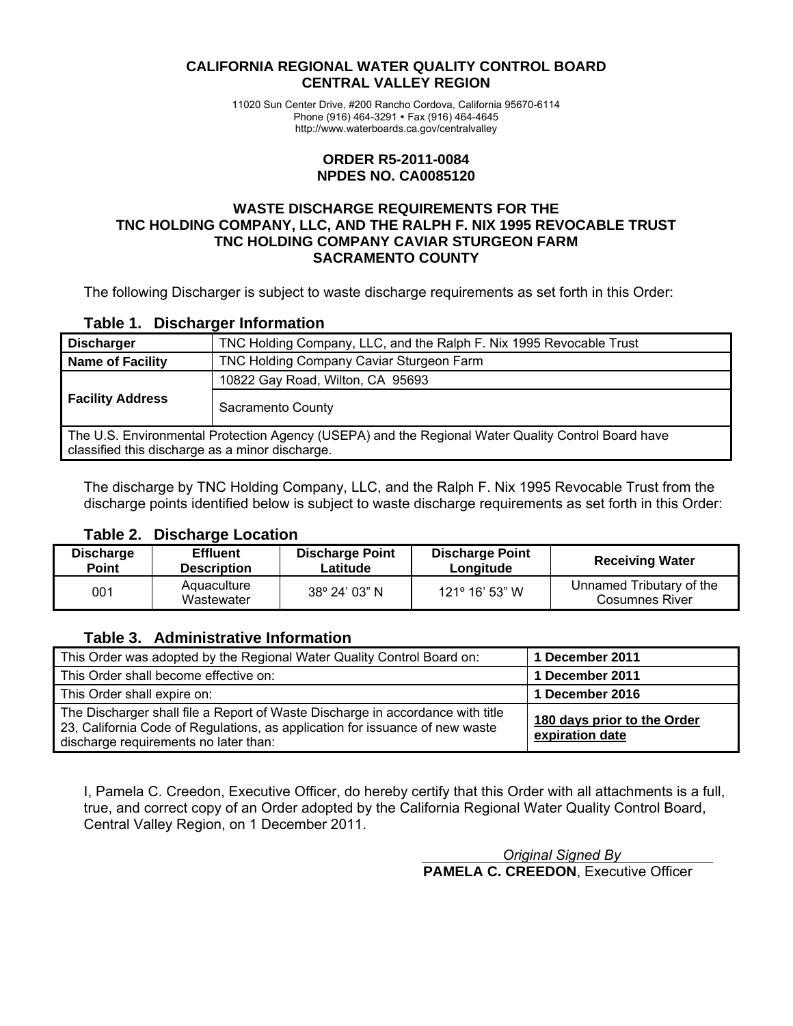#### **CALIFORNIA REGIONAL WATER QUALITY CONTROL BOARD CENTRAL VALLEY REGION**

11020 Sun Center Drive, #200 Rancho Cordova, California 95670-6114 Phone (916) 464-3291 • Fax (916) 464-4645 http://www.waterboards.ca.gov/centralvalley

#### **ORDER R5-2011-0084 NPDES NO. CA0085120**

#### **WASTE DISCHARGE REQUIREMENTS FOR THE TNC HOLDING COMPANY, LLC, AND THE RALPH F. NIX 1995 REVOCABLE TRUST TNC HOLDING COMPANY CAVIAR STURGEON FARM SACRAMENTO COUNTY**

The following Discharger is subject to waste discharge requirements as set forth in this Order:

#### **Table 1. Discharger Information**

| <b>Discharger</b>                                                                                                                                     | TNC Holding Company, LLC, and the Ralph F. Nix 1995 Revocable Trust |  |  |
|-------------------------------------------------------------------------------------------------------------------------------------------------------|---------------------------------------------------------------------|--|--|
| <b>Name of Facility</b>                                                                                                                               | TNC Holding Company Caviar Sturgeon Farm                            |  |  |
|                                                                                                                                                       | 10822 Gay Road, Wilton, CA 95693                                    |  |  |
| <b>Facility Address</b>                                                                                                                               | Sacramento County                                                   |  |  |
| The U.S. Environmental Protection Agency (USEPA) and the Regional Water Quality Control Board have<br>classified this discharge as a minor discharge. |                                                                     |  |  |

The discharge by TNC Holding Company, LLC, and the Ralph F. Nix 1995 Revocable Trust from the discharge points identified below is subject to waste discharge requirements as set forth in this Order:

#### **Table 2. Discharge Location**

| <b>Discharge</b> | <b>Effluent</b>           | <b>Discharge Point</b> | <b>Discharge Point</b> | <b>Receiving Water</b>                            |
|------------------|---------------------------|------------------------|------------------------|---------------------------------------------------|
| Point            | <b>Description</b>        | Latitude               | Longitude              |                                                   |
| 001              | Aquaculture<br>Wastewater | 38° 24' 03" N          | 121° 16' 53" W         | Unnamed Tributary of the<br><b>Cosumnes River</b> |

### **Table 3. Administrative Information**

| This Order was adopted by the Regional Water Quality Control Board on:                                                                                                                                  | 1 December 2011                                |
|---------------------------------------------------------------------------------------------------------------------------------------------------------------------------------------------------------|------------------------------------------------|
| This Order shall become effective on:                                                                                                                                                                   | 1 December 2011                                |
| This Order shall expire on:                                                                                                                                                                             | 1 December 2016                                |
| The Discharger shall file a Report of Waste Discharge in accordance with title<br>23, California Code of Regulations, as application for issuance of new waste<br>discharge requirements no later than: | 180 days prior to the Order<br>expiration date |

I, Pamela C. Creedon, Executive Officer, do hereby certify that this Order with all attachments is a full, true, and correct copy of an Order adopted by the California Regional Water Quality Control Board, Central Valley Region, on 1 December 2011.

> *Original Signed By*  **PAMELA C. CREEDON**, Executive Officer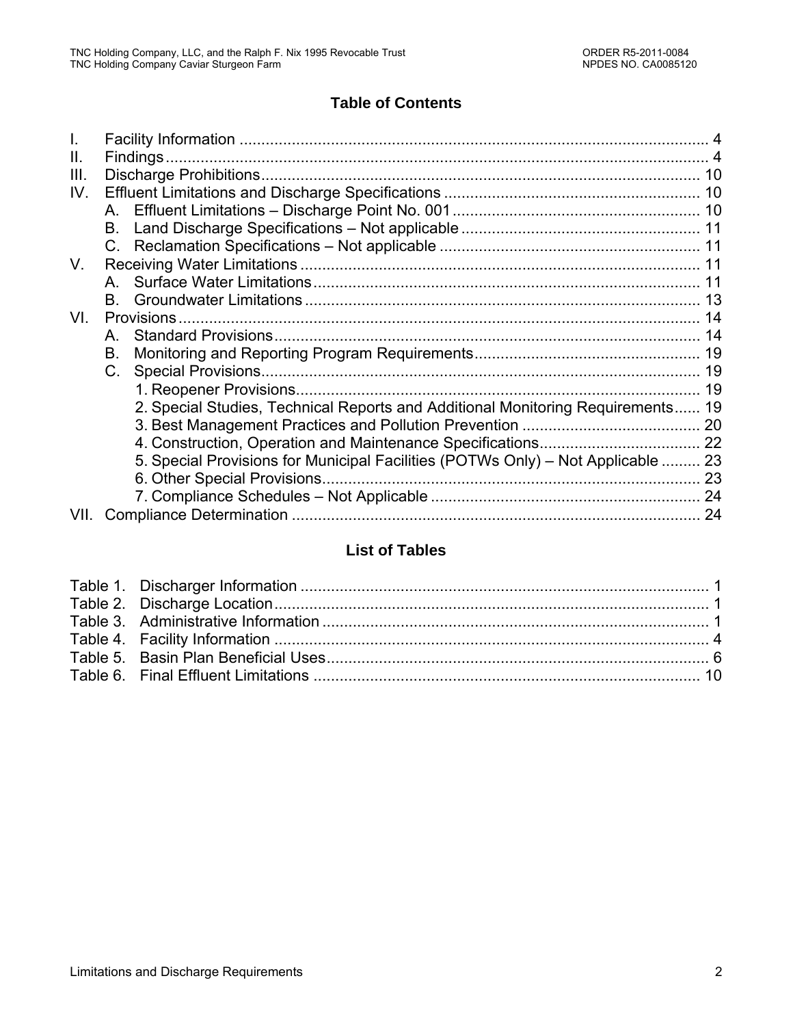# **Table of Contents**

| Ш.   |                                                                                  |    |
|------|----------------------------------------------------------------------------------|----|
| III. |                                                                                  |    |
| IV.  |                                                                                  |    |
|      |                                                                                  |    |
|      |                                                                                  |    |
|      |                                                                                  |    |
| V.   |                                                                                  |    |
|      |                                                                                  |    |
|      | B.                                                                               |    |
| VI.  |                                                                                  |    |
|      | A                                                                                |    |
|      | В.                                                                               |    |
|      |                                                                                  |    |
|      |                                                                                  | 19 |
|      | 2. Special Studies, Technical Reports and Additional Monitoring Requirements 19  |    |
|      |                                                                                  |    |
|      |                                                                                  |    |
|      | 5. Special Provisions for Municipal Facilities (POTWs Only) - Not Applicable  23 |    |
|      |                                                                                  |    |
|      |                                                                                  |    |
| VII. |                                                                                  |    |

# **List of Tables**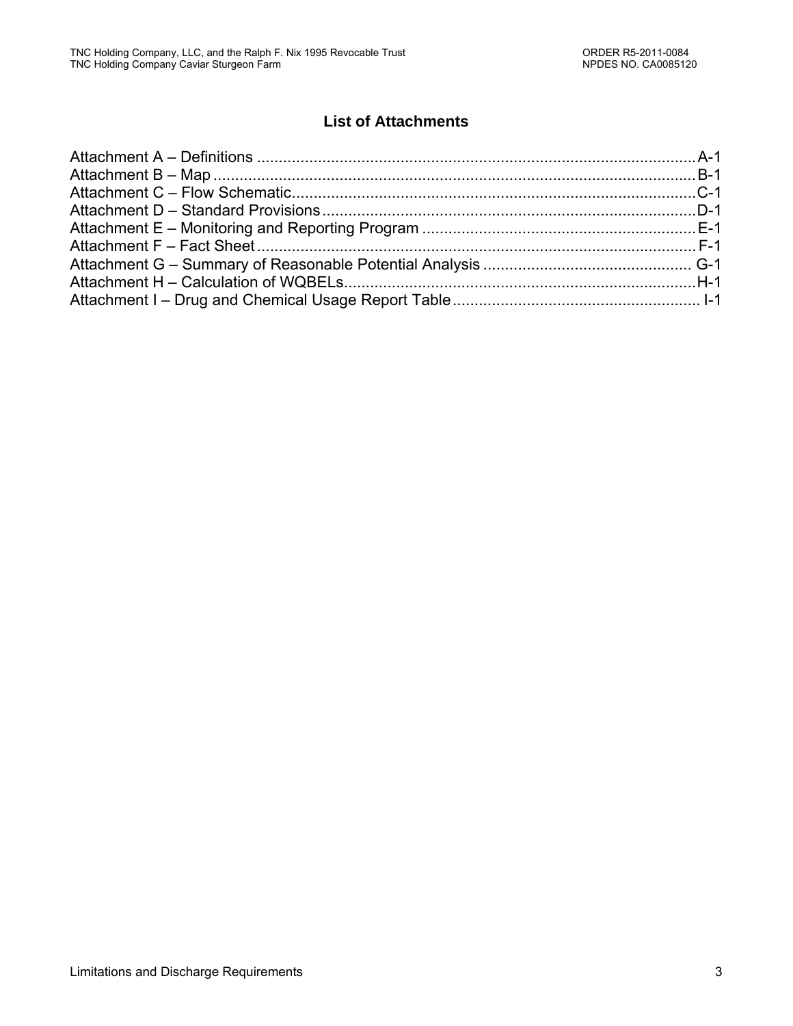# **List of Attachments**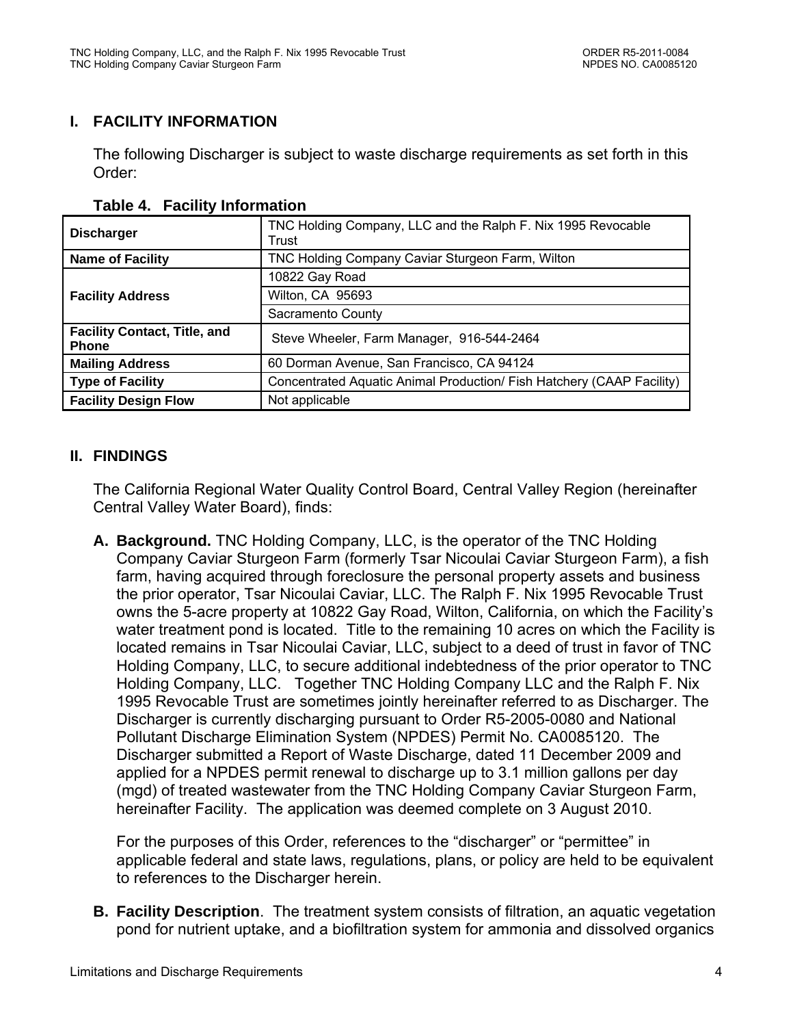# **I. FACILITY INFORMATION**

The following Discharger is subject to waste discharge requirements as set forth in this Order:

| <b>Discharger</b>                                   | TNC Holding Company, LLC and the Ralph F. Nix 1995 Revocable<br>Trust |  |
|-----------------------------------------------------|-----------------------------------------------------------------------|--|
| <b>Name of Facility</b>                             | TNC Holding Company Caviar Sturgeon Farm, Wilton                      |  |
|                                                     | 10822 Gay Road                                                        |  |
| <b>Facility Address</b>                             | Wilton, CA 95693                                                      |  |
|                                                     | Sacramento County                                                     |  |
| <b>Facility Contact, Title, and</b><br><b>Phone</b> | Steve Wheeler, Farm Manager, 916-544-2464                             |  |
| <b>Mailing Address</b>                              | 60 Dorman Avenue, San Francisco, CA 94124                             |  |
| <b>Type of Facility</b>                             | Concentrated Aquatic Animal Production/ Fish Hatchery (CAAP Facility) |  |
| <b>Facility Design Flow</b>                         | Not applicable                                                        |  |

#### **Table 4. Facility Information**

### **II. FINDINGS**

The California Regional Water Quality Control Board, Central Valley Region (hereinafter Central Valley Water Board), finds:

**A. Background.** TNC Holding Company, LLC, is the operator of the TNC Holding Company Caviar Sturgeon Farm (formerly Tsar Nicoulai Caviar Sturgeon Farm), a fish farm, having acquired through foreclosure the personal property assets and business the prior operator, Tsar Nicoulai Caviar, LLC. The Ralph F. Nix 1995 Revocable Trust owns the 5-acre property at 10822 Gay Road, Wilton, California, on which the Facility's water treatment pond is located. Title to the remaining 10 acres on which the Facility is located remains in Tsar Nicoulai Caviar, LLC, subject to a deed of trust in favor of TNC Holding Company, LLC, to secure additional indebtedness of the prior operator to TNC Holding Company, LLC. Together TNC Holding Company LLC and the Ralph F. Nix 1995 Revocable Trust are sometimes jointly hereinafter referred to as Discharger. The Discharger is currently discharging pursuant to Order R5-2005-0080 and National Pollutant Discharge Elimination System (NPDES) Permit No. CA0085120. The Discharger submitted a Report of Waste Discharge, dated 11 December 2009 and applied for a NPDES permit renewal to discharge up to 3.1 million gallons per day (mgd) of treated wastewater from the TNC Holding Company Caviar Sturgeon Farm, hereinafter Facility. The application was deemed complete on 3 August 2010.

For the purposes of this Order, references to the "discharger" or "permittee" in applicable federal and state laws, regulations, plans, or policy are held to be equivalent to references to the Discharger herein.

**B. Facility Description**. The treatment system consists of filtration, an aquatic vegetation pond for nutrient uptake, and a biofiltration system for ammonia and dissolved organics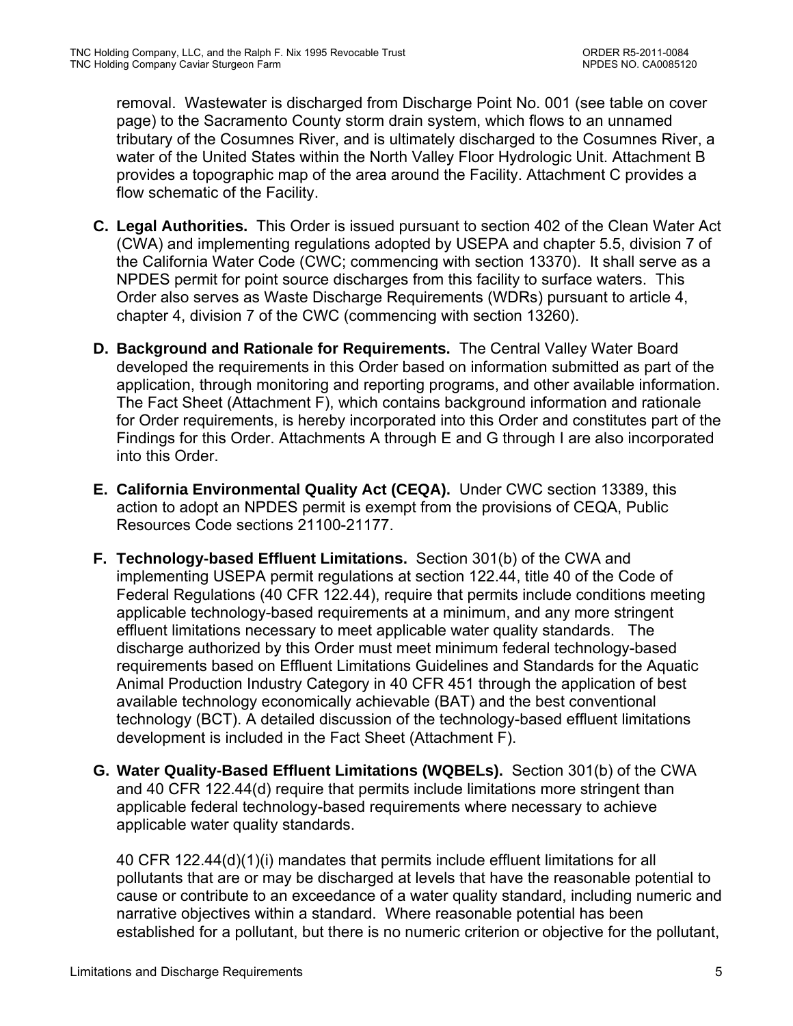removal. Wastewater is discharged from Discharge Point No. 001 (see table on cover page) to the Sacramento County storm drain system, which flows to an unnamed tributary of the Cosumnes River, and is ultimately discharged to the Cosumnes River, a water of the United States within the North Valley Floor Hydrologic Unit. Attachment B provides a topographic map of the area around the Facility. Attachment C provides a flow schematic of the Facility.

- **C. Legal Authorities.** This Order is issued pursuant to section 402 of the Clean Water Act (CWA) and implementing regulations adopted by USEPA and chapter 5.5, division 7 of the California Water Code (CWC; commencing with section 13370). It shall serve as a NPDES permit for point source discharges from this facility to surface waters. This Order also serves as Waste Discharge Requirements (WDRs) pursuant to article 4, chapter 4, division 7 of the CWC (commencing with section 13260).
- **D. Background and Rationale for Requirements.** The Central Valley Water Board developed the requirements in this Order based on information submitted as part of the application, through monitoring and reporting programs, and other available information. The Fact Sheet (Attachment F), which contains background information and rationale for Order requirements, is hereby incorporated into this Order and constitutes part of the Findings for this Order. Attachments A through E and G through I are also incorporated into this Order.
- **E. California Environmental Quality Act (CEQA).** Under CWC section 13389, this action to adopt an NPDES permit is exempt from the provisions of CEQA, Public Resources Code sections 21100-21177.
- **F. Technology-based Effluent Limitations.** Section 301(b) of the CWA and implementing USEPA permit regulations at section 122.44, title 40 of the Code of Federal Regulations (40 CFR 122.44), require that permits include conditions meeting applicable technology-based requirements at a minimum, and any more stringent effluent limitations necessary to meet applicable water quality standards. The discharge authorized by this Order must meet minimum federal technology-based requirements based on Effluent Limitations Guidelines and Standards for the Aquatic Animal Production Industry Category in 40 CFR 451 through the application of best available technology economically achievable (BAT) and the best conventional technology (BCT). A detailed discussion of the technology-based effluent limitations development is included in the Fact Sheet (Attachment F).
- **G. Water Quality-Based Effluent Limitations (WQBELs).** Section 301(b) of the CWA and 40 CFR 122.44(d) require that permits include limitations more stringent than applicable federal technology-based requirements where necessary to achieve applicable water quality standards.

40 CFR 122.44(d)(1)(i) mandates that permits include effluent limitations for all pollutants that are or may be discharged at levels that have the reasonable potential to cause or contribute to an exceedance of a water quality standard, including numeric and narrative objectives within a standard. Where reasonable potential has been established for a pollutant, but there is no numeric criterion or objective for the pollutant,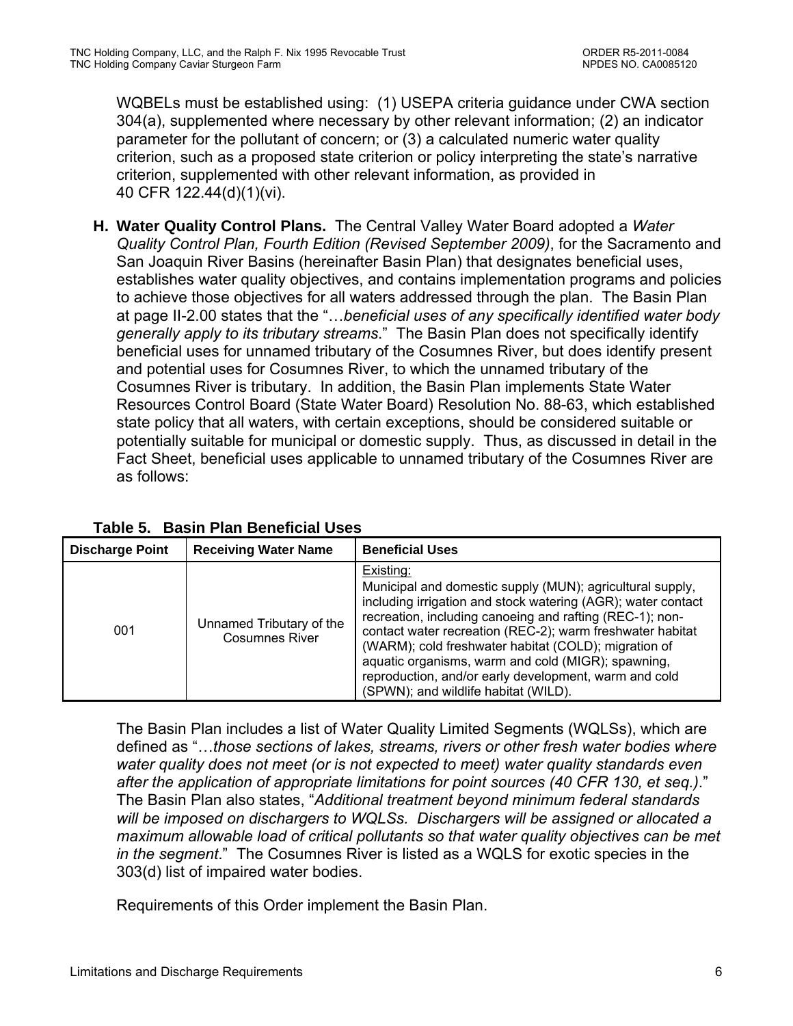WQBELs must be established using: (1) USEPA criteria guidance under CWA section 304(a), supplemented where necessary by other relevant information; (2) an indicator parameter for the pollutant of concern; or (3) a calculated numeric water quality criterion, such as a proposed state criterion or policy interpreting the state's narrative criterion, supplemented with other relevant information, as provided in 40 CFR 122.44(d)(1)(vi).

**H. Water Quality Control Plans.** The Central Valley Water Board adopted a *Water Quality Control Plan, Fourth Edition (Revised September 2009)*, for the Sacramento and San Joaquin River Basins (hereinafter Basin Plan) that designates beneficial uses, establishes water quality objectives, and contains implementation programs and policies to achieve those objectives for all waters addressed through the plan. The Basin Plan at page II-2.00 states that the "…*beneficial uses of any specifically identified water body generally apply to its tributary streams*." The Basin Plan does not specifically identify beneficial uses for unnamed tributary of the Cosumnes River, but does identify present and potential uses for Cosumnes River, to which the unnamed tributary of the Cosumnes River is tributary. In addition, the Basin Plan implements State Water Resources Control Board (State Water Board) Resolution No. 88-63, which established state policy that all waters, with certain exceptions, should be considered suitable or potentially suitable for municipal or domestic supply. Thus, as discussed in detail in the Fact Sheet, beneficial uses applicable to unnamed tributary of the Cosumnes River are as follows:

| <b>Discharge Point</b> | <b>Receiving Water Name</b>                       | <b>Beneficial Uses</b>                                                                                                                                                                                                                                                                                                                                                                                                                                                         |
|------------------------|---------------------------------------------------|--------------------------------------------------------------------------------------------------------------------------------------------------------------------------------------------------------------------------------------------------------------------------------------------------------------------------------------------------------------------------------------------------------------------------------------------------------------------------------|
| 001                    | Unnamed Tributary of the<br><b>Cosumnes River</b> | Existing:<br>Municipal and domestic supply (MUN); agricultural supply,<br>including irrigation and stock watering (AGR); water contact<br>recreation, including canoeing and rafting (REC-1); non-<br>contact water recreation (REC-2); warm freshwater habitat<br>(WARM); cold freshwater habitat (COLD); migration of<br>aquatic organisms, warm and cold (MIGR); spawning,<br>reproduction, and/or early development, warm and cold<br>(SPWN); and wildlife habitat (WILD). |

**Table 5. Basin Plan Beneficial Uses** 

The Basin Plan includes a list of Water Quality Limited Segments (WQLSs), which are defined as "…*those sections of lakes, streams, rivers or other fresh water bodies where water quality does not meet (or is not expected to meet) water quality standards even after the application of appropriate limitations for point sources (40 CFR 130, et seq.)*." The Basin Plan also states, "*Additional treatment beyond minimum federal standards will be imposed on dischargers to WQLSs. Dischargers will be assigned or allocated a maximum allowable load of critical pollutants so that water quality objectives can be met in the segment*." The Cosumnes River is listed as a WQLS for exotic species in the 303(d) list of impaired water bodies.

Requirements of this Order implement the Basin Plan.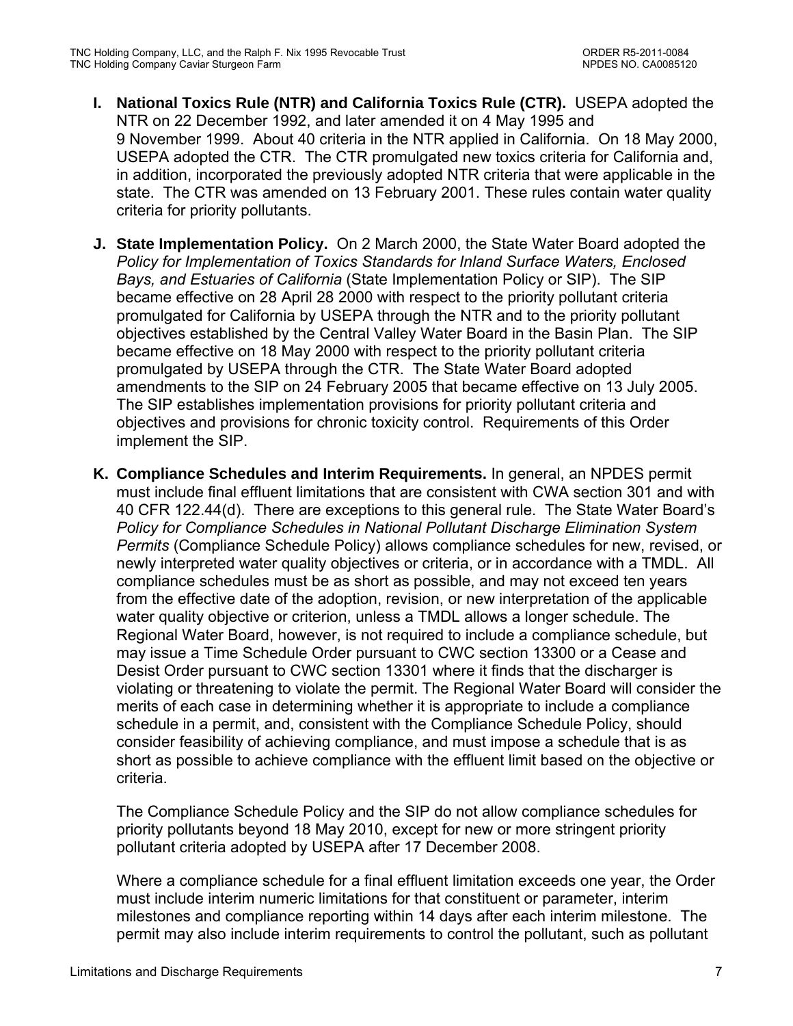- **I. National Toxics Rule (NTR) and California Toxics Rule (CTR).** USEPA adopted the NTR on 22 December 1992, and later amended it on 4 May 1995 and 9 November 1999. About 40 criteria in the NTR applied in California. On 18 May 2000, USEPA adopted the CTR. The CTR promulgated new toxics criteria for California and, in addition, incorporated the previously adopted NTR criteria that were applicable in the state. The CTR was amended on 13 February 2001. These rules contain water quality criteria for priority pollutants.
- **J. State Implementation Policy.** On 2 March 2000, the State Water Board adopted the *Policy for Implementation of Toxics Standards for Inland Surface Waters, Enclosed Bays, and Estuaries of California* (State Implementation Policy or SIP). The SIP became effective on 28 April 28 2000 with respect to the priority pollutant criteria promulgated for California by USEPA through the NTR and to the priority pollutant objectives established by the Central Valley Water Board in the Basin Plan. The SIP became effective on 18 May 2000 with respect to the priority pollutant criteria promulgated by USEPA through the CTR. The State Water Board adopted amendments to the SIP on 24 February 2005 that became effective on 13 July 2005. The SIP establishes implementation provisions for priority pollutant criteria and objectives and provisions for chronic toxicity control. Requirements of this Order implement the SIP.
- **K. Compliance Schedules and Interim Requirements.** In general, an NPDES permit must include final effluent limitations that are consistent with CWA section 301 and with 40 CFR 122.44(d). There are exceptions to this general rule. The State Water Board's *Policy for Compliance Schedules in National Pollutant Discharge Elimination System Permits* (Compliance Schedule Policy) allows compliance schedules for new, revised, or newly interpreted water quality objectives or criteria, or in accordance with a TMDL. All compliance schedules must be as short as possible, and may not exceed ten years from the effective date of the adoption, revision, or new interpretation of the applicable water quality objective or criterion, unless a TMDL allows a longer schedule. The Regional Water Board, however, is not required to include a compliance schedule, but may issue a Time Schedule Order pursuant to CWC section 13300 or a Cease and Desist Order pursuant to CWC section 13301 where it finds that the discharger is violating or threatening to violate the permit. The Regional Water Board will consider the merits of each case in determining whether it is appropriate to include a compliance schedule in a permit, and, consistent with the Compliance Schedule Policy, should consider feasibility of achieving compliance, and must impose a schedule that is as short as possible to achieve compliance with the effluent limit based on the objective or criteria.

The Compliance Schedule Policy and the SIP do not allow compliance schedules for priority pollutants beyond 18 May 2010, except for new or more stringent priority pollutant criteria adopted by USEPA after 17 December 2008.

Where a compliance schedule for a final effluent limitation exceeds one year, the Order must include interim numeric limitations for that constituent or parameter, interim milestones and compliance reporting within 14 days after each interim milestone. The permit may also include interim requirements to control the pollutant, such as pollutant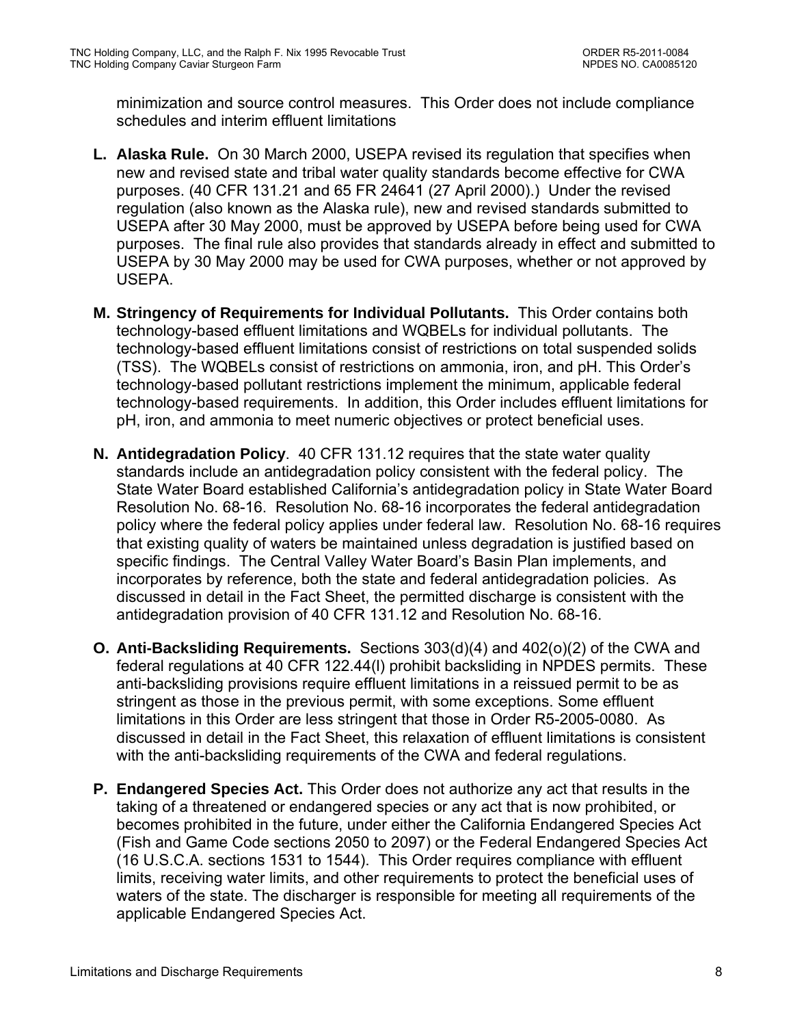minimization and source control measures. This Order does not include compliance schedules and interim effluent limitations

- **L. Alaska Rule.** On 30 March 2000, USEPA revised its regulation that specifies when new and revised state and tribal water quality standards become effective for CWA purposes. (40 CFR 131.21 and 65 FR 24641 (27 April 2000).) Under the revised regulation (also known as the Alaska rule), new and revised standards submitted to USEPA after 30 May 2000, must be approved by USEPA before being used for CWA purposes. The final rule also provides that standards already in effect and submitted to USEPA by 30 May 2000 may be used for CWA purposes, whether or not approved by USEPA.
- **M. Stringency of Requirements for Individual Pollutants.** This Order contains both technology-based effluent limitations and WQBELs for individual pollutants. The technology-based effluent limitations consist of restrictions on total suspended solids (TSS). The WQBELs consist of restrictions on ammonia, iron, and pH. This Order's technology-based pollutant restrictions implement the minimum, applicable federal technology-based requirements. In addition, this Order includes effluent limitations for pH, iron, and ammonia to meet numeric objectives or protect beneficial uses.
- **N. Antidegradation Policy**. 40 CFR 131.12 requires that the state water quality standards include an antidegradation policy consistent with the federal policy. The State Water Board established California's antidegradation policy in State Water Board Resolution No. 68-16. Resolution No. 68-16 incorporates the federal antidegradation policy where the federal policy applies under federal law. Resolution No. 68-16 requires that existing quality of waters be maintained unless degradation is justified based on specific findings. The Central Valley Water Board's Basin Plan implements, and incorporates by reference, both the state and federal antidegradation policies. As discussed in detail in the Fact Sheet, the permitted discharge is consistent with the antidegradation provision of 40 CFR 131.12 and Resolution No. 68-16.
- **O. Anti-Backsliding Requirements.** Sections 303(d)(4) and 402(o)(2) of the CWA and federal regulations at 40 CFR 122.44(l) prohibit backsliding in NPDES permits. These anti-backsliding provisions require effluent limitations in a reissued permit to be as stringent as those in the previous permit, with some exceptions. Some effluent limitations in this Order are less stringent that those in Order R5-2005-0080. As discussed in detail in the Fact Sheet, this relaxation of effluent limitations is consistent with the anti-backsliding requirements of the CWA and federal regulations.
- **P. Endangered Species Act.** This Order does not authorize any act that results in the taking of a threatened or endangered species or any act that is now prohibited, or becomes prohibited in the future, under either the California Endangered Species Act (Fish and Game Code sections 2050 to 2097) or the Federal Endangered Species Act (16 U.S.C.A. sections 1531 to 1544). This Order requires compliance with effluent limits, receiving water limits, and other requirements to protect the beneficial uses of waters of the state. The discharger is responsible for meeting all requirements of the applicable Endangered Species Act.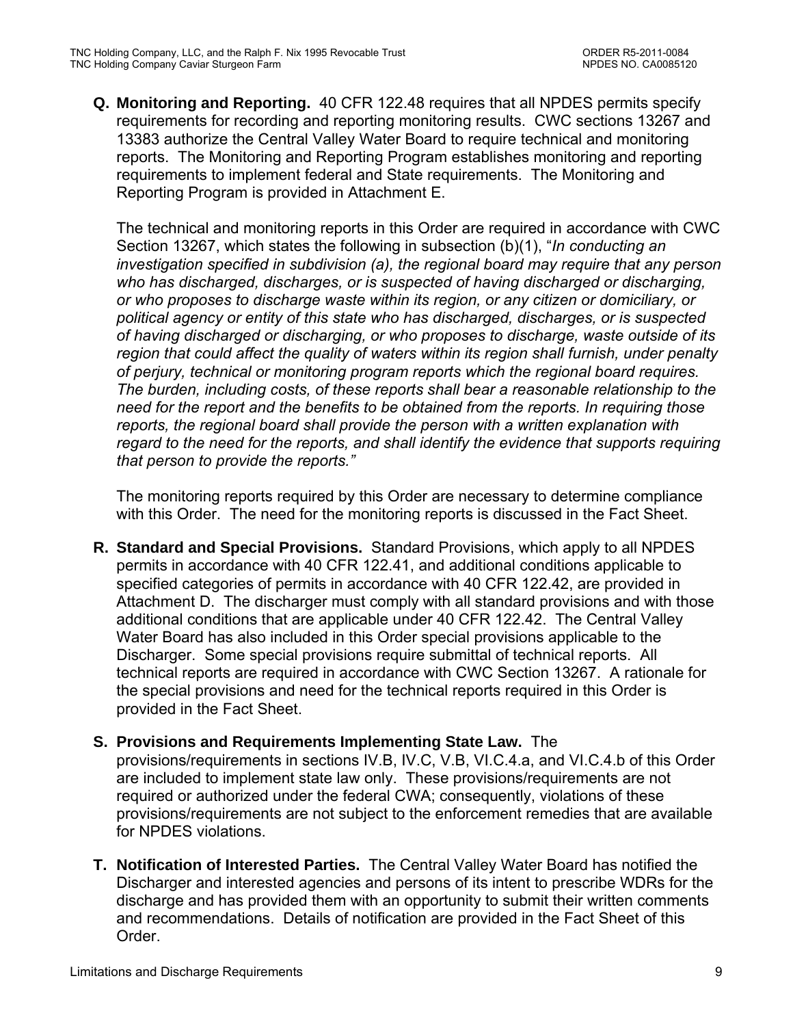**Q. Monitoring and Reporting.** 40 CFR 122.48 requires that all NPDES permits specify requirements for recording and reporting monitoring results. CWC sections 13267 and 13383 authorize the Central Valley Water Board to require technical and monitoring reports. The Monitoring and Reporting Program establishes monitoring and reporting requirements to implement federal and State requirements. The Monitoring and Reporting Program is provided in Attachment E.

The technical and monitoring reports in this Order are required in accordance with CWC Section 13267, which states the following in subsection (b)(1), "*In conducting an investigation specified in subdivision (a), the regional board may require that any person who has discharged, discharges, or is suspected of having discharged or discharging, or who proposes to discharge waste within its region, or any citizen or domiciliary, or political agency or entity of this state who has discharged, discharges, or is suspected of having discharged or discharging, or who proposes to discharge, waste outside of its region that could affect the quality of waters within its region shall furnish, under penalty of perjury, technical or monitoring program reports which the regional board requires. The burden, including costs, of these reports shall bear a reasonable relationship to the need for the report and the benefits to be obtained from the reports. In requiring those reports, the regional board shall provide the person with a written explanation with regard to the need for the reports, and shall identify the evidence that supports requiring that person to provide the reports."*

The monitoring reports required by this Order are necessary to determine compliance with this Order. The need for the monitoring reports is discussed in the Fact Sheet.

- **R. Standard and Special Provisions.** Standard Provisions, which apply to all NPDES permits in accordance with 40 CFR 122.41, and additional conditions applicable to specified categories of permits in accordance with 40 CFR 122.42, are provided in Attachment D. The discharger must comply with all standard provisions and with those additional conditions that are applicable under 40 CFR 122.42. The Central Valley Water Board has also included in this Order special provisions applicable to the Discharger. Some special provisions require submittal of technical reports. All technical reports are required in accordance with CWC Section 13267. A rationale for the special provisions and need for the technical reports required in this Order is provided in the Fact Sheet.
- **S. Provisions and Requirements Implementing State Law.** The provisions/requirements in sections IV.B, IV.C, V.B, VI.C.4.a, and VI.C.4.b of this Order are included to implement state law only. These provisions/requirements are not required or authorized under the federal CWA; consequently, violations of these provisions/requirements are not subject to the enforcement remedies that are available for NPDES violations.
- **T. Notification of Interested Parties.** The Central Valley Water Board has notified the Discharger and interested agencies and persons of its intent to prescribe WDRs for the discharge and has provided them with an opportunity to submit their written comments and recommendations. Details of notification are provided in the Fact Sheet of this Order.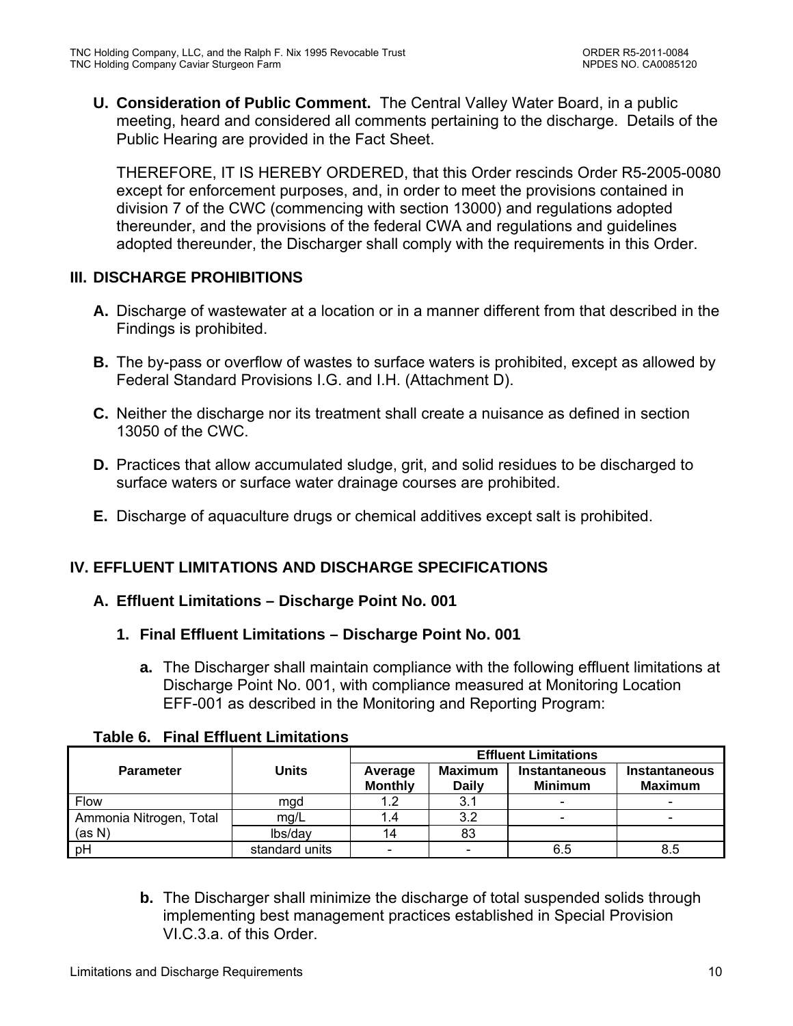**U. Consideration of Public Comment.** The Central Valley Water Board, in a public meeting, heard and considered all comments pertaining to the discharge. Details of the Public Hearing are provided in the Fact Sheet.

THEREFORE, IT IS HEREBY ORDERED, that this Order rescinds Order R5-2005-0080 except for enforcement purposes, and, in order to meet the provisions contained in division 7 of the CWC (commencing with section 13000) and regulations adopted thereunder, and the provisions of the federal CWA and regulations and guidelines adopted thereunder, the Discharger shall comply with the requirements in this Order.

# **III. DISCHARGE PROHIBITIONS**

- **A.** Discharge of wastewater at a location or in a manner different from that described in the Findings is prohibited.
- **B.** The by-pass or overflow of wastes to surface waters is prohibited, except as allowed by Federal Standard Provisions I.G. and I.H. (Attachment D).
- **C.** Neither the discharge nor its treatment shall create a nuisance as defined in section 13050 of the CWC.
- **D.** Practices that allow accumulated sludge, grit, and solid residues to be discharged to surface waters or surface water drainage courses are prohibited.
- **E.** Discharge of aquaculture drugs or chemical additives except salt is prohibited.

# **IV. EFFLUENT LIMITATIONS AND DISCHARGE SPECIFICATIONS**

# **A. Effluent Limitations – Discharge Point No. 001**

### **1. Final Effluent Limitations – Discharge Point No. 001**

**a.** The Discharger shall maintain compliance with the following effluent limitations at Discharge Point No. 001, with compliance measured at Monitoring Location EFF-001 as described in the Monitoring and Reporting Program:

|                         |                |                           | <b>Effluent Limitations</b>    |                                        |                                        |  |
|-------------------------|----------------|---------------------------|--------------------------------|----------------------------------------|----------------------------------------|--|
| <b>Parameter</b>        | <b>Units</b>   | Average<br><b>Monthly</b> | <b>Maximum</b><br><b>Daily</b> | <b>Instantaneous</b><br><b>Minimum</b> | <b>Instantaneous</b><br><b>Maximum</b> |  |
| <b>Flow</b>             | mgd            |                           | 3.1                            | $\overline{\phantom{a}}$               |                                        |  |
| Ammonia Nitrogen, Total | mg/L           |                           | 3.2                            | $\overline{\phantom{a}}$               |                                        |  |
| (as N)                  | lbs/day        | 14                        | 83                             |                                        |                                        |  |
| pH                      | standard units |                           |                                | 6.5                                    | 8.5                                    |  |

### **Table 6. Final Effluent Limitations**

**b.** The Discharger shall minimize the discharge of total suspended solids through implementing best management practices established in Special Provision VI.C.3.a. of this Order.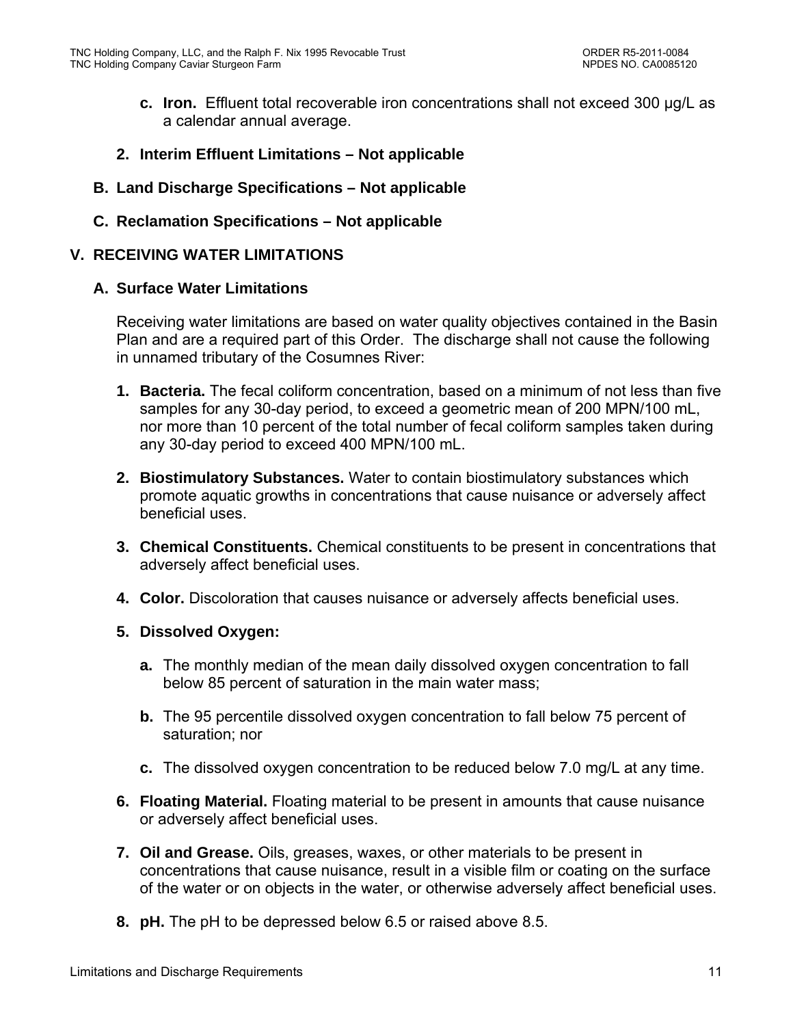- **c. Iron.** Effluent total recoverable iron concentrations shall not exceed 300 µg/L as a calendar annual average.
- **2. Interim Effluent Limitations Not applicable**
- **B. Land Discharge Specifications Not applicable**
- **C. Reclamation Specifications Not applicable**

### **V. RECEIVING WATER LIMITATIONS**

### **A. Surface Water Limitations**

Receiving water limitations are based on water quality objectives contained in the Basin Plan and are a required part of this Order. The discharge shall not cause the following in unnamed tributary of the Cosumnes River:

- **1. Bacteria.** The fecal coliform concentration, based on a minimum of not less than five samples for any 30-day period, to exceed a geometric mean of 200 MPN/100 mL, nor more than 10 percent of the total number of fecal coliform samples taken during any 30-day period to exceed 400 MPN/100 mL.
- **2. Biostimulatory Substances.** Water to contain biostimulatory substances which promote aquatic growths in concentrations that cause nuisance or adversely affect beneficial uses.
- **3. Chemical Constituents.** Chemical constituents to be present in concentrations that adversely affect beneficial uses.
- **4. Color.** Discoloration that causes nuisance or adversely affects beneficial uses.
- **5. Dissolved Oxygen:** 
	- **a.** The monthly median of the mean daily dissolved oxygen concentration to fall below 85 percent of saturation in the main water mass;
	- **b.** The 95 percentile dissolved oxygen concentration to fall below 75 percent of saturation; nor
	- **c.** The dissolved oxygen concentration to be reduced below 7.0 mg/L at any time.
- **6. Floating Material.** Floating material to be present in amounts that cause nuisance or adversely affect beneficial uses.
- **7. Oil and Grease.** Oils, greases, waxes, or other materials to be present in concentrations that cause nuisance, result in a visible film or coating on the surface of the water or on objects in the water, or otherwise adversely affect beneficial uses.
- **8. pH.** The pH to be depressed below 6.5 or raised above 8.5.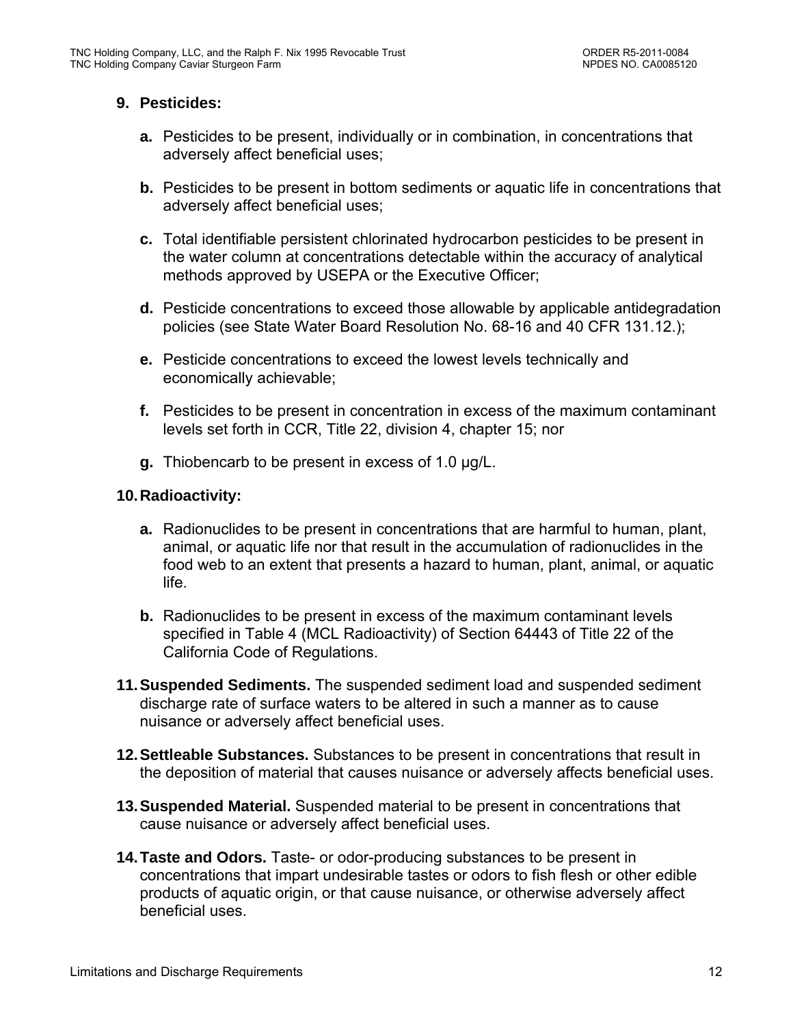# **9. Pesticides:**

- **a.** Pesticides to be present, individually or in combination, in concentrations that adversely affect beneficial uses;
- **b.** Pesticides to be present in bottom sediments or aquatic life in concentrations that adversely affect beneficial uses;
- **c.** Total identifiable persistent chlorinated hydrocarbon pesticides to be present in the water column at concentrations detectable within the accuracy of analytical methods approved by USEPA or the Executive Officer;
- **d.** Pesticide concentrations to exceed those allowable by applicable antidegradation policies (see State Water Board Resolution No. 68-16 and 40 CFR 131.12.);
- **e.** Pesticide concentrations to exceed the lowest levels technically and economically achievable;
- **f.** Pesticides to be present in concentration in excess of the maximum contaminant levels set forth in CCR, Title 22, division 4, chapter 15; nor
- **g.** Thiobencarb to be present in excess of 1.0 µg/L.

### **10. Radioactivity:**

- **a.** Radionuclides to be present in concentrations that are harmful to human, plant, animal, or aquatic life nor that result in the accumulation of radionuclides in the food web to an extent that presents a hazard to human, plant, animal, or aquatic life.
- **b.** Radionuclides to be present in excess of the maximum contaminant levels specified in Table 4 (MCL Radioactivity) of Section 64443 of Title 22 of the California Code of Regulations.
- **11. Suspended Sediments.** The suspended sediment load and suspended sediment discharge rate of surface waters to be altered in such a manner as to cause nuisance or adversely affect beneficial uses.
- **12. Settleable Substances.** Substances to be present in concentrations that result in the deposition of material that causes nuisance or adversely affects beneficial uses.
- **13. Suspended Material.** Suspended material to be present in concentrations that cause nuisance or adversely affect beneficial uses.
- **14. Taste and Odors.** Taste- or odor-producing substances to be present in concentrations that impart undesirable tastes or odors to fish flesh or other edible products of aquatic origin, or that cause nuisance, or otherwise adversely affect beneficial uses.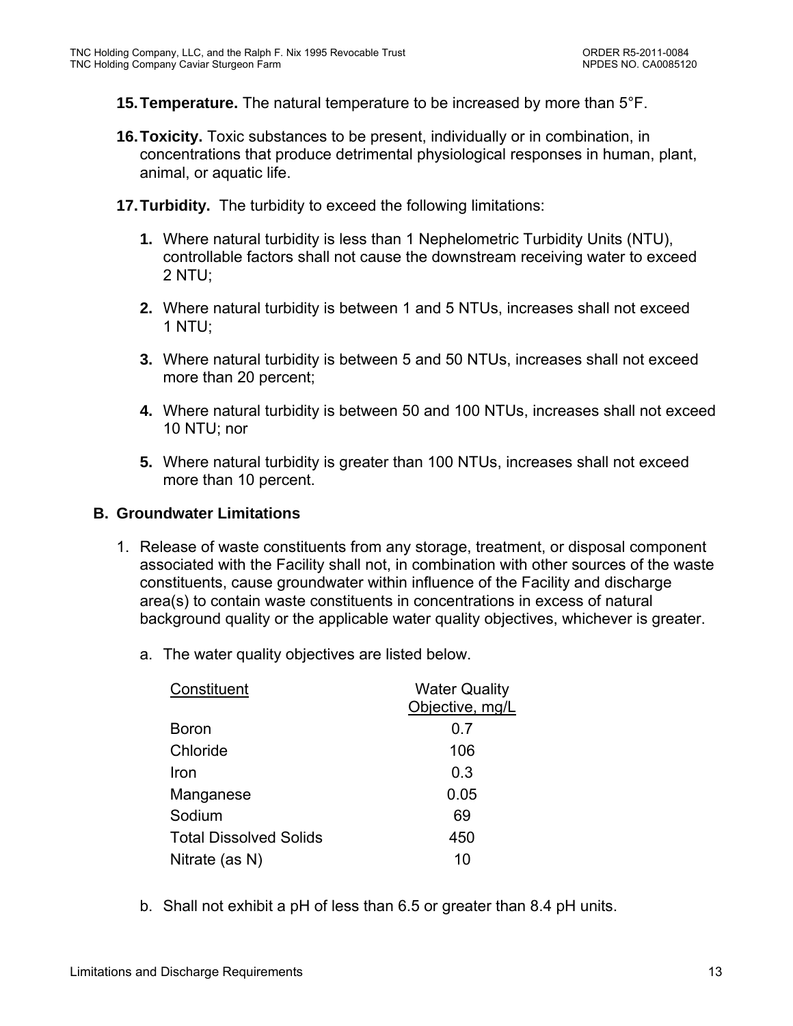**15. Temperature.** The natural temperature to be increased by more than 5°F.

- **16. Toxicity.** Toxic substances to be present, individually or in combination, in concentrations that produce detrimental physiological responses in human, plant, animal, or aquatic life.
- **17. Turbidity.** The turbidity to exceed the following limitations:
	- **1.** Where natural turbidity is less than 1 Nephelometric Turbidity Units (NTU), controllable factors shall not cause the downstream receiving water to exceed 2 NTU;
	- **2.** Where natural turbidity is between 1 and 5 NTUs, increases shall not exceed 1 NTU;
	- **3.** Where natural turbidity is between 5 and 50 NTUs, increases shall not exceed more than 20 percent;
	- **4.** Where natural turbidity is between 50 and 100 NTUs, increases shall not exceed 10 NTU; nor
	- **5.** Where natural turbidity is greater than 100 NTUs, increases shall not exceed more than 10 percent.

# **B. Groundwater Limitations**

- 1. Release of waste constituents from any storage, treatment, or disposal component associated with the Facility shall not, in combination with other sources of the waste constituents, cause groundwater within influence of the Facility and discharge area(s) to contain waste constituents in concentrations in excess of natural background quality or the applicable water quality objectives, whichever is greater.
	- a. The water quality objectives are listed below.

| Constituent                   | <b>Water Quality</b> |  |  |
|-------------------------------|----------------------|--|--|
|                               | Objective, mg/L      |  |  |
| Boron                         | 0.7                  |  |  |
| Chloride                      | 106                  |  |  |
| Iron                          | 0.3                  |  |  |
| Manganese                     | 0.05                 |  |  |
| Sodium                        | 69                   |  |  |
| <b>Total Dissolved Solids</b> | 450                  |  |  |
| Nitrate (as N)                | 10                   |  |  |

b. Shall not exhibit a pH of less than 6.5 or greater than 8.4 pH units.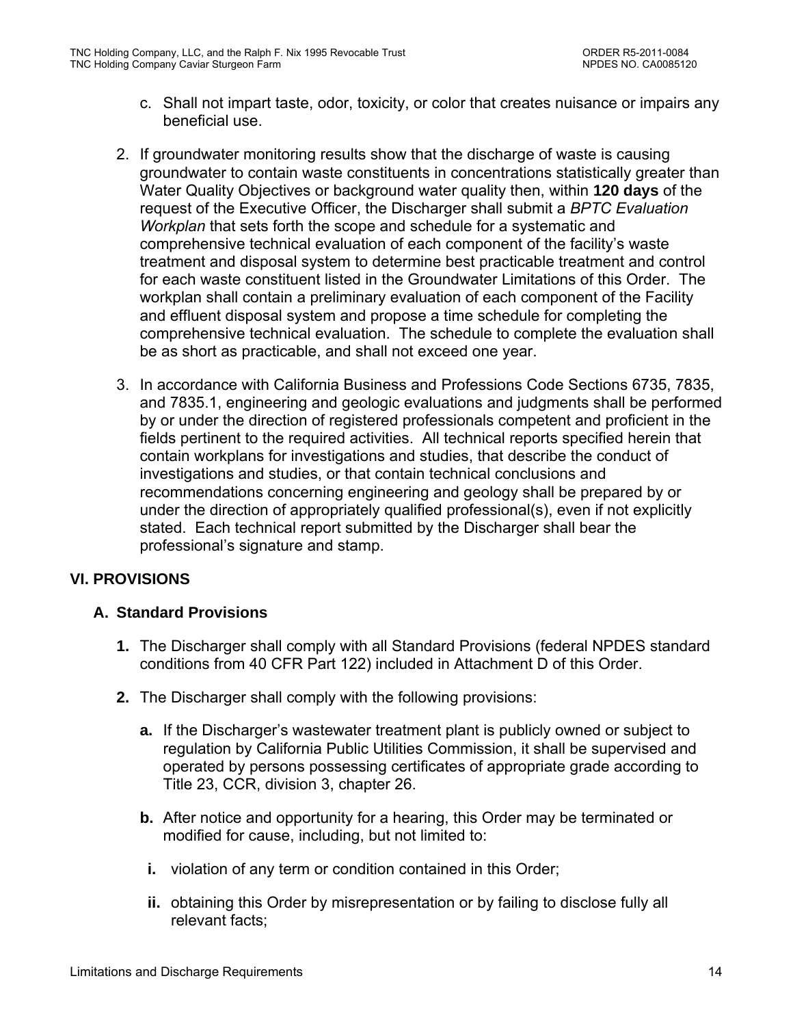- c. Shall not impart taste, odor, toxicity, or color that creates nuisance or impairs any beneficial use.
- 2. If groundwater monitoring results show that the discharge of waste is causing groundwater to contain waste constituents in concentrations statistically greater than Water Quality Objectives or background water quality then, within **120 days** of the request of the Executive Officer, the Discharger shall submit a *BPTC Evaluation Workplan* that sets forth the scope and schedule for a systematic and comprehensive technical evaluation of each component of the facility's waste treatment and disposal system to determine best practicable treatment and control for each waste constituent listed in the Groundwater Limitations of this Order. The workplan shall contain a preliminary evaluation of each component of the Facility and effluent disposal system and propose a time schedule for completing the comprehensive technical evaluation. The schedule to complete the evaluation shall be as short as practicable, and shall not exceed one year.
- 3. In accordance with California Business and Professions Code Sections 6735, 7835, and 7835.1, engineering and geologic evaluations and judgments shall be performed by or under the direction of registered professionals competent and proficient in the fields pertinent to the required activities. All technical reports specified herein that contain workplans for investigations and studies, that describe the conduct of investigations and studies, or that contain technical conclusions and recommendations concerning engineering and geology shall be prepared by or under the direction of appropriately qualified professional(s), even if not explicitly stated. Each technical report submitted by the Discharger shall bear the professional's signature and stamp.

# **VI. PROVISIONS**

# **A. Standard Provisions**

- **1.** The Discharger shall comply with all Standard Provisions (federal NPDES standard conditions from 40 CFR Part 122) included in Attachment D of this Order.
- **2.** The Discharger shall comply with the following provisions:
	- **a.** If the Discharger's wastewater treatment plant is publicly owned or subject to regulation by California Public Utilities Commission, it shall be supervised and operated by persons possessing certificates of appropriate grade according to Title 23, CCR, division 3, chapter 26.
	- **b.** After notice and opportunity for a hearing, this Order may be terminated or modified for cause, including, but not limited to:
	- **i.** violation of any term or condition contained in this Order;
	- **ii.** obtaining this Order by misrepresentation or by failing to disclose fully all relevant facts;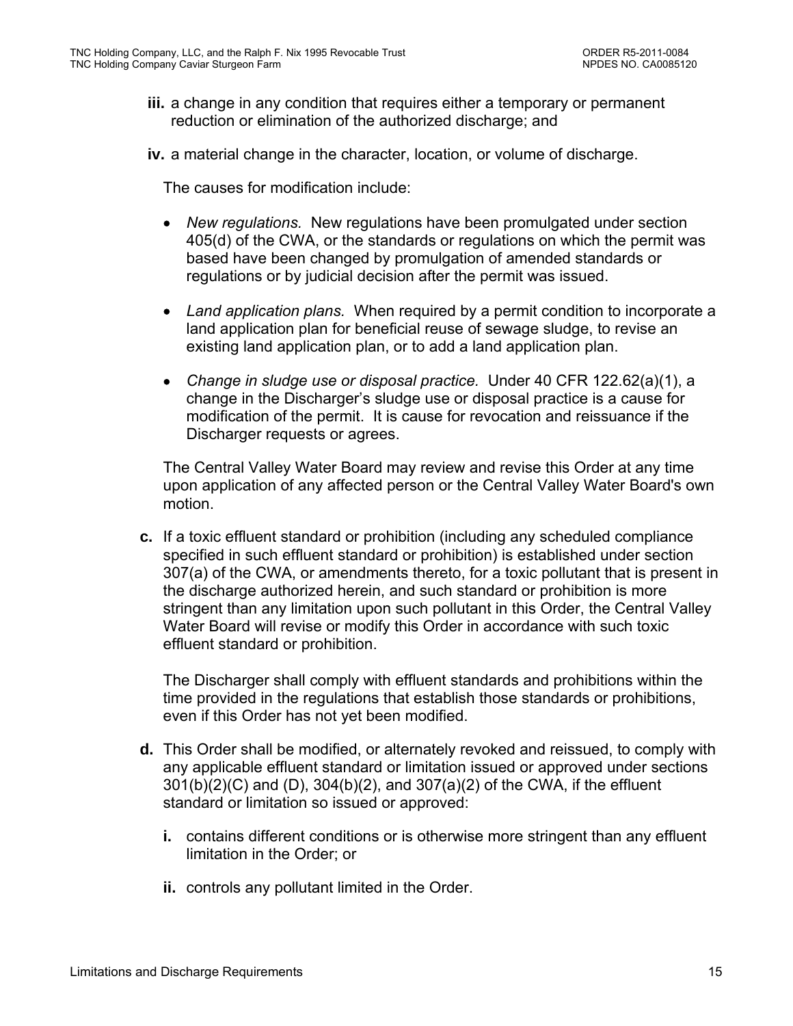- **iii.** a change in any condition that requires either a temporary or permanent reduction or elimination of the authorized discharge; and
- **iv.** a material change in the character, location, or volume of discharge.

The causes for modification include:

- *New regulations.* New regulations have been promulgated under section 405(d) of the CWA, or the standards or regulations on which the permit was based have been changed by promulgation of amended standards or regulations or by judicial decision after the permit was issued.
- *Land application plans.* When required by a permit condition to incorporate a land application plan for beneficial reuse of sewage sludge, to revise an existing land application plan, or to add a land application plan.
- *Change in sludge use or disposal practice.* Under 40 CFR 122.62(a)(1), a change in the Discharger's sludge use or disposal practice is a cause for modification of the permit. It is cause for revocation and reissuance if the Discharger requests or agrees.

The Central Valley Water Board may review and revise this Order at any time upon application of any affected person or the Central Valley Water Board's own motion.

**c.** If a toxic effluent standard or prohibition (including any scheduled compliance specified in such effluent standard or prohibition) is established under section 307(a) of the CWA, or amendments thereto, for a toxic pollutant that is present in the discharge authorized herein, and such standard or prohibition is more stringent than any limitation upon such pollutant in this Order, the Central Valley Water Board will revise or modify this Order in accordance with such toxic effluent standard or prohibition.

The Discharger shall comply with effluent standards and prohibitions within the time provided in the regulations that establish those standards or prohibitions, even if this Order has not yet been modified.

- **d.** This Order shall be modified, or alternately revoked and reissued, to comply with any applicable effluent standard or limitation issued or approved under sections 301(b)(2)(C) and (D), 304(b)(2), and 307(a)(2) of the CWA, if the effluent standard or limitation so issued or approved:
	- **i.** contains different conditions or is otherwise more stringent than any effluent limitation in the Order; or
	- **ii.** controls any pollutant limited in the Order.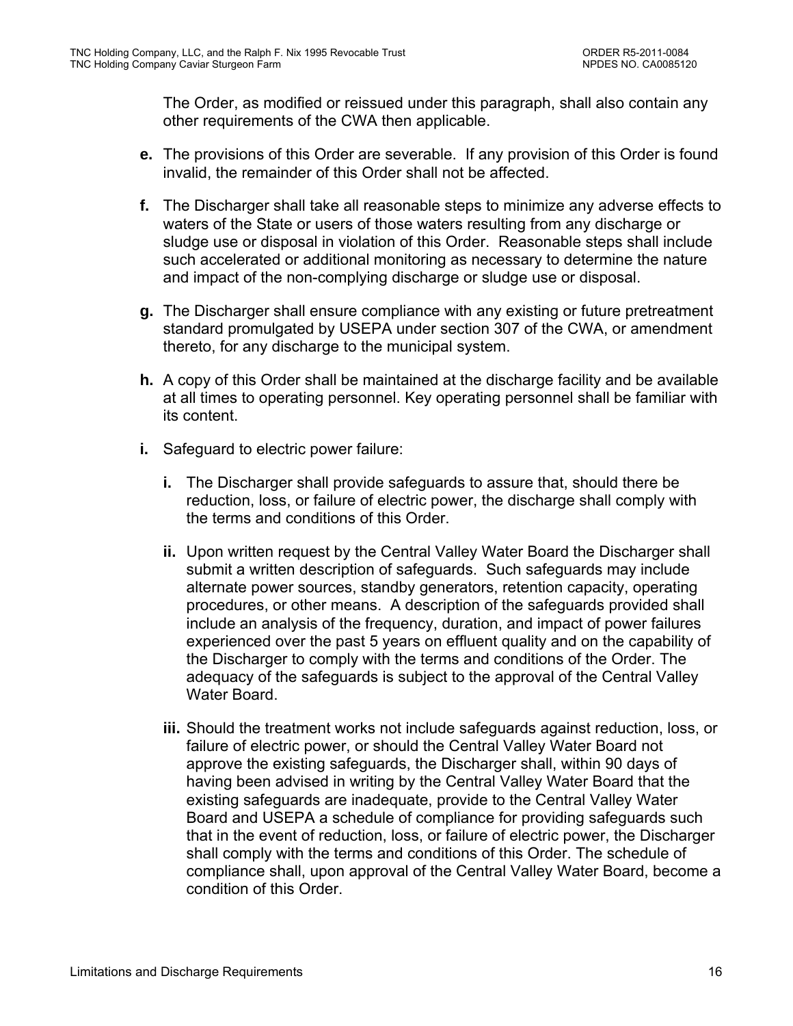The Order, as modified or reissued under this paragraph, shall also contain any other requirements of the CWA then applicable.

- **e.** The provisions of this Order are severable. If any provision of this Order is found invalid, the remainder of this Order shall not be affected.
- **f.** The Discharger shall take all reasonable steps to minimize any adverse effects to waters of the State or users of those waters resulting from any discharge or sludge use or disposal in violation of this Order. Reasonable steps shall include such accelerated or additional monitoring as necessary to determine the nature and impact of the non-complying discharge or sludge use or disposal.
- **g.** The Discharger shall ensure compliance with any existing or future pretreatment standard promulgated by USEPA under section 307 of the CWA, or amendment thereto, for any discharge to the municipal system.
- **h.** A copy of this Order shall be maintained at the discharge facility and be available at all times to operating personnel. Key operating personnel shall be familiar with its content.
- **i.** Safeguard to electric power failure:
	- **i.** The Discharger shall provide safeguards to assure that, should there be reduction, loss, or failure of electric power, the discharge shall comply with the terms and conditions of this Order.
	- **ii.** Upon written request by the Central Valley Water Board the Discharger shall submit a written description of safeguards. Such safeguards may include alternate power sources, standby generators, retention capacity, operating procedures, or other means. A description of the safeguards provided shall include an analysis of the frequency, duration, and impact of power failures experienced over the past 5 years on effluent quality and on the capability of the Discharger to comply with the terms and conditions of the Order. The adequacy of the safeguards is subject to the approval of the Central Valley Water Board.
	- **iii.** Should the treatment works not include safeguards against reduction, loss, or failure of electric power, or should the Central Valley Water Board not approve the existing safeguards, the Discharger shall, within 90 days of having been advised in writing by the Central Valley Water Board that the existing safeguards are inadequate, provide to the Central Valley Water Board and USEPA a schedule of compliance for providing safeguards such that in the event of reduction, loss, or failure of electric power, the Discharger shall comply with the terms and conditions of this Order. The schedule of compliance shall, upon approval of the Central Valley Water Board, become a condition of this Order.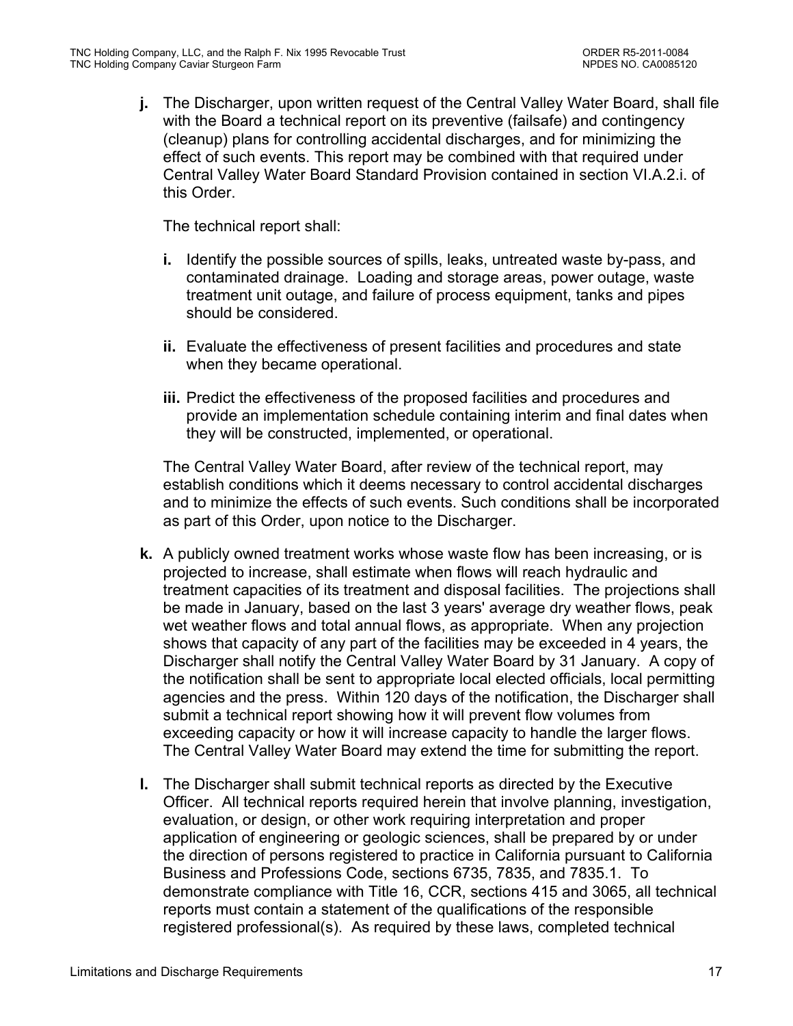**j.** The Discharger, upon written request of the Central Valley Water Board, shall file with the Board a technical report on its preventive (failsafe) and contingency (cleanup) plans for controlling accidental discharges, and for minimizing the effect of such events. This report may be combined with that required under Central Valley Water Board Standard Provision contained in section VI.A.2.i. of this Order.

The technical report shall:

- **i.** Identify the possible sources of spills, leaks, untreated waste by-pass, and contaminated drainage. Loading and storage areas, power outage, waste treatment unit outage, and failure of process equipment, tanks and pipes should be considered.
- **ii.** Evaluate the effectiveness of present facilities and procedures and state when they became operational.
- **iii.** Predict the effectiveness of the proposed facilities and procedures and provide an implementation schedule containing interim and final dates when they will be constructed, implemented, or operational.

The Central Valley Water Board, after review of the technical report, may establish conditions which it deems necessary to control accidental discharges and to minimize the effects of such events. Such conditions shall be incorporated as part of this Order, upon notice to the Discharger.

- **k.** A publicly owned treatment works whose waste flow has been increasing, or is projected to increase, shall estimate when flows will reach hydraulic and treatment capacities of its treatment and disposal facilities. The projections shall be made in January, based on the last 3 years' average dry weather flows, peak wet weather flows and total annual flows, as appropriate. When any projection shows that capacity of any part of the facilities may be exceeded in 4 years, the Discharger shall notify the Central Valley Water Board by 31 January. A copy of the notification shall be sent to appropriate local elected officials, local permitting agencies and the press. Within 120 days of the notification, the Discharger shall submit a technical report showing how it will prevent flow volumes from exceeding capacity or how it will increase capacity to handle the larger flows. The Central Valley Water Board may extend the time for submitting the report.
- **l.** The Discharger shall submit technical reports as directed by the Executive Officer. All technical reports required herein that involve planning, investigation, evaluation, or design, or other work requiring interpretation and proper application of engineering or geologic sciences, shall be prepared by or under the direction of persons registered to practice in California pursuant to California Business and Professions Code, sections 6735, 7835, and 7835.1. To demonstrate compliance with Title 16, CCR, sections 415 and 3065, all technical reports must contain a statement of the qualifications of the responsible registered professional(s). As required by these laws, completed technical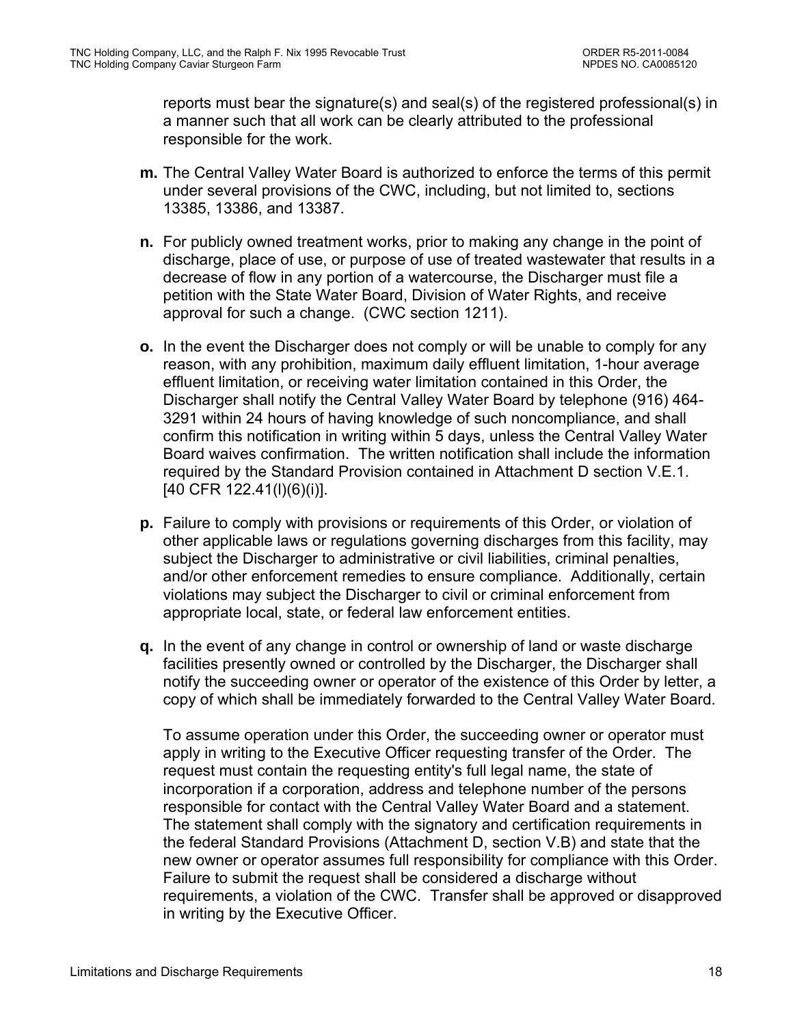reports must bear the signature(s) and seal(s) of the registered professional(s) in a manner such that all work can be clearly attributed to the professional responsible for the work.

- **m.** The Central Valley Water Board is authorized to enforce the terms of this permit under several provisions of the CWC, including, but not limited to, sections 13385, 13386, and 13387.
- **n.** For publicly owned treatment works, prior to making any change in the point of discharge, place of use, or purpose of use of treated wastewater that results in a decrease of flow in any portion of a watercourse, the Discharger must file a petition with the State Water Board, Division of Water Rights, and receive approval for such a change. (CWC section 1211).
- **o.** In the event the Discharger does not comply or will be unable to comply for any reason, with any prohibition, maximum daily effluent limitation, 1-hour average effluent limitation, or receiving water limitation contained in this Order, the Discharger shall notify the Central Valley Water Board by telephone (916) 464- 3291 within 24 hours of having knowledge of such noncompliance, and shall confirm this notification in writing within 5 days, unless the Central Valley Water Board waives confirmation. The written notification shall include the information required by the Standard Provision contained in Attachment D section V.E.1. [40 CFR 122.41(l)(6)(i)].
- **p.** Failure to comply with provisions or requirements of this Order, or violation of other applicable laws or regulations governing discharges from this facility, may subject the Discharger to administrative or civil liabilities, criminal penalties, and/or other enforcement remedies to ensure compliance. Additionally, certain violations may subject the Discharger to civil or criminal enforcement from appropriate local, state, or federal law enforcement entities.
- **q.** In the event of any change in control or ownership of land or waste discharge facilities presently owned or controlled by the Discharger, the Discharger shall notify the succeeding owner or operator of the existence of this Order by letter, a copy of which shall be immediately forwarded to the Central Valley Water Board.

To assume operation under this Order, the succeeding owner or operator must apply in writing to the Executive Officer requesting transfer of the Order. The request must contain the requesting entity's full legal name, the state of incorporation if a corporation, address and telephone number of the persons responsible for contact with the Central Valley Water Board and a statement. The statement shall comply with the signatory and certification requirements in the federal Standard Provisions (Attachment D, section V.B) and state that the new owner or operator assumes full responsibility for compliance with this Order. Failure to submit the request shall be considered a discharge without requirements, a violation of the CWC. Transfer shall be approved or disapproved in writing by the Executive Officer.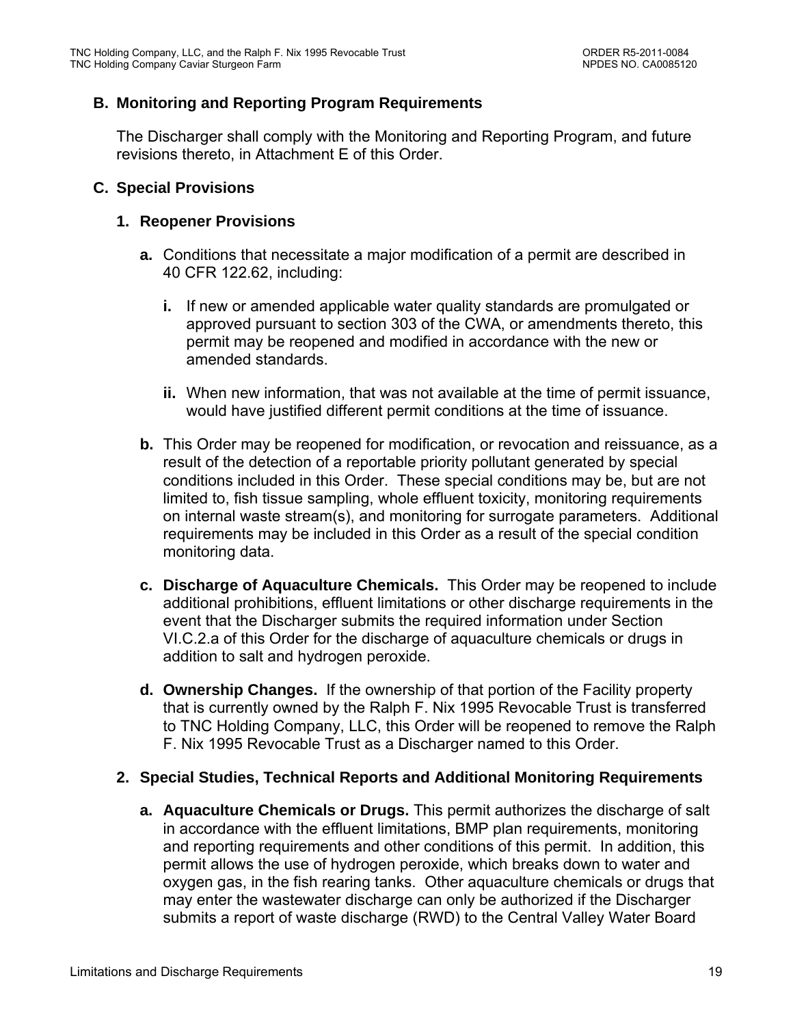# **B. Monitoring and Reporting Program Requirements**

The Discharger shall comply with the Monitoring and Reporting Program, and future revisions thereto, in Attachment E of this Order.

### **C. Special Provisions**

### **1. Reopener Provisions**

- **a.** Conditions that necessitate a major modification of a permit are described in 40 CFR 122.62, including:
	- **i.** If new or amended applicable water quality standards are promulgated or approved pursuant to section 303 of the CWA, or amendments thereto, this permit may be reopened and modified in accordance with the new or amended standards.
	- **ii.** When new information, that was not available at the time of permit issuance, would have justified different permit conditions at the time of issuance.
- **b.** This Order may be reopened for modification, or revocation and reissuance, as a result of the detection of a reportable priority pollutant generated by special conditions included in this Order. These special conditions may be, but are not limited to, fish tissue sampling, whole effluent toxicity, monitoring requirements on internal waste stream(s), and monitoring for surrogate parameters. Additional requirements may be included in this Order as a result of the special condition monitoring data.
- **c. Discharge of Aquaculture Chemicals.** This Order may be reopened to include additional prohibitions, effluent limitations or other discharge requirements in the event that the Discharger submits the required information under Section VI.C.2.a of this Order for the discharge of aquaculture chemicals or drugs in addition to salt and hydrogen peroxide.
- **d. Ownership Changes.** If the ownership of that portion of the Facility property that is currently owned by the Ralph F. Nix 1995 Revocable Trust is transferred to TNC Holding Company, LLC, this Order will be reopened to remove the Ralph F. Nix 1995 Revocable Trust as a Discharger named to this Order.

### **2. Special Studies, Technical Reports and Additional Monitoring Requirements**

**a. Aquaculture Chemicals or Drugs.** This permit authorizes the discharge of salt in accordance with the effluent limitations, BMP plan requirements, monitoring and reporting requirements and other conditions of this permit. In addition, this permit allows the use of hydrogen peroxide, which breaks down to water and oxygen gas, in the fish rearing tanks. Other aquaculture chemicals or drugs that may enter the wastewater discharge can only be authorized if the Discharger submits a report of waste discharge (RWD) to the Central Valley Water Board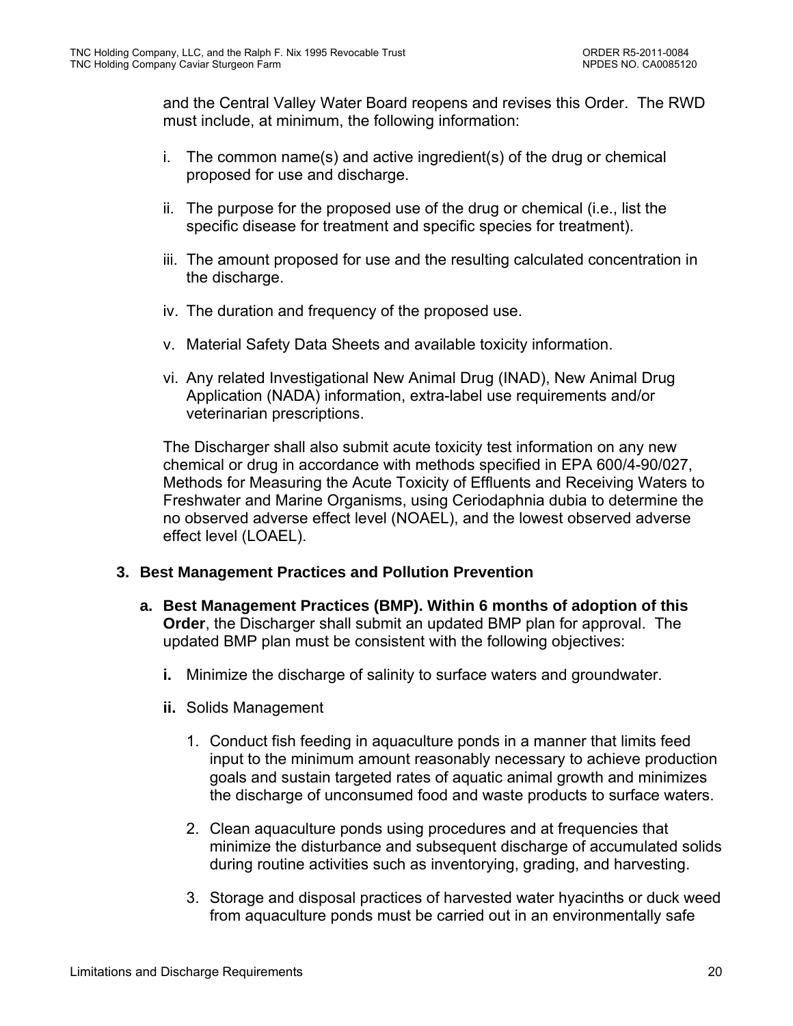and the Central Valley Water Board reopens and revises this Order. The RWD must include, at minimum, the following information:

- i. The common name(s) and active ingredient(s) of the drug or chemical proposed for use and discharge.
- ii. The purpose for the proposed use of the drug or chemical (i.e., list the specific disease for treatment and specific species for treatment).
- iii. The amount proposed for use and the resulting calculated concentration in the discharge.
- iv. The duration and frequency of the proposed use.
- v. Material Safety Data Sheets and available toxicity information.
- vi. Any related Investigational New Animal Drug (INAD), New Animal Drug Application (NADA) information, extra-label use requirements and/or veterinarian prescriptions.

The Discharger shall also submit acute toxicity test information on any new chemical or drug in accordance with methods specified in EPA 600/4-90/027, Methods for Measuring the Acute Toxicity of Effluents and Receiving Waters to Freshwater and Marine Organisms, using Ceriodaphnia dubia to determine the no observed adverse effect level (NOAEL), and the lowest observed adverse effect level (LOAEL).

### **3. Best Management Practices and Pollution Prevention**

- **a. Best Management Practices (BMP). Within 6 months of adoption of this Order**, the Discharger shall submit an updated BMP plan for approval. The updated BMP plan must be consistent with the following objectives:
	- **i.** Minimize the discharge of salinity to surface waters and groundwater.
	- **ii.** Solids Management
		- 1. Conduct fish feeding in aquaculture ponds in a manner that limits feed input to the minimum amount reasonably necessary to achieve production goals and sustain targeted rates of aquatic animal growth and minimizes the discharge of unconsumed food and waste products to surface waters.
		- 2. Clean aquaculture ponds using procedures and at frequencies that minimize the disturbance and subsequent discharge of accumulated solids during routine activities such as inventorying, grading, and harvesting.
		- 3. Storage and disposal practices of harvested water hyacinths or duck weed from aquaculture ponds must be carried out in an environmentally safe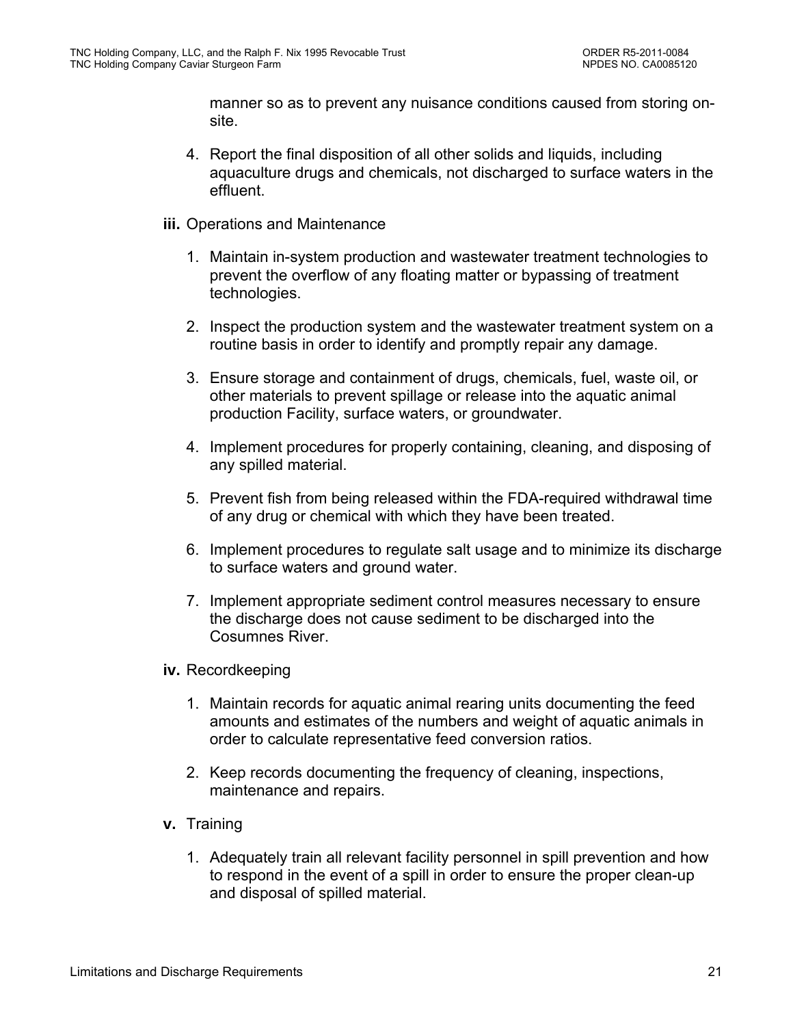manner so as to prevent any nuisance conditions caused from storing onsite.

- 4. Report the final disposition of all other solids and liquids, including aquaculture drugs and chemicals, not discharged to surface waters in the effluent.
- **iii.** Operations and Maintenance
	- 1. Maintain in-system production and wastewater treatment technologies to prevent the overflow of any floating matter or bypassing of treatment technologies.
	- 2. Inspect the production system and the wastewater treatment system on a routine basis in order to identify and promptly repair any damage.
	- 3. Ensure storage and containment of drugs, chemicals, fuel, waste oil, or other materials to prevent spillage or release into the aquatic animal production Facility, surface waters, or groundwater.
	- 4. Implement procedures for properly containing, cleaning, and disposing of any spilled material.
	- 5. Prevent fish from being released within the FDA-required withdrawal time of any drug or chemical with which they have been treated.
	- 6. Implement procedures to regulate salt usage and to minimize its discharge to surface waters and ground water.
	- 7. Implement appropriate sediment control measures necessary to ensure the discharge does not cause sediment to be discharged into the Cosumnes River.
- **iv.** Recordkeeping
	- 1. Maintain records for aquatic animal rearing units documenting the feed amounts and estimates of the numbers and weight of aquatic animals in order to calculate representative feed conversion ratios.
	- 2. Keep records documenting the frequency of cleaning, inspections, maintenance and repairs.
- **v.** Training
	- 1. Adequately train all relevant facility personnel in spill prevention and how to respond in the event of a spill in order to ensure the proper clean-up and disposal of spilled material.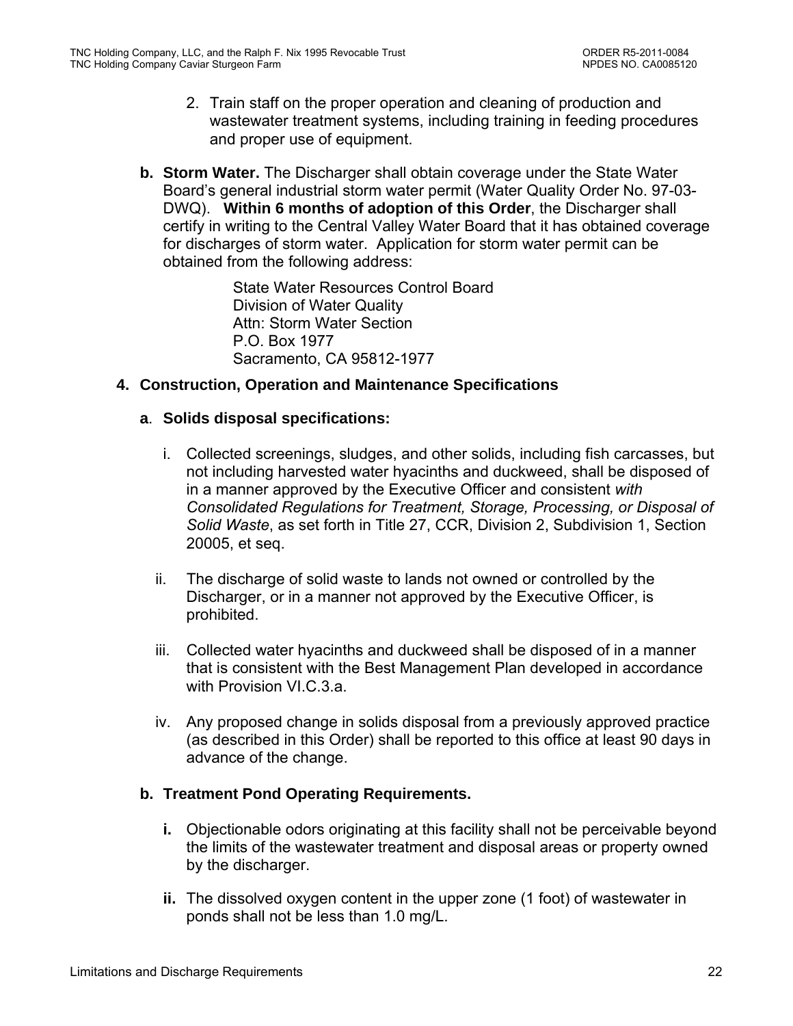- 2. Train staff on the proper operation and cleaning of production and wastewater treatment systems, including training in feeding procedures and proper use of equipment.
- **b. Storm Water.** The Discharger shall obtain coverage under the State Water Board's general industrial storm water permit (Water Quality Order No. 97-03- DWQ). **Within 6 months of adoption of this Order**, the Discharger shall certify in writing to the Central Valley Water Board that it has obtained coverage for discharges of storm water. Application for storm water permit can be obtained from the following address:

State Water Resources Control Board Division of Water Quality Attn: Storm Water Section P.O. Box 1977 Sacramento, CA 95812-1977

### **4. Construction, Operation and Maintenance Specifications**

### **a**. **Solids disposal specifications:**

- i. Collected screenings, sludges, and other solids, including fish carcasses, but not including harvested water hyacinths and duckweed, shall be disposed of in a manner approved by the Executive Officer and consistent *with Consolidated Regulations for Treatment, Storage, Processing, or Disposal of Solid Waste*, as set forth in Title 27, CCR, Division 2, Subdivision 1, Section 20005, et seq.
- ii. The discharge of solid waste to lands not owned or controlled by the Discharger, or in a manner not approved by the Executive Officer, is prohibited.
- iii. Collected water hyacinths and duckweed shall be disposed of in a manner that is consistent with the Best Management Plan developed in accordance with Provision VI.C.3.a.
- iv. Any proposed change in solids disposal from a previously approved practice (as described in this Order) shall be reported to this office at least 90 days in advance of the change.

### **b. Treatment Pond Operating Requirements.**

- **i.** Objectionable odors originating at this facility shall not be perceivable beyond the limits of the wastewater treatment and disposal areas or property owned by the discharger.
- **ii.** The dissolved oxygen content in the upper zone (1 foot) of wastewater in ponds shall not be less than 1.0 mg/L.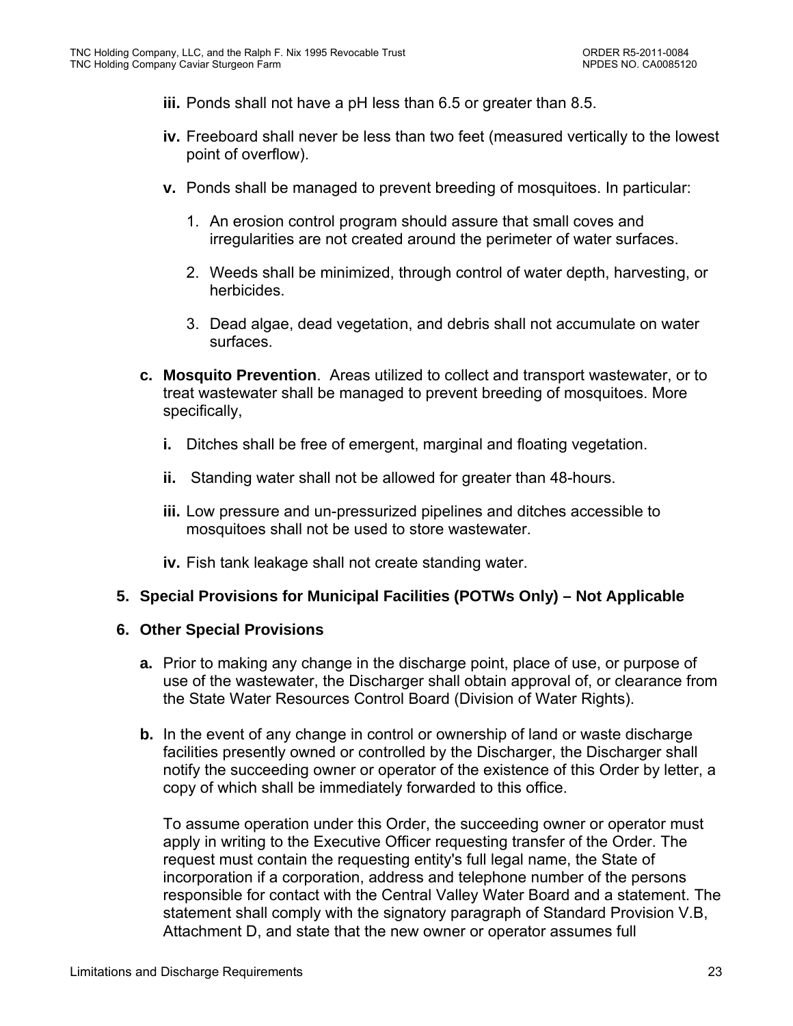- **iii.** Ponds shall not have a pH less than 6.5 or greater than 8.5.
- **iv.** Freeboard shall never be less than two feet (measured vertically to the lowest point of overflow).
- **v.** Ponds shall be managed to prevent breeding of mosquitoes. In particular:
	- 1. An erosion control program should assure that small coves and irregularities are not created around the perimeter of water surfaces.
	- 2. Weeds shall be minimized, through control of water depth, harvesting, or herbicides.
	- 3. Dead algae, dead vegetation, and debris shall not accumulate on water surfaces.
- **c. Mosquito Prevention**. Areas utilized to collect and transport wastewater, or to treat wastewater shall be managed to prevent breeding of mosquitoes. More specifically,
	- **i.** Ditches shall be free of emergent, marginal and floating vegetation.
	- **ii.** Standing water shall not be allowed for greater than 48-hours.
	- **iii.** Low pressure and un-pressurized pipelines and ditches accessible to mosquitoes shall not be used to store wastewater.
	- **iv.** Fish tank leakage shall not create standing water.

### **5. Special Provisions for Municipal Facilities (POTWs Only) – Not Applicable**

#### **6. Other Special Provisions**

- **a.** Prior to making any change in the discharge point, place of use, or purpose of use of the wastewater, the Discharger shall obtain approval of, or clearance from the State Water Resources Control Board (Division of Water Rights).
- **b.** In the event of any change in control or ownership of land or waste discharge facilities presently owned or controlled by the Discharger, the Discharger shall notify the succeeding owner or operator of the existence of this Order by letter, a copy of which shall be immediately forwarded to this office.

To assume operation under this Order, the succeeding owner or operator must apply in writing to the Executive Officer requesting transfer of the Order. The request must contain the requesting entity's full legal name, the State of incorporation if a corporation, address and telephone number of the persons responsible for contact with the Central Valley Water Board and a statement. The statement shall comply with the signatory paragraph of Standard Provision V.B, Attachment D, and state that the new owner or operator assumes full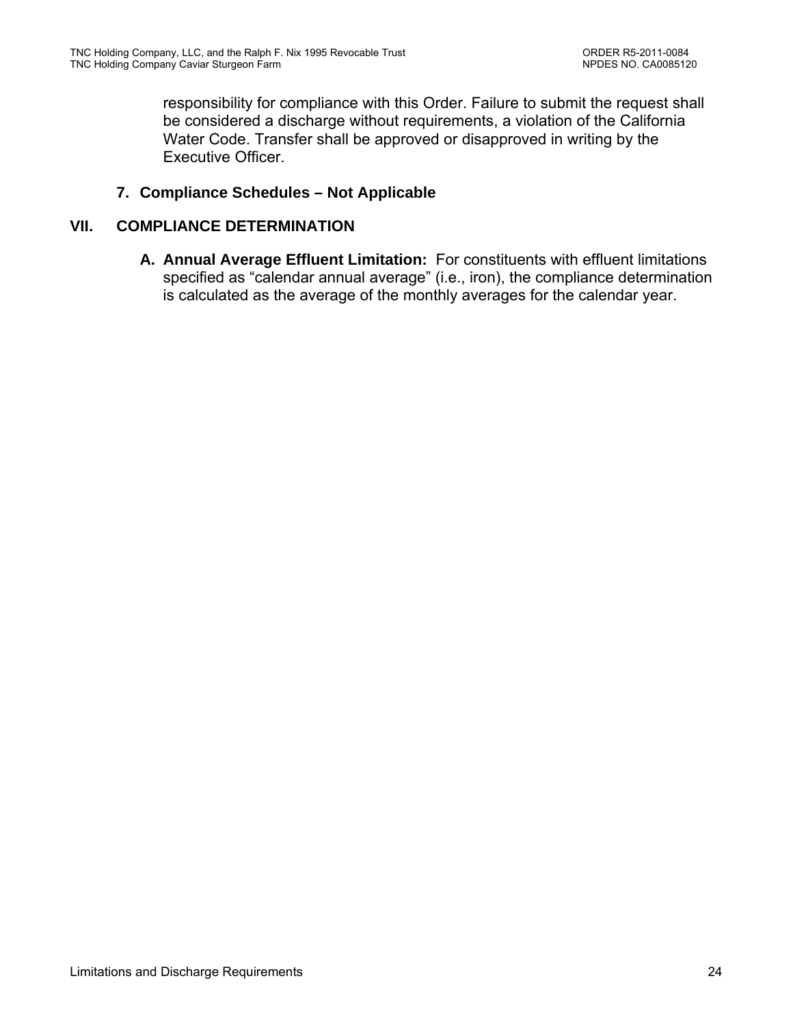responsibility for compliance with this Order. Failure to submit the request shall be considered a discharge without requirements, a violation of the California Water Code. Transfer shall be approved or disapproved in writing by the Executive Officer.

### **7. Compliance Schedules – Not Applicable**

### **VII. COMPLIANCE DETERMINATION**

**A. Annual Average Effluent Limitation:** For constituents with effluent limitations specified as "calendar annual average" (i.e., iron), the compliance determination is calculated as the average of the monthly averages for the calendar year.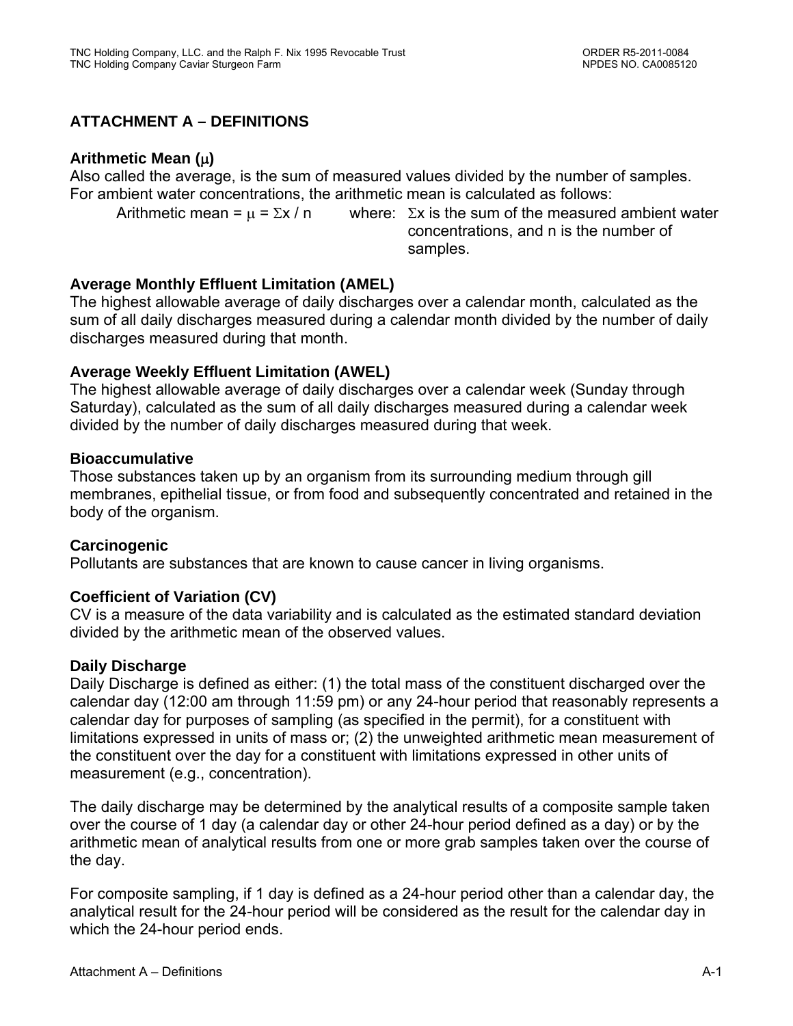# **ATTACHMENT A – DEFINITIONS**

# **Arithmetic Mean ()**

Also called the average, is the sum of measured values divided by the number of samples. For ambient water concentrations, the arithmetic mean is calculated as follows:

Arithmetic mean =  $\mu$  =  $\Sigma x / n$  where:  $\Sigma x$  is the sum of the measured ambient water concentrations, and n is the number of samples.

# **Average Monthly Effluent Limitation (AMEL)**

The highest allowable average of daily discharges over a calendar month, calculated as the sum of all daily discharges measured during a calendar month divided by the number of daily discharges measured during that month.

# **Average Weekly Effluent Limitation (AWEL)**

The highest allowable average of daily discharges over a calendar week (Sunday through Saturday), calculated as the sum of all daily discharges measured during a calendar week divided by the number of daily discharges measured during that week.

### **Bioaccumulative**

Those substances taken up by an organism from its surrounding medium through gill membranes, epithelial tissue, or from food and subsequently concentrated and retained in the body of the organism.

### **Carcinogenic**

Pollutants are substances that are known to cause cancer in living organisms.

### **Coefficient of Variation (CV)**

CV is a measure of the data variability and is calculated as the estimated standard deviation divided by the arithmetic mean of the observed values.

### **Daily Discharge**

Daily Discharge is defined as either: (1) the total mass of the constituent discharged over the calendar day (12:00 am through 11:59 pm) or any 24-hour period that reasonably represents a calendar day for purposes of sampling (as specified in the permit), for a constituent with limitations expressed in units of mass or; (2) the unweighted arithmetic mean measurement of the constituent over the day for a constituent with limitations expressed in other units of measurement (e.g., concentration).

The daily discharge may be determined by the analytical results of a composite sample taken over the course of 1 day (a calendar day or other 24-hour period defined as a day) or by the arithmetic mean of analytical results from one or more grab samples taken over the course of the day.

For composite sampling, if 1 day is defined as a 24-hour period other than a calendar day, the analytical result for the 24-hour period will be considered as the result for the calendar day in which the 24-hour period ends.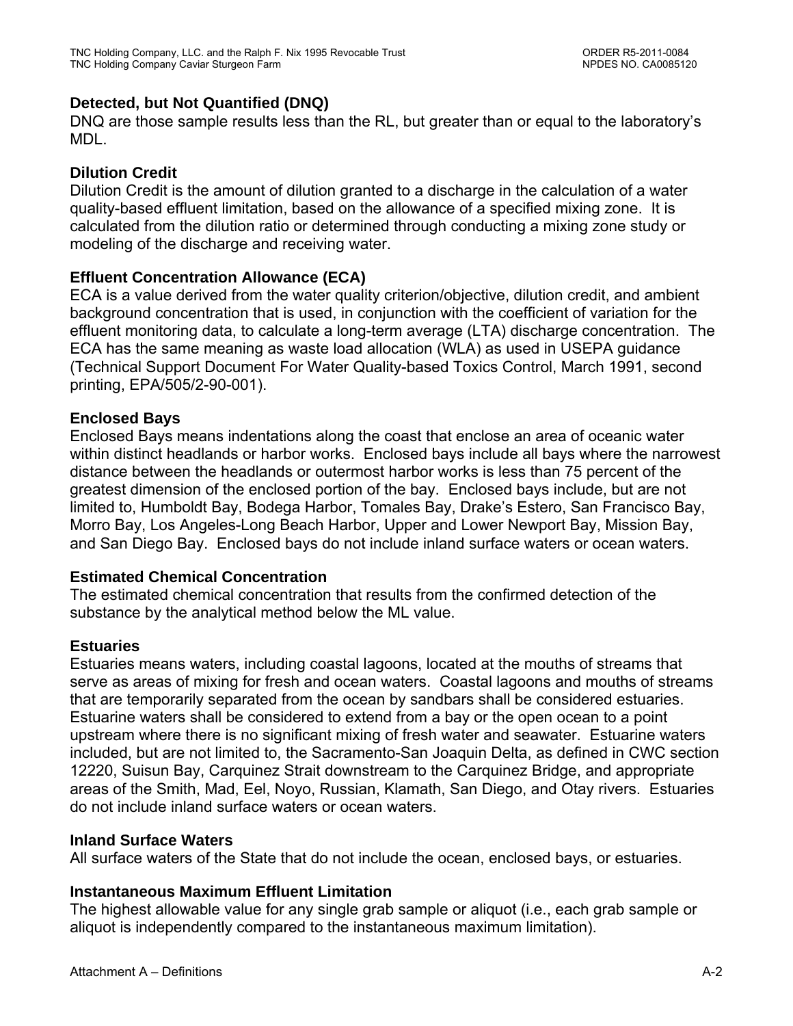# **Detected, but Not Quantified (DNQ)**

DNQ are those sample results less than the RL, but greater than or equal to the laboratory's MDL.

# **Dilution Credit**

Dilution Credit is the amount of dilution granted to a discharge in the calculation of a water quality-based effluent limitation, based on the allowance of a specified mixing zone. It is calculated from the dilution ratio or determined through conducting a mixing zone study or modeling of the discharge and receiving water.

# **Effluent Concentration Allowance (ECA)**

ECA is a value derived from the water quality criterion/objective, dilution credit, and ambient background concentration that is used, in conjunction with the coefficient of variation for the effluent monitoring data, to calculate a long-term average (LTA) discharge concentration. The ECA has the same meaning as waste load allocation (WLA) as used in USEPA guidance (Technical Support Document For Water Quality-based Toxics Control, March 1991, second printing, EPA/505/2-90-001).

# **Enclosed Bays**

Enclosed Bays means indentations along the coast that enclose an area of oceanic water within distinct headlands or harbor works. Enclosed bays include all bays where the narrowest distance between the headlands or outermost harbor works is less than 75 percent of the greatest dimension of the enclosed portion of the bay. Enclosed bays include, but are not limited to, Humboldt Bay, Bodega Harbor, Tomales Bay, Drake's Estero, San Francisco Bay, Morro Bay, Los Angeles-Long Beach Harbor, Upper and Lower Newport Bay, Mission Bay, and San Diego Bay. Enclosed bays do not include inland surface waters or ocean waters.

### **Estimated Chemical Concentration**

The estimated chemical concentration that results from the confirmed detection of the substance by the analytical method below the ML value.

### **Estuaries**

Estuaries means waters, including coastal lagoons, located at the mouths of streams that serve as areas of mixing for fresh and ocean waters. Coastal lagoons and mouths of streams that are temporarily separated from the ocean by sandbars shall be considered estuaries. Estuarine waters shall be considered to extend from a bay or the open ocean to a point upstream where there is no significant mixing of fresh water and seawater. Estuarine waters included, but are not limited to, the Sacramento-San Joaquin Delta, as defined in CWC section 12220, Suisun Bay, Carquinez Strait downstream to the Carquinez Bridge, and appropriate areas of the Smith, Mad, Eel, Noyo, Russian, Klamath, San Diego, and Otay rivers. Estuaries do not include inland surface waters or ocean waters.

### **Inland Surface Waters**

All surface waters of the State that do not include the ocean, enclosed bays, or estuaries.

# **Instantaneous Maximum Effluent Limitation**

The highest allowable value for any single grab sample or aliquot (i.e., each grab sample or aliquot is independently compared to the instantaneous maximum limitation).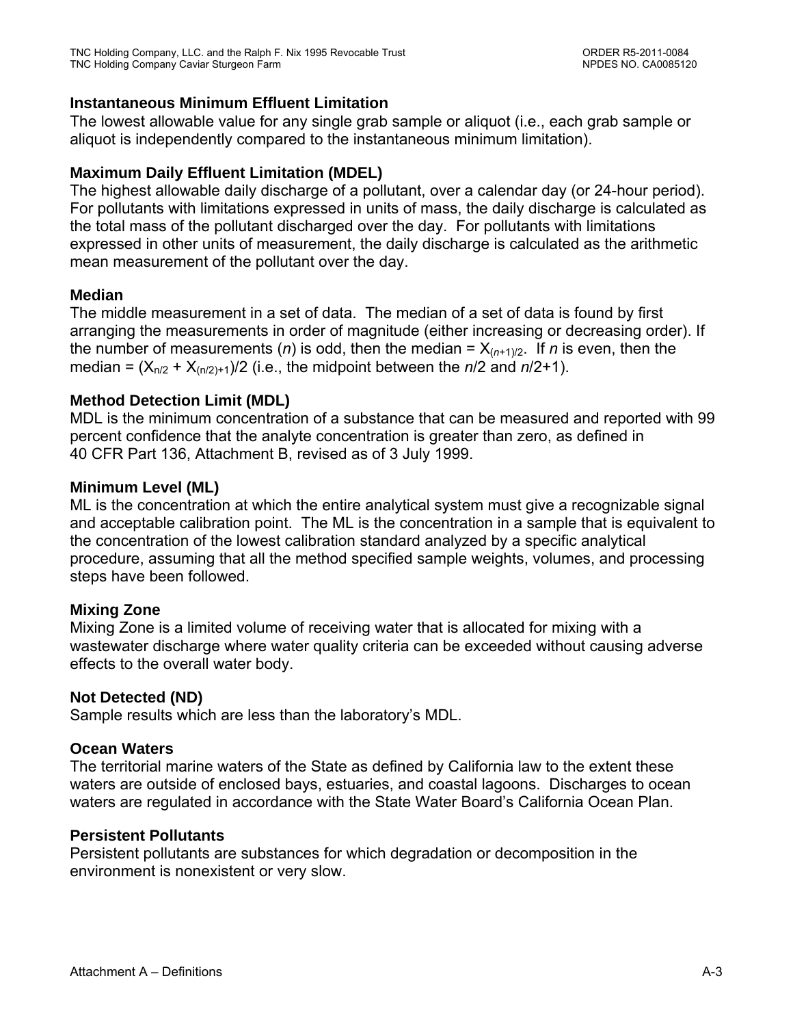### **Instantaneous Minimum Effluent Limitation**

The lowest allowable value for any single grab sample or aliquot (i.e., each grab sample or aliquot is independently compared to the instantaneous minimum limitation).

### **Maximum Daily Effluent Limitation (MDEL)**

The highest allowable daily discharge of a pollutant, over a calendar day (or 24-hour period). For pollutants with limitations expressed in units of mass, the daily discharge is calculated as the total mass of the pollutant discharged over the day. For pollutants with limitations expressed in other units of measurement, the daily discharge is calculated as the arithmetic mean measurement of the pollutant over the day.

# **Median**

The middle measurement in a set of data. The median of a set of data is found by first arranging the measurements in order of magnitude (either increasing or decreasing order). If the number of measurements (*n*) is odd, then the median =  $X_{(n+1)/2}$ . If *n* is even, then the median =  $(X_{n/2} + X_{(n/2)+1})/2$  (i.e., the midpoint between the  $n/2$  and  $n/2+1$ ).

# **Method Detection Limit (MDL)**

MDL is the minimum concentration of a substance that can be measured and reported with 99 percent confidence that the analyte concentration is greater than zero, as defined in 40 CFR Part 136, Attachment B, revised as of 3 July 1999.

# **Minimum Level (ML)**

ML is the concentration at which the entire analytical system must give a recognizable signal and acceptable calibration point. The ML is the concentration in a sample that is equivalent to the concentration of the lowest calibration standard analyzed by a specific analytical procedure, assuming that all the method specified sample weights, volumes, and processing steps have been followed.

# **Mixing Zone**

Mixing Zone is a limited volume of receiving water that is allocated for mixing with a wastewater discharge where water quality criteria can be exceeded without causing adverse effects to the overall water body.

### **Not Detected (ND)**

Sample results which are less than the laboratory's MDL.

### **Ocean Waters**

The territorial marine waters of the State as defined by California law to the extent these waters are outside of enclosed bays, estuaries, and coastal lagoons. Discharges to ocean waters are regulated in accordance with the State Water Board's California Ocean Plan.

### **Persistent Pollutants**

Persistent pollutants are substances for which degradation or decomposition in the environment is nonexistent or very slow.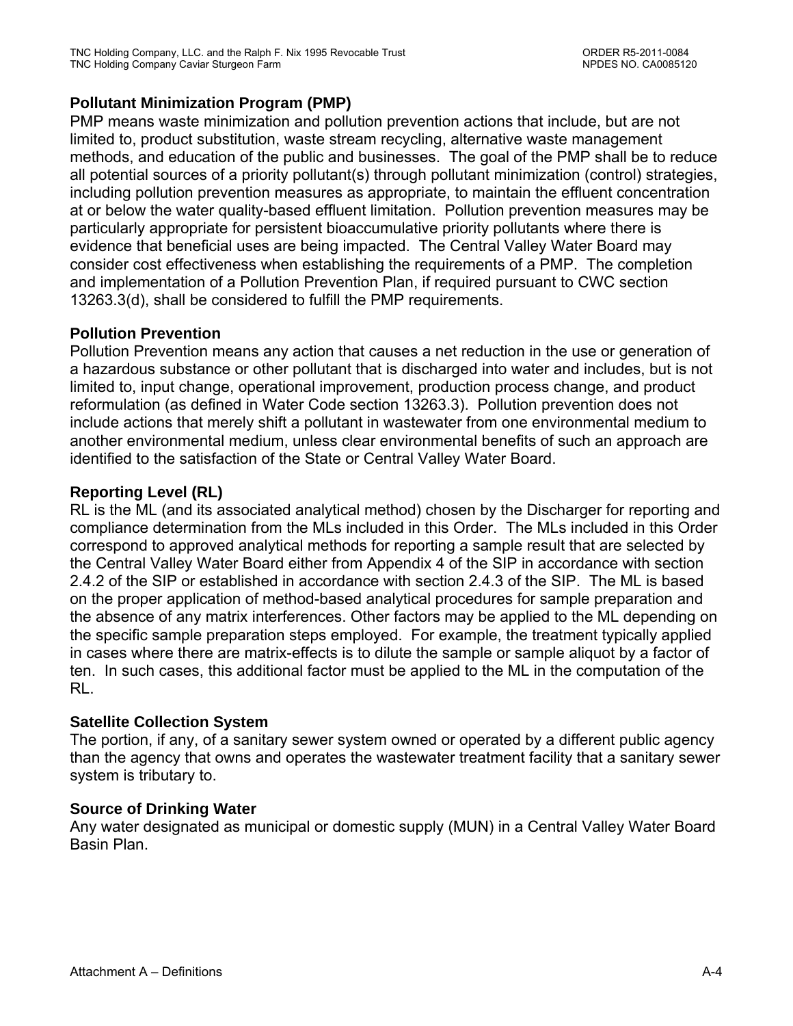# **Pollutant Minimization Program (PMP)**

PMP means waste minimization and pollution prevention actions that include, but are not limited to, product substitution, waste stream recycling, alternative waste management methods, and education of the public and businesses. The goal of the PMP shall be to reduce all potential sources of a priority pollutant(s) through pollutant minimization (control) strategies, including pollution prevention measures as appropriate, to maintain the effluent concentration at or below the water quality-based effluent limitation. Pollution prevention measures may be particularly appropriate for persistent bioaccumulative priority pollutants where there is evidence that beneficial uses are being impacted. The Central Valley Water Board may consider cost effectiveness when establishing the requirements of a PMP. The completion and implementation of a Pollution Prevention Plan, if required pursuant to CWC section 13263.3(d), shall be considered to fulfill the PMP requirements.

# **Pollution Prevention**

Pollution Prevention means any action that causes a net reduction in the use or generation of a hazardous substance or other pollutant that is discharged into water and includes, but is not limited to, input change, operational improvement, production process change, and product reformulation (as defined in Water Code section 13263.3). Pollution prevention does not include actions that merely shift a pollutant in wastewater from one environmental medium to another environmental medium, unless clear environmental benefits of such an approach are identified to the satisfaction of the State or Central Valley Water Board.

# **Reporting Level (RL)**

RL is the ML (and its associated analytical method) chosen by the Discharger for reporting and compliance determination from the MLs included in this Order. The MLs included in this Order correspond to approved analytical methods for reporting a sample result that are selected by the Central Valley Water Board either from Appendix 4 of the SIP in accordance with section 2.4.2 of the SIP or established in accordance with section 2.4.3 of the SIP. The ML is based on the proper application of method-based analytical procedures for sample preparation and the absence of any matrix interferences. Other factors may be applied to the ML depending on the specific sample preparation steps employed. For example, the treatment typically applied in cases where there are matrix-effects is to dilute the sample or sample aliquot by a factor of ten. In such cases, this additional factor must be applied to the ML in the computation of the RL.

### **Satellite Collection System**

The portion, if any, of a sanitary sewer system owned or operated by a different public agency than the agency that owns and operates the wastewater treatment facility that a sanitary sewer system is tributary to.

### **Source of Drinking Water**

Any water designated as municipal or domestic supply (MUN) in a Central Valley Water Board Basin Plan.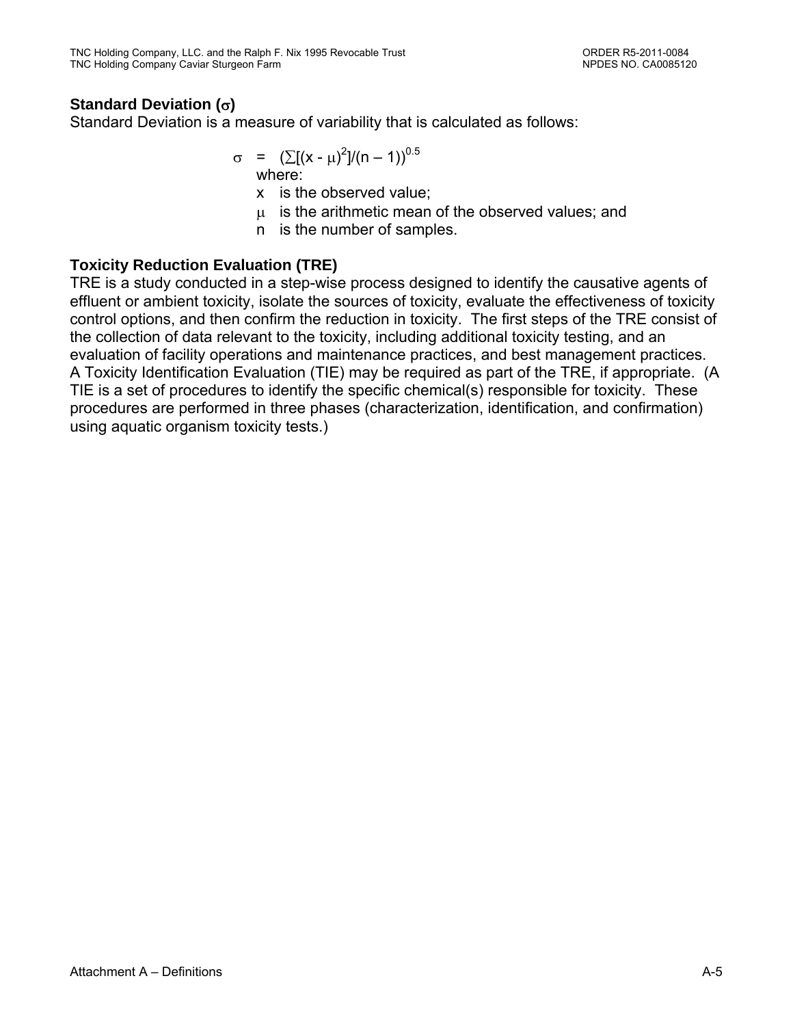# **Standard Deviation ()**

Standard Deviation is a measure of variability that is calculated as follows:

$$
\sigma = (\sum [(x - \mu)^2]/(n - 1))^{0.5}
$$
  
where:

x is the observed value;

 $\mu$  is the arithmetic mean of the observed values; and

n is the number of samples.

# **Toxicity Reduction Evaluation (TRE)**

TRE is a study conducted in a step-wise process designed to identify the causative agents of effluent or ambient toxicity, isolate the sources of toxicity, evaluate the effectiveness of toxicity control options, and then confirm the reduction in toxicity. The first steps of the TRE consist of the collection of data relevant to the toxicity, including additional toxicity testing, and an evaluation of facility operations and maintenance practices, and best management practices. A Toxicity Identification Evaluation (TIE) may be required as part of the TRE, if appropriate. (A TIE is a set of procedures to identify the specific chemical(s) responsible for toxicity. These procedures are performed in three phases (characterization, identification, and confirmation) using aquatic organism toxicity tests.)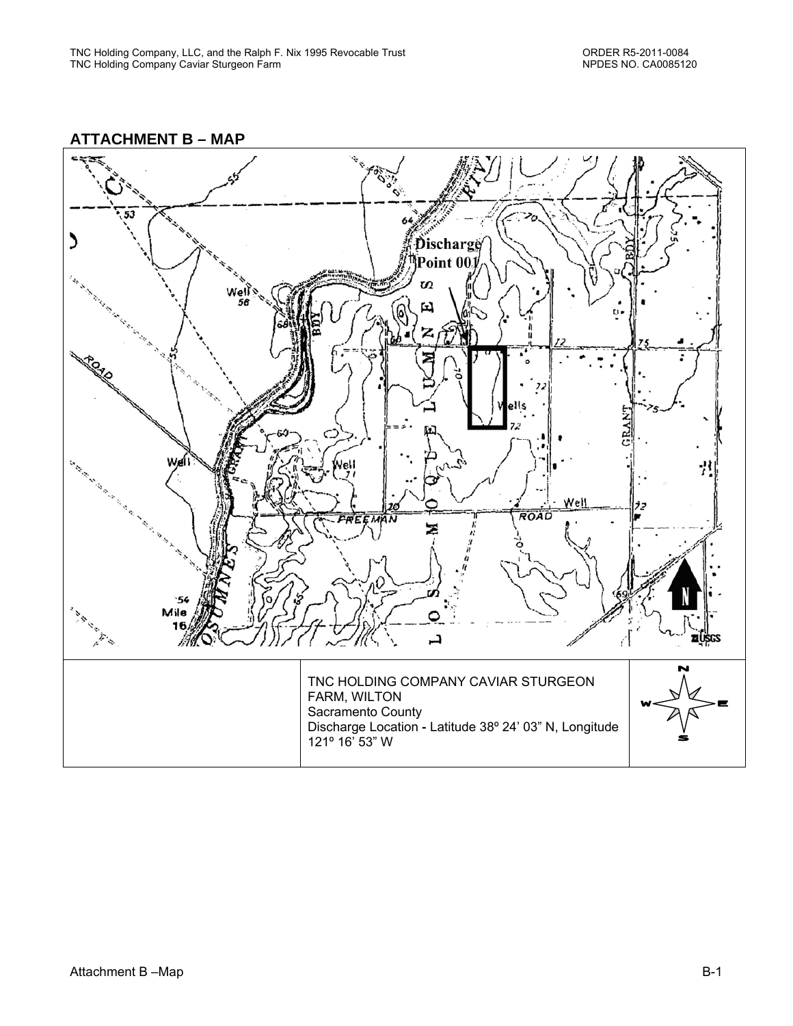

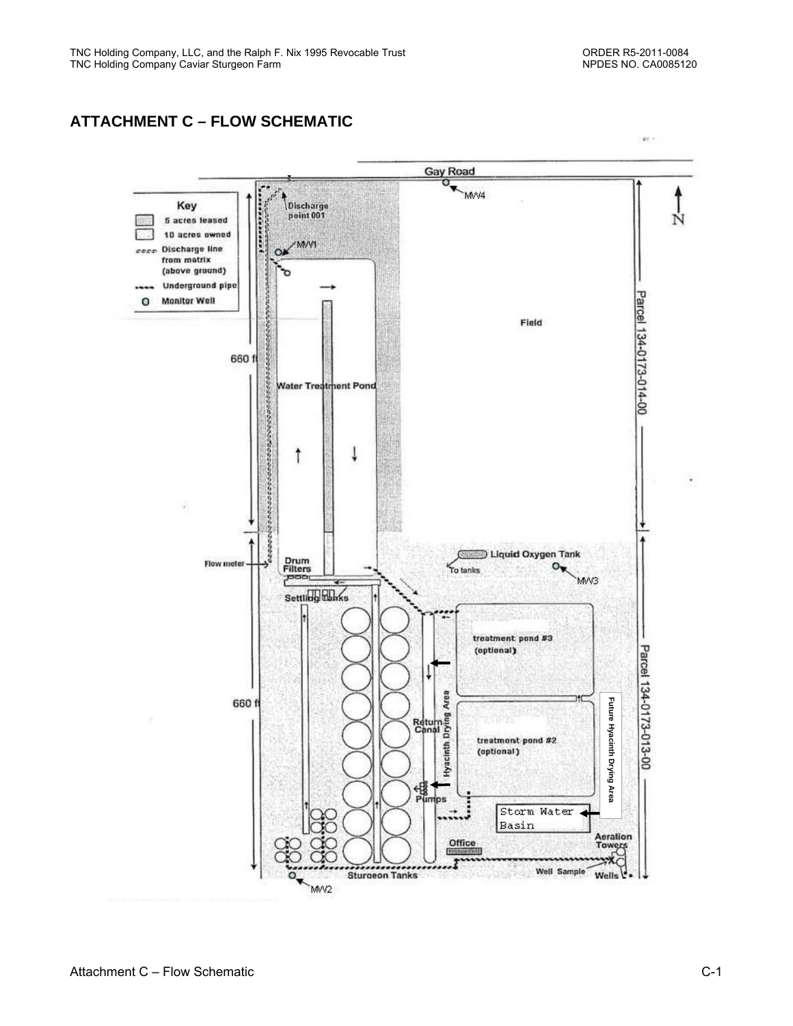# **ATTACHMENT C – FLOW SCHEMATIC**

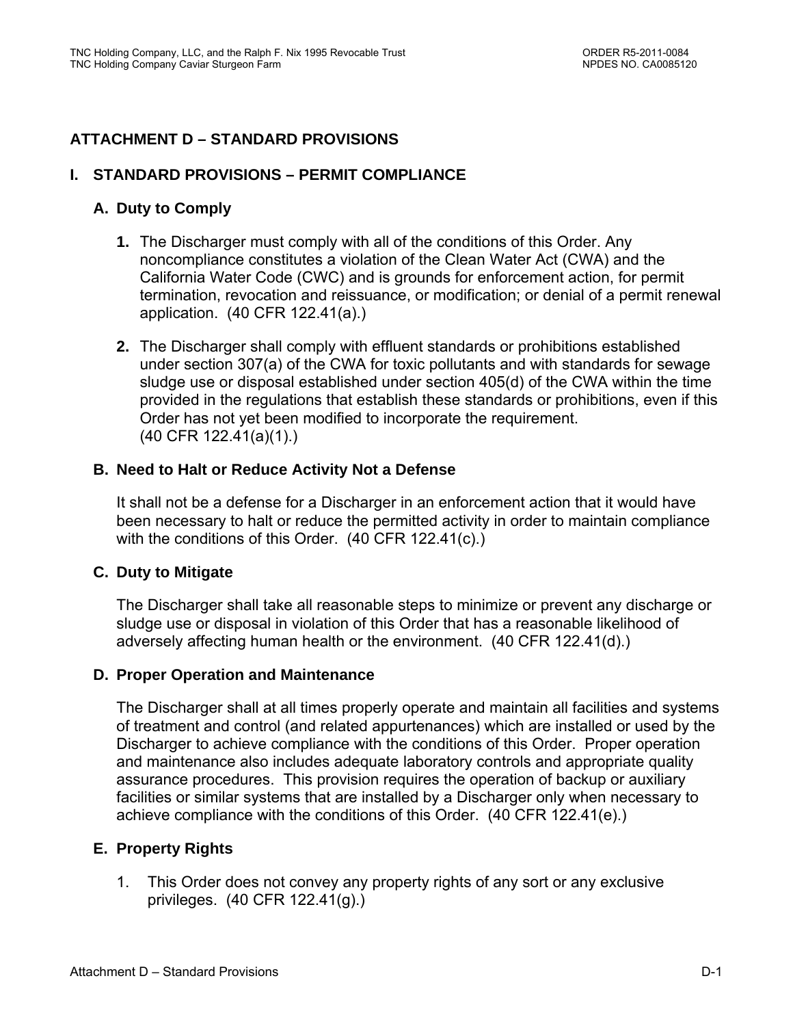# **ATTACHMENT D – STANDARD PROVISIONS**

### **I. STANDARD PROVISIONS – PERMIT COMPLIANCE**

# **A. Duty to Comply**

- **1.** The Discharger must comply with all of the conditions of this Order. Any noncompliance constitutes a violation of the Clean Water Act (CWA) and the California Water Code (CWC) and is grounds for enforcement action, for permit termination, revocation and reissuance, or modification; or denial of a permit renewal application. (40 CFR 122.41(a).)
- **2.** The Discharger shall comply with effluent standards or prohibitions established under section 307(a) of the CWA for toxic pollutants and with standards for sewage sludge use or disposal established under section 405(d) of the CWA within the time provided in the regulations that establish these standards or prohibitions, even if this Order has not yet been modified to incorporate the requirement. (40 CFR 122.41(a)(1).)

# **B. Need to Halt or Reduce Activity Not a Defense**

It shall not be a defense for a Discharger in an enforcement action that it would have been necessary to halt or reduce the permitted activity in order to maintain compliance with the conditions of this Order. (40 CFR 122.41(c).)

### **C. Duty to Mitigate**

The Discharger shall take all reasonable steps to minimize or prevent any discharge or sludge use or disposal in violation of this Order that has a reasonable likelihood of adversely affecting human health or the environment. (40 CFR 122.41(d).)

### **D. Proper Operation and Maintenance**

The Discharger shall at all times properly operate and maintain all facilities and systems of treatment and control (and related appurtenances) which are installed or used by the Discharger to achieve compliance with the conditions of this Order. Proper operation and maintenance also includes adequate laboratory controls and appropriate quality assurance procedures. This provision requires the operation of backup or auxiliary facilities or similar systems that are installed by a Discharger only when necessary to achieve compliance with the conditions of this Order. (40 CFR 122.41(e).)

### **E. Property Rights**

1. This Order does not convey any property rights of any sort or any exclusive privileges. (40 CFR 122.41(g).)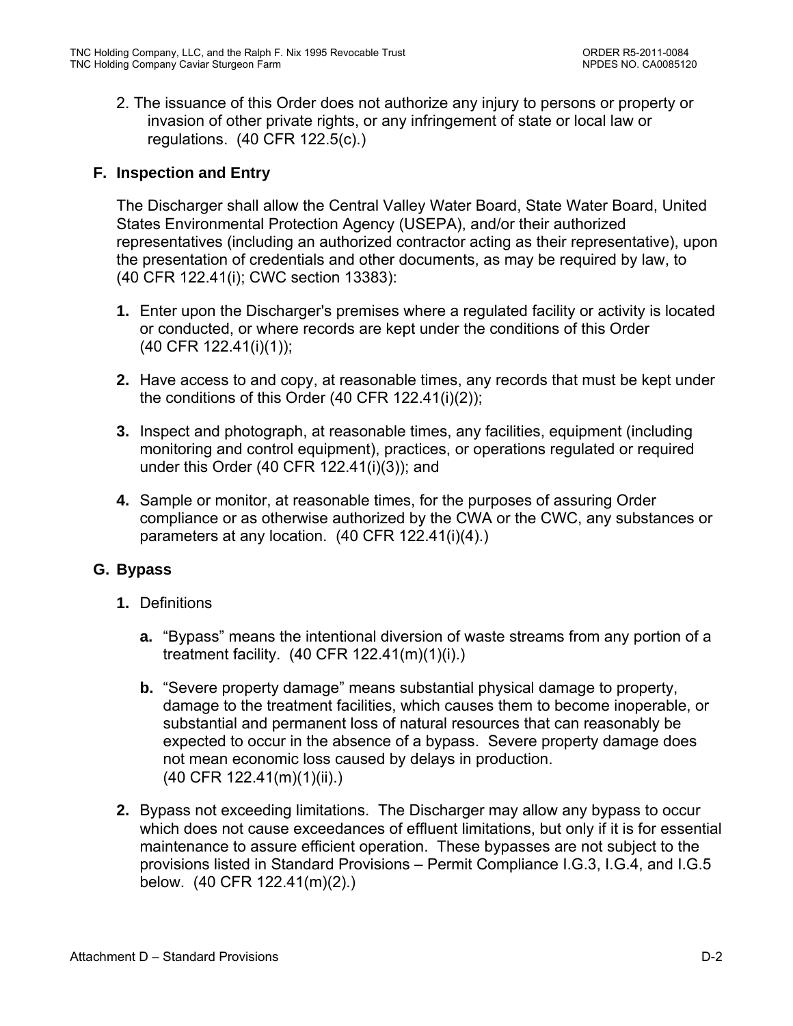2. The issuance of this Order does not authorize any injury to persons or property or invasion of other private rights, or any infringement of state or local law or regulations. (40 CFR 122.5(c).)

# **F. Inspection and Entry**

The Discharger shall allow the Central Valley Water Board, State Water Board, United States Environmental Protection Agency (USEPA), and/or their authorized representatives (including an authorized contractor acting as their representative), upon the presentation of credentials and other documents, as may be required by law, to (40 CFR 122.41(i); CWC section 13383):

- **1.** Enter upon the Discharger's premises where a regulated facility or activity is located or conducted, or where records are kept under the conditions of this Order (40 CFR 122.41(i)(1));
- **2.** Have access to and copy, at reasonable times, any records that must be kept under the conditions of this Order (40 CFR 122.41(i)(2));
- **3.** Inspect and photograph, at reasonable times, any facilities, equipment (including monitoring and control equipment), practices, or operations regulated or required under this Order (40 CFR 122.41(i)(3)); and
- **4.** Sample or monitor, at reasonable times, for the purposes of assuring Order compliance or as otherwise authorized by the CWA or the CWC, any substances or parameters at any location. (40 CFR 122.41(i)(4).)

# **G. Bypass**

- **1.** Definitions
	- **a.** "Bypass" means the intentional diversion of waste streams from any portion of a treatment facility. (40 CFR 122.41(m)(1)(i).)
	- **b.** "Severe property damage" means substantial physical damage to property, damage to the treatment facilities, which causes them to become inoperable, or substantial and permanent loss of natural resources that can reasonably be expected to occur in the absence of a bypass. Severe property damage does not mean economic loss caused by delays in production. (40 CFR 122.41(m)(1)(ii).)
- **2.** Bypass not exceeding limitations. The Discharger may allow any bypass to occur which does not cause exceedances of effluent limitations, but only if it is for essential maintenance to assure efficient operation. These bypasses are not subject to the provisions listed in Standard Provisions – Permit Compliance I.G.3, I.G.4, and I.G.5 below. (40 CFR 122.41(m)(2).)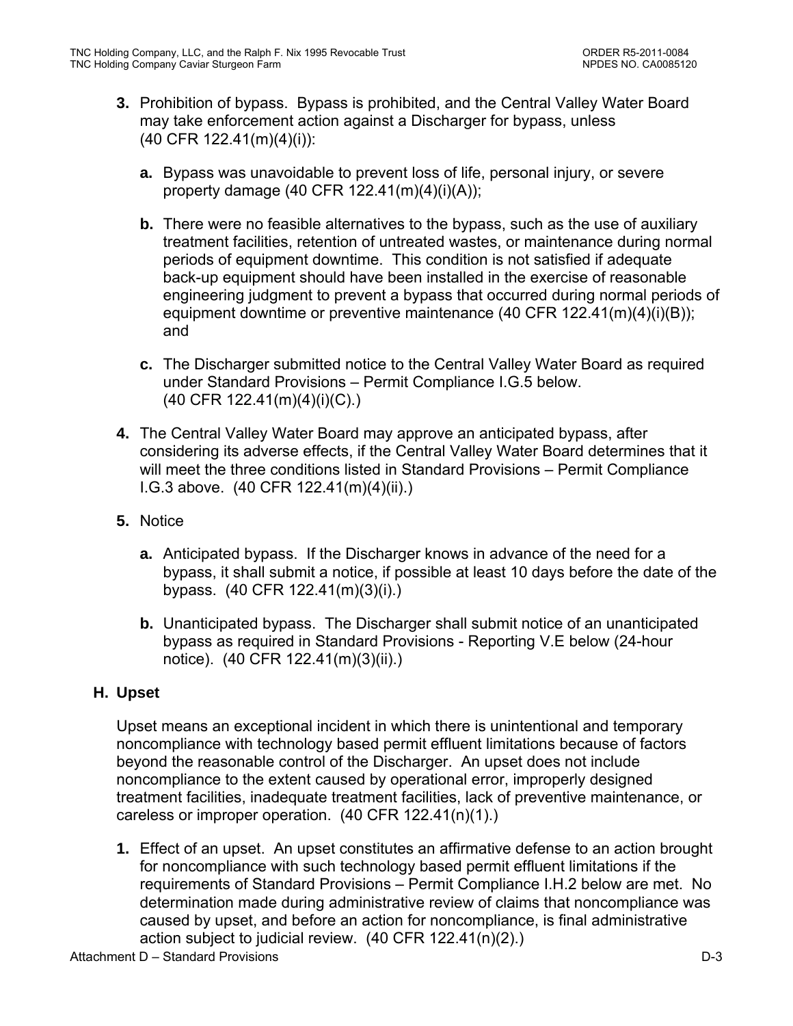- **3.** Prohibition of bypass. Bypass is prohibited, and the Central Valley Water Board may take enforcement action against a Discharger for bypass, unless (40 CFR 122.41(m)(4)(i)):
	- **a.** Bypass was unavoidable to prevent loss of life, personal injury, or severe property damage (40 CFR 122.41(m)(4)(i)(A));
	- **b.** There were no feasible alternatives to the bypass, such as the use of auxiliary treatment facilities, retention of untreated wastes, or maintenance during normal periods of equipment downtime. This condition is not satisfied if adequate back-up equipment should have been installed in the exercise of reasonable engineering judgment to prevent a bypass that occurred during normal periods of equipment downtime or preventive maintenance (40 CFR 122.41(m)(4)(i)(B)); and
	- **c.** The Discharger submitted notice to the Central Valley Water Board as required under Standard Provisions – Permit Compliance I.G.5 below. (40 CFR 122.41(m)(4)(i)(C).)
- **4.** The Central Valley Water Board may approve an anticipated bypass, after considering its adverse effects, if the Central Valley Water Board determines that it will meet the three conditions listed in Standard Provisions – Permit Compliance I.G.3 above. (40 CFR 122.41(m)(4)(ii).)
- **5.** Notice
	- **a.** Anticipated bypass. If the Discharger knows in advance of the need for a bypass, it shall submit a notice, if possible at least 10 days before the date of the bypass. (40 CFR 122.41(m)(3)(i).)
	- **b.** Unanticipated bypass. The Discharger shall submit notice of an unanticipated bypass as required in Standard Provisions - Reporting V.E below (24-hour notice). (40 CFR 122.41(m)(3)(ii).)

# **H. Upset**

Upset means an exceptional incident in which there is unintentional and temporary noncompliance with technology based permit effluent limitations because of factors beyond the reasonable control of the Discharger. An upset does not include noncompliance to the extent caused by operational error, improperly designed treatment facilities, inadequate treatment facilities, lack of preventive maintenance, or careless or improper operation. (40 CFR 122.41(n)(1).)

**1.** Effect of an upset. An upset constitutes an affirmative defense to an action brought for noncompliance with such technology based permit effluent limitations if the requirements of Standard Provisions – Permit Compliance I.H.2 below are met. No determination made during administrative review of claims that noncompliance was caused by upset, and before an action for noncompliance, is final administrative action subject to judicial review. (40 CFR 122.41(n)(2).)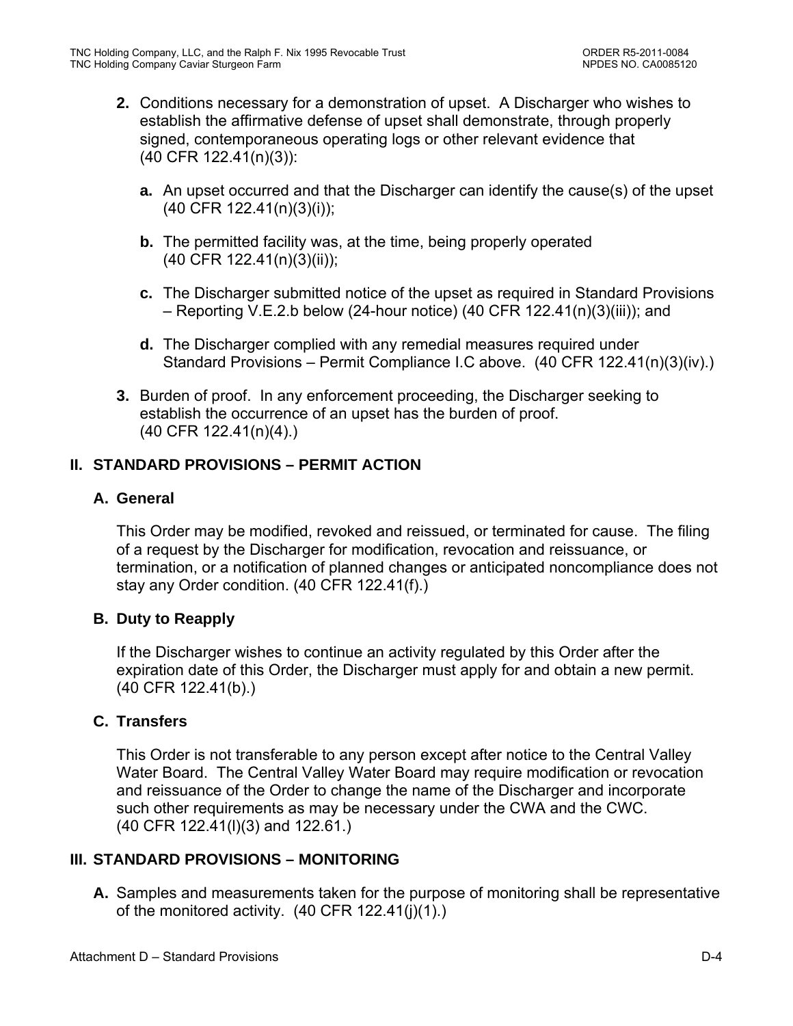- **2.** Conditions necessary for a demonstration of upset. A Discharger who wishes to establish the affirmative defense of upset shall demonstrate, through properly signed, contemporaneous operating logs or other relevant evidence that (40 CFR 122.41(n)(3)):
	- **a.** An upset occurred and that the Discharger can identify the cause(s) of the upset (40 CFR 122.41(n)(3)(i));
	- **b.** The permitted facility was, at the time, being properly operated (40 CFR 122.41(n)(3)(ii));
	- **c.** The Discharger submitted notice of the upset as required in Standard Provisions – Reporting V.E.2.b below (24-hour notice) (40 CFR 122.41(n)(3)(iii)); and
	- **d.** The Discharger complied with any remedial measures required under Standard Provisions – Permit Compliance I.C above. (40 CFR 122.41(n)(3)(iv).)
- **3.** Burden of proof. In any enforcement proceeding, the Discharger seeking to establish the occurrence of an upset has the burden of proof. (40 CFR 122.41(n)(4).)

# **II. STANDARD PROVISIONS – PERMIT ACTION**

# **A. General**

This Order may be modified, revoked and reissued, or terminated for cause. The filing of a request by the Discharger for modification, revocation and reissuance, or termination, or a notification of planned changes or anticipated noncompliance does not stay any Order condition. (40 CFR 122.41(f).)

### **B. Duty to Reapply**

If the Discharger wishes to continue an activity regulated by this Order after the expiration date of this Order, the Discharger must apply for and obtain a new permit. (40 CFR 122.41(b).)

# **C. Transfers**

This Order is not transferable to any person except after notice to the Central Valley Water Board. The Central Valley Water Board may require modification or revocation and reissuance of the Order to change the name of the Discharger and incorporate such other requirements as may be necessary under the CWA and the CWC. (40 CFR 122.41(l)(3) and 122.61.)

# **III. STANDARD PROVISIONS – MONITORING**

**A.** Samples and measurements taken for the purpose of monitoring shall be representative of the monitored activity. (40 CFR 122.41(j)(1).)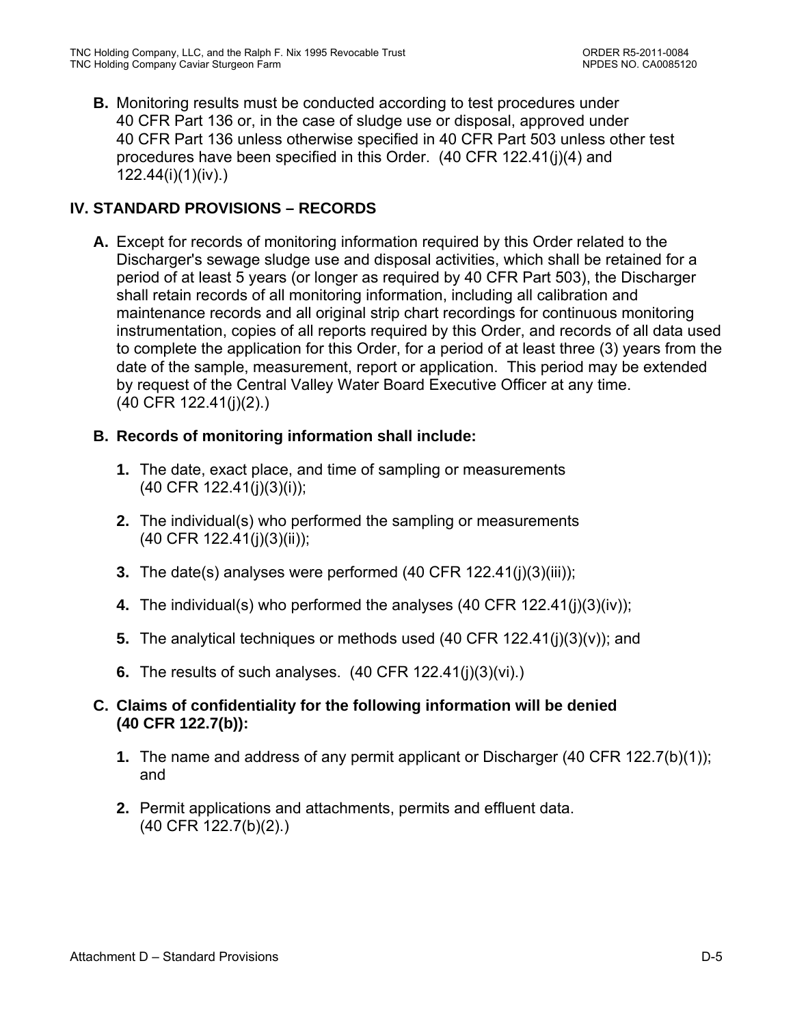**B.** Monitoring results must be conducted according to test procedures under 40 CFR Part 136 or, in the case of sludge use or disposal, approved under 40 CFR Part 136 unless otherwise specified in 40 CFR Part 503 unless other test procedures have been specified in this Order. (40 CFR 122.41(j)(4) and 122.44(i)(1)(iv).)

# **IV. STANDARD PROVISIONS – RECORDS**

**A.** Except for records of monitoring information required by this Order related to the Discharger's sewage sludge use and disposal activities, which shall be retained for a period of at least 5 years (or longer as required by 40 CFR Part 503), the Discharger shall retain records of all monitoring information, including all calibration and maintenance records and all original strip chart recordings for continuous monitoring instrumentation, copies of all reports required by this Order, and records of all data used to complete the application for this Order, for a period of at least three (3) years from the date of the sample, measurement, report or application. This period may be extended by request of the Central Valley Water Board Executive Officer at any time. (40 CFR 122.41(j)(2).)

# **B. Records of monitoring information shall include:**

- **1.** The date, exact place, and time of sampling or measurements (40 CFR 122.41(j)(3)(i));
- **2.** The individual(s) who performed the sampling or measurements (40 CFR 122.41(j)(3)(ii));
- **3.** The date(s) analyses were performed (40 CFR 122.41(j)(3)(iii));
- **4.** The individual(s) who performed the analyses (40 CFR 122.41(j)(3)(iv));
- **5.** The analytical techniques or methods used (40 CFR 122.41(j)(3)(v)); and
- **6.** The results of such analyses. (40 CFR 122.41(j)(3)(vi).)

# **C. Claims of confidentiality for the following information will be denied (40 CFR 122.7(b)):**

- **1.** The name and address of any permit applicant or Discharger (40 CFR 122.7(b)(1)); and
- **2.** Permit applications and attachments, permits and effluent data. (40 CFR 122.7(b)(2).)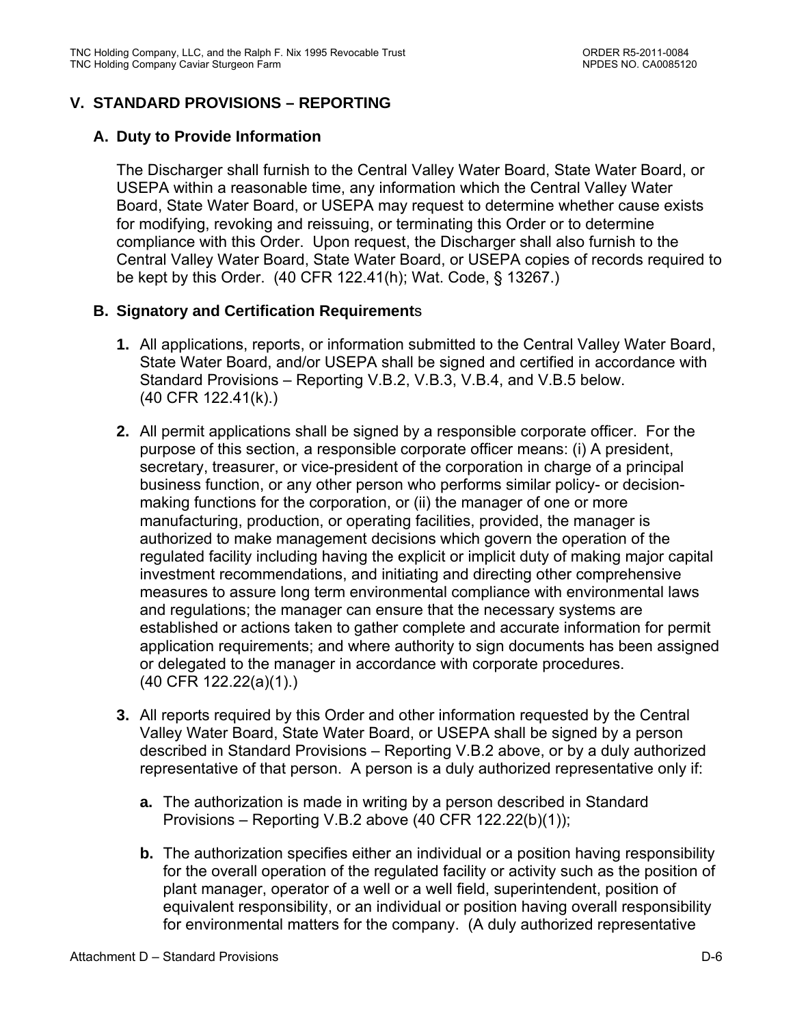## **V. STANDARD PROVISIONS – REPORTING**

### **A. Duty to Provide Information**

The Discharger shall furnish to the Central Valley Water Board, State Water Board, or USEPA within a reasonable time, any information which the Central Valley Water Board, State Water Board, or USEPA may request to determine whether cause exists for modifying, revoking and reissuing, or terminating this Order or to determine compliance with this Order. Upon request, the Discharger shall also furnish to the Central Valley Water Board, State Water Board, or USEPA copies of records required to be kept by this Order. (40 CFR 122.41(h); Wat. Code, § 13267.)

### **B. Signatory and Certification Requirement**s

- **1.** All applications, reports, or information submitted to the Central Valley Water Board, State Water Board, and/or USEPA shall be signed and certified in accordance with Standard Provisions – Reporting V.B.2, V.B.3, V.B.4, and V.B.5 below. (40 CFR 122.41(k).)
- **2.** All permit applications shall be signed by a responsible corporate officer. For the purpose of this section, a responsible corporate officer means: (i) A president, secretary, treasurer, or vice-president of the corporation in charge of a principal business function, or any other person who performs similar policy- or decisionmaking functions for the corporation, or (ii) the manager of one or more manufacturing, production, or operating facilities, provided, the manager is authorized to make management decisions which govern the operation of the regulated facility including having the explicit or implicit duty of making major capital investment recommendations, and initiating and directing other comprehensive measures to assure long term environmental compliance with environmental laws and regulations; the manager can ensure that the necessary systems are established or actions taken to gather complete and accurate information for permit application requirements; and where authority to sign documents has been assigned or delegated to the manager in accordance with corporate procedures. (40 CFR 122.22(a)(1).)
- **3.** All reports required by this Order and other information requested by the Central Valley Water Board, State Water Board, or USEPA shall be signed by a person described in Standard Provisions – Reporting V.B.2 above, or by a duly authorized representative of that person. A person is a duly authorized representative only if:
	- **a.** The authorization is made in writing by a person described in Standard Provisions – Reporting V.B.2 above (40 CFR 122.22(b)(1));
	- **b.** The authorization specifies either an individual or a position having responsibility for the overall operation of the regulated facility or activity such as the position of plant manager, operator of a well or a well field, superintendent, position of equivalent responsibility, or an individual or position having overall responsibility for environmental matters for the company. (A duly authorized representative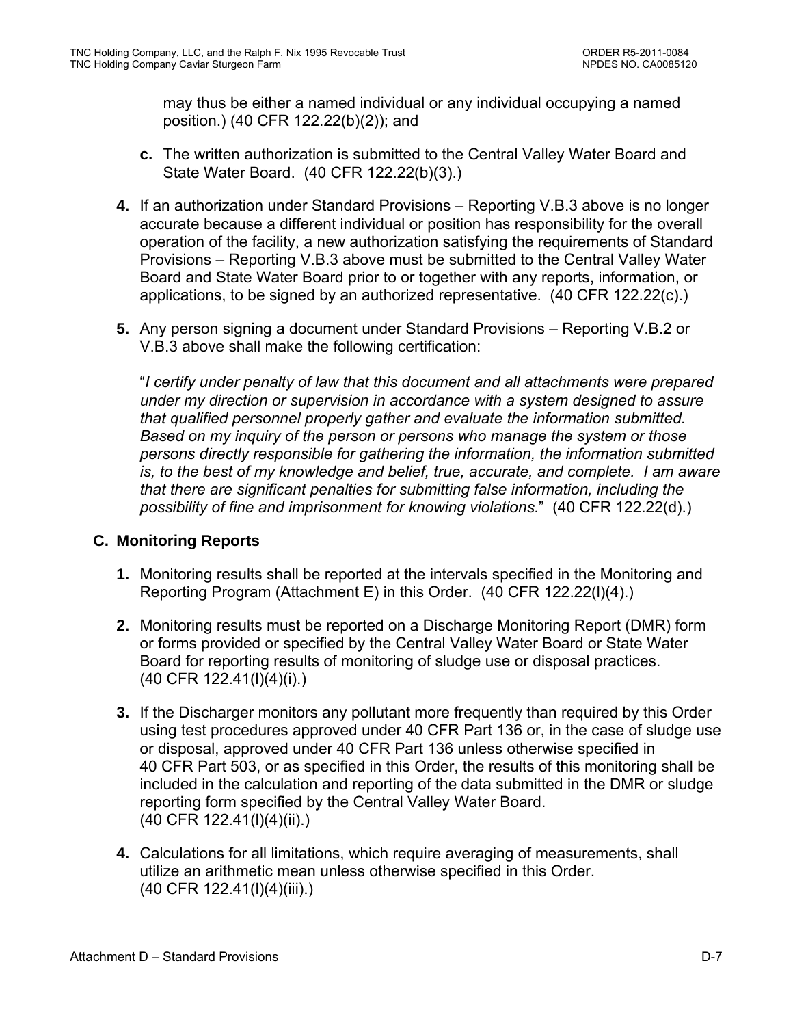may thus be either a named individual or any individual occupying a named position.) (40 CFR 122.22(b)(2)); and

- **c.** The written authorization is submitted to the Central Valley Water Board and State Water Board. (40 CFR 122.22(b)(3).)
- **4.** If an authorization under Standard Provisions Reporting V.B.3 above is no longer accurate because a different individual or position has responsibility for the overall operation of the facility, a new authorization satisfying the requirements of Standard Provisions – Reporting V.B.3 above must be submitted to the Central Valley Water Board and State Water Board prior to or together with any reports, information, or applications, to be signed by an authorized representative. (40 CFR 122.22(c).)
- **5.** Any person signing a document under Standard Provisions Reporting V.B.2 or V.B.3 above shall make the following certification:

"*I certify under penalty of law that this document and all attachments were prepared under my direction or supervision in accordance with a system designed to assure that qualified personnel properly gather and evaluate the information submitted. Based on my inquiry of the person or persons who manage the system or those persons directly responsible for gathering the information, the information submitted is, to the best of my knowledge and belief, true, accurate, and complete. I am aware that there are significant penalties for submitting false information, including the possibility of fine and imprisonment for knowing violations.*" (40 CFR 122.22(d).)

## **C. Monitoring Reports**

- **1.** Monitoring results shall be reported at the intervals specified in the Monitoring and Reporting Program (Attachment E) in this Order. (40 CFR 122.22(l)(4).)
- **2.** Monitoring results must be reported on a Discharge Monitoring Report (DMR) form or forms provided or specified by the Central Valley Water Board or State Water Board for reporting results of monitoring of sludge use or disposal practices. (40 CFR 122.41(l)(4)(i).)
- **3.** If the Discharger monitors any pollutant more frequently than required by this Order using test procedures approved under 40 CFR Part 136 or, in the case of sludge use or disposal, approved under 40 CFR Part 136 unless otherwise specified in 40 CFR Part 503, or as specified in this Order, the results of this monitoring shall be included in the calculation and reporting of the data submitted in the DMR or sludge reporting form specified by the Central Valley Water Board. (40 CFR 122.41(l)(4)(ii).)
- **4.** Calculations for all limitations, which require averaging of measurements, shall utilize an arithmetic mean unless otherwise specified in this Order. (40 CFR 122.41(l)(4)(iii).)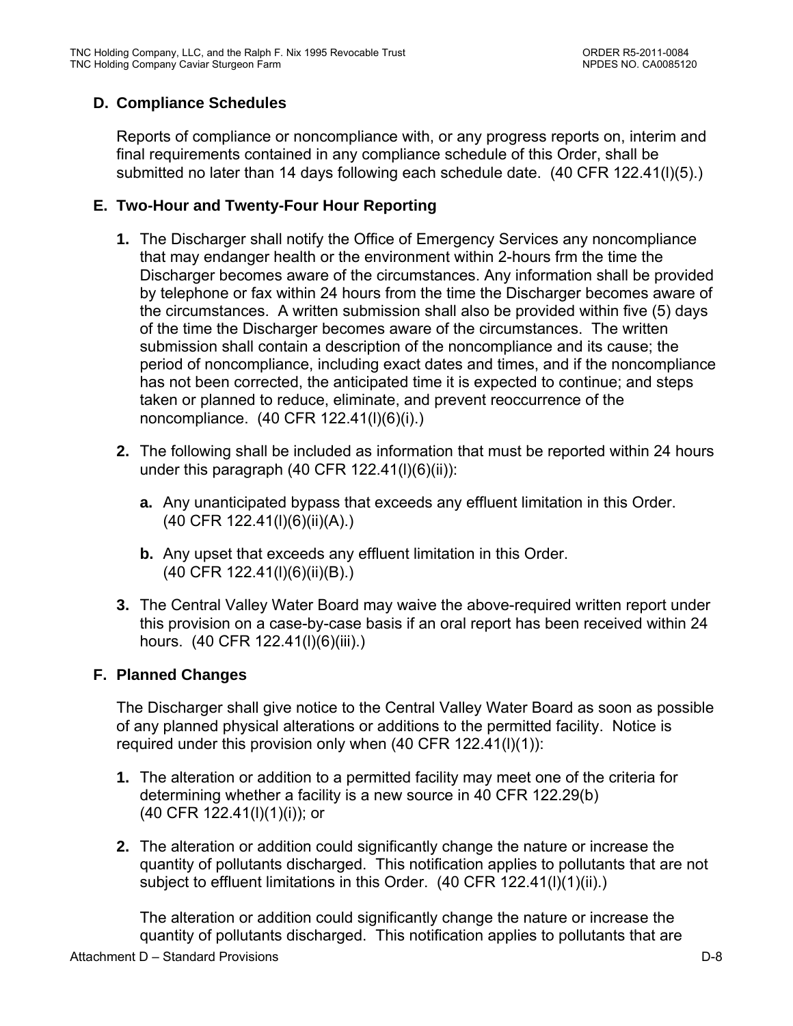## **D. Compliance Schedules**

Reports of compliance or noncompliance with, or any progress reports on, interim and final requirements contained in any compliance schedule of this Order, shall be submitted no later than 14 days following each schedule date. (40 CFR 122.41(l)(5).)

## **E. Two-Hour and Twenty-Four Hour Reporting**

- **1.** The Discharger shall notify the Office of Emergency Services any noncompliance that may endanger health or the environment within 2-hours frm the time the Discharger becomes aware of the circumstances. Any information shall be provided by telephone or fax within 24 hours from the time the Discharger becomes aware of the circumstances. A written submission shall also be provided within five (5) days of the time the Discharger becomes aware of the circumstances. The written submission shall contain a description of the noncompliance and its cause; the period of noncompliance, including exact dates and times, and if the noncompliance has not been corrected, the anticipated time it is expected to continue; and steps taken or planned to reduce, eliminate, and prevent reoccurrence of the noncompliance. (40 CFR 122.41(l)(6)(i).)
- **2.** The following shall be included as information that must be reported within 24 hours under this paragraph (40 CFR 122.41(l)(6)(ii)):
	- **a.** Any unanticipated bypass that exceeds any effluent limitation in this Order. (40 CFR 122.41(l)(6)(ii)(A).)
	- **b.** Any upset that exceeds any effluent limitation in this Order. (40 CFR 122.41(l)(6)(ii)(B).)
- **3.** The Central Valley Water Board may waive the above-required written report under this provision on a case-by-case basis if an oral report has been received within 24 hours. (40 CFR 122.41(I)(6)(iii).)

## **F. Planned Changes**

The Discharger shall give notice to the Central Valley Water Board as soon as possible of any planned physical alterations or additions to the permitted facility. Notice is required under this provision only when (40 CFR 122.41(l)(1)):

- **1.** The alteration or addition to a permitted facility may meet one of the criteria for determining whether a facility is a new source in 40 CFR 122.29(b) (40 CFR 122.41(l)(1)(i)); or
- **2.** The alteration or addition could significantly change the nature or increase the quantity of pollutants discharged. This notification applies to pollutants that are not subject to effluent limitations in this Order. (40 CFR 122.41(I)(1)(ii).)

The alteration or addition could significantly change the nature or increase the quantity of pollutants discharged. This notification applies to pollutants that are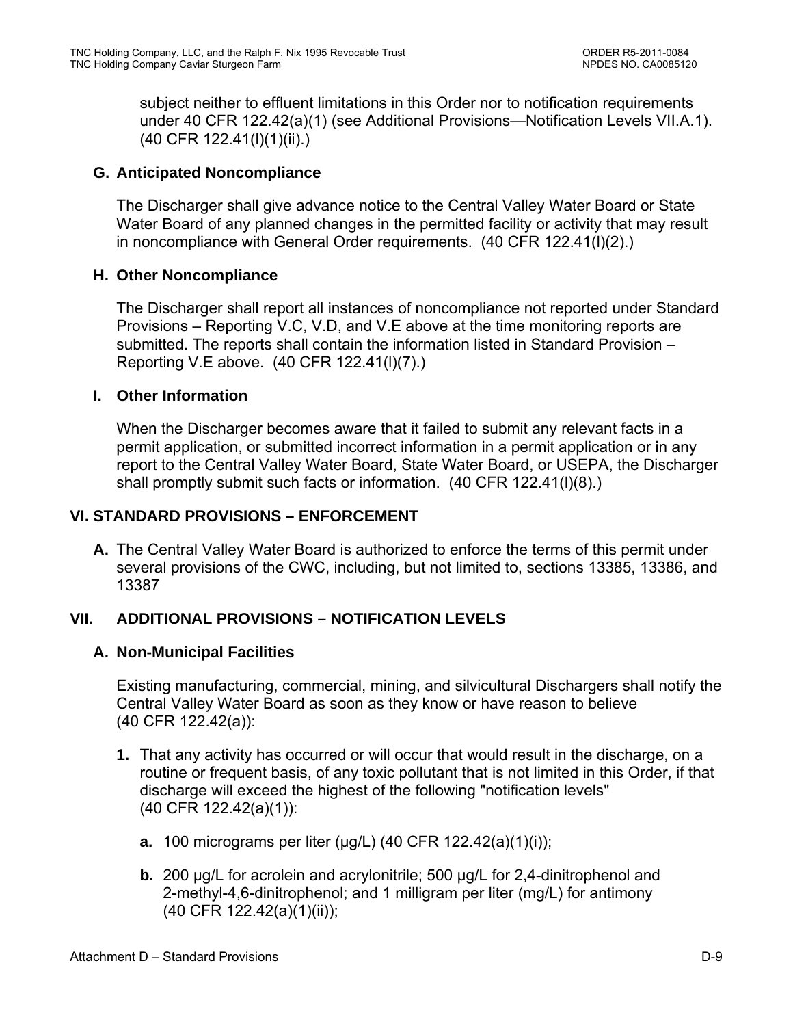subject neither to effluent limitations in this Order nor to notification requirements under 40 CFR 122.42(a)(1) (see Additional Provisions—Notification Levels VII.A.1). (40 CFR 122.41(l)(1)(ii).)

### **G. Anticipated Noncompliance**

The Discharger shall give advance notice to the Central Valley Water Board or State Water Board of any planned changes in the permitted facility or activity that may result in noncompliance with General Order requirements. (40 CFR 122.41(l)(2).)

### **H. Other Noncompliance**

The Discharger shall report all instances of noncompliance not reported under Standard Provisions – Reporting V.C, V.D, and V.E above at the time monitoring reports are submitted. The reports shall contain the information listed in Standard Provision – Reporting V.E above. (40 CFR 122.41(l)(7).)

### **I. Other Information**

When the Discharger becomes aware that it failed to submit any relevant facts in a permit application, or submitted incorrect information in a permit application or in any report to the Central Valley Water Board, State Water Board, or USEPA, the Discharger shall promptly submit such facts or information. (40 CFR 122.41(l)(8).)

### **VI. STANDARD PROVISIONS – ENFORCEMENT**

**A.** The Central Valley Water Board is authorized to enforce the terms of this permit under several provisions of the CWC, including, but not limited to, sections 13385, 13386, and 13387

## **VII. ADDITIONAL PROVISIONS – NOTIFICATION LEVELS**

## **A. Non-Municipal Facilities**

Existing manufacturing, commercial, mining, and silvicultural Dischargers shall notify the Central Valley Water Board as soon as they know or have reason to believe (40 CFR 122.42(a)):

- **1.** That any activity has occurred or will occur that would result in the discharge, on a routine or frequent basis, of any toxic pollutant that is not limited in this Order, if that discharge will exceed the highest of the following "notification levels" (40 CFR 122.42(a)(1)):
	- **a.** 100 micrograms per liter (μg/L) (40 CFR 122.42(a)(1)(i));
	- **b.** 200 μg/L for acrolein and acrylonitrile; 500 μg/L for 2,4-dinitrophenol and 2-methyl-4,6-dinitrophenol; and 1 milligram per liter (mg/L) for antimony (40 CFR 122.42(a)(1)(ii));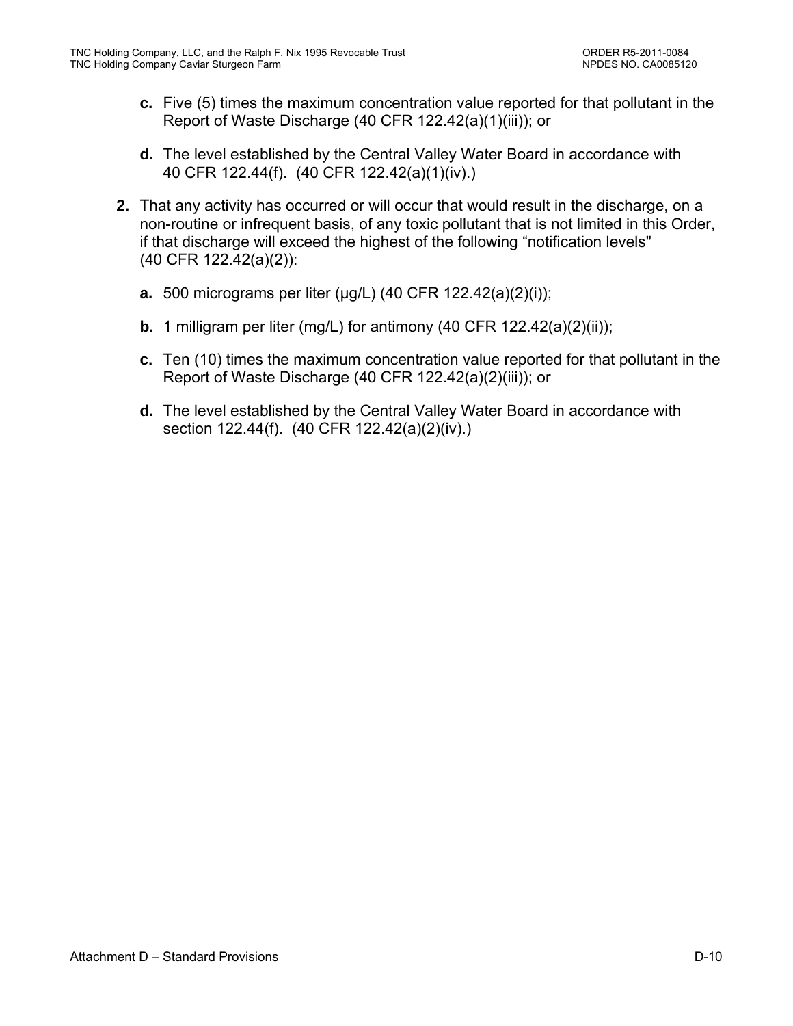- **c.** Five (5) times the maximum concentration value reported for that pollutant in the Report of Waste Discharge (40 CFR 122.42(a)(1)(iii)); or
- **d.** The level established by the Central Valley Water Board in accordance with 40 CFR 122.44(f). (40 CFR 122.42(a)(1)(iv).)
- **2.** That any activity has occurred or will occur that would result in the discharge, on a non-routine or infrequent basis, of any toxic pollutant that is not limited in this Order, if that discharge will exceed the highest of the following "notification levels" (40 CFR 122.42(a)(2)):
	- **a.** 500 micrograms per liter (μg/L) (40 CFR 122.42(a)(2)(i));
	- **b.** 1 milligram per liter (mg/L) for antimony (40 CFR 122.42(a)(2)(ii));
	- **c.** Ten (10) times the maximum concentration value reported for that pollutant in the Report of Waste Discharge (40 CFR 122.42(a)(2)(iii)); or
	- **d.** The level established by the Central Valley Water Board in accordance with section 122.44(f). (40 CFR 122.42(a)(2)(iv).)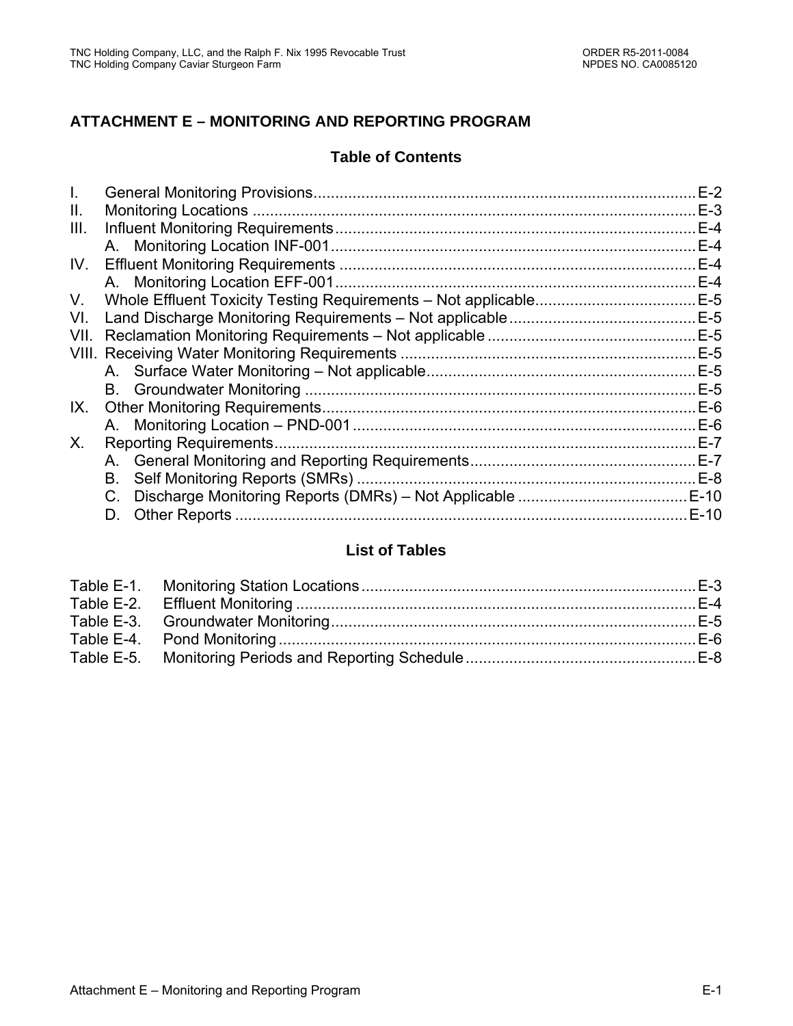## **ATTACHMENT E – MONITORING AND REPORTING PROGRAM**

### **Table of Contents**

|      |                               | $E-2$  |
|------|-------------------------------|--------|
| Ш.   |                               | $E-3$  |
| III. |                               | $E-4$  |
|      |                               | $E-4$  |
| IV.  |                               | $E-4$  |
|      |                               | $E-4$  |
| V.   |                               | $E-5$  |
| VI.  |                               |        |
| VII. |                               |        |
|      |                               | E-5    |
|      |                               | $E-5$  |
|      |                               |        |
| IX.  |                               | $E-6$  |
|      |                               | $E-6$  |
| X.   | <b>Reporting Requirements</b> | $E-7$  |
|      |                               | $E-7$  |
|      | В.                            |        |
|      |                               | $E-10$ |
|      | D.                            | $E-10$ |
|      |                               |        |

## **List of Tables**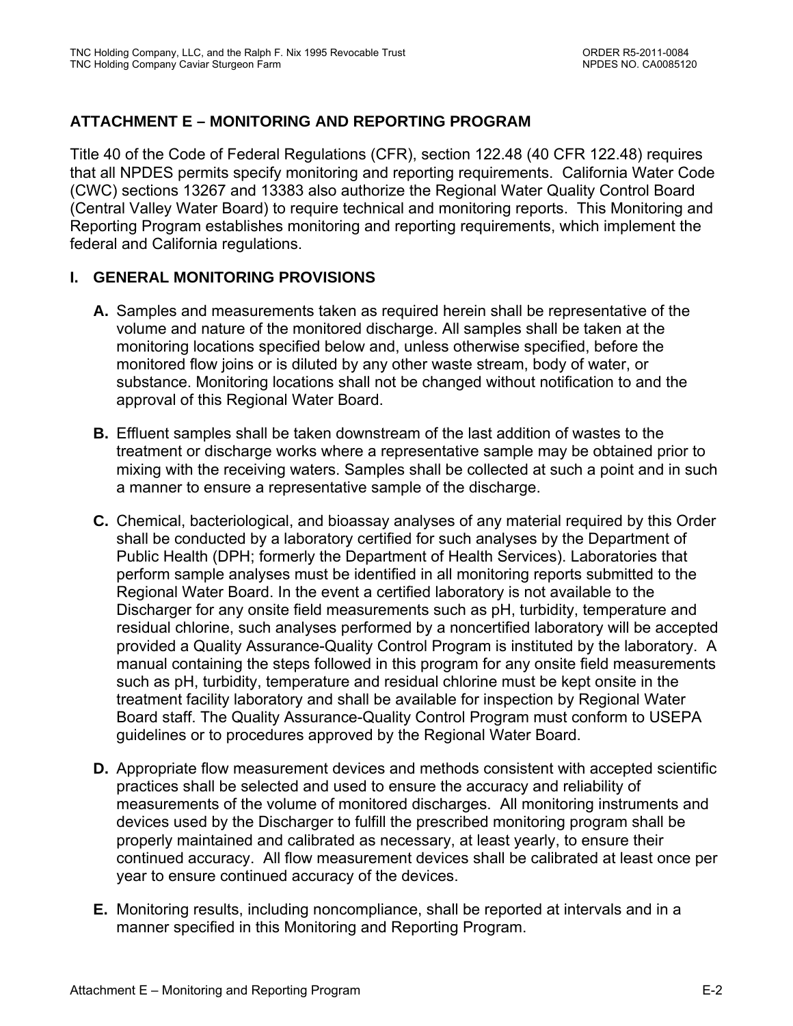## **ATTACHMENT E – MONITORING AND REPORTING PROGRAM**

Title 40 of the Code of Federal Regulations (CFR), section 122.48 (40 CFR 122.48) requires that all NPDES permits specify monitoring and reporting requirements. California Water Code (CWC) sections 13267 and 13383 also authorize the Regional Water Quality Control Board (Central Valley Water Board) to require technical and monitoring reports. This Monitoring and Reporting Program establishes monitoring and reporting requirements, which implement the federal and California regulations.

### **I. GENERAL MONITORING PROVISIONS**

- **A.** Samples and measurements taken as required herein shall be representative of the volume and nature of the monitored discharge. All samples shall be taken at the monitoring locations specified below and, unless otherwise specified, before the monitored flow joins or is diluted by any other waste stream, body of water, or substance. Monitoring locations shall not be changed without notification to and the approval of this Regional Water Board.
- **B.** Effluent samples shall be taken downstream of the last addition of wastes to the treatment or discharge works where a representative sample may be obtained prior to mixing with the receiving waters. Samples shall be collected at such a point and in such a manner to ensure a representative sample of the discharge.
- **C.** Chemical, bacteriological, and bioassay analyses of any material required by this Order shall be conducted by a laboratory certified for such analyses by the Department of Public Health (DPH; formerly the Department of Health Services). Laboratories that perform sample analyses must be identified in all monitoring reports submitted to the Regional Water Board. In the event a certified laboratory is not available to the Discharger for any onsite field measurements such as pH, turbidity, temperature and residual chlorine, such analyses performed by a noncertified laboratory will be accepted provided a Quality Assurance-Quality Control Program is instituted by the laboratory. A manual containing the steps followed in this program for any onsite field measurements such as pH, turbidity, temperature and residual chlorine must be kept onsite in the treatment facility laboratory and shall be available for inspection by Regional Water Board staff. The Quality Assurance-Quality Control Program must conform to USEPA guidelines or to procedures approved by the Regional Water Board.
- **D.** Appropriate flow measurement devices and methods consistent with accepted scientific practices shall be selected and used to ensure the accuracy and reliability of measurements of the volume of monitored discharges. All monitoring instruments and devices used by the Discharger to fulfill the prescribed monitoring program shall be properly maintained and calibrated as necessary, at least yearly, to ensure their continued accuracy. All flow measurement devices shall be calibrated at least once per year to ensure continued accuracy of the devices.
- **E.** Monitoring results, including noncompliance, shall be reported at intervals and in a manner specified in this Monitoring and Reporting Program.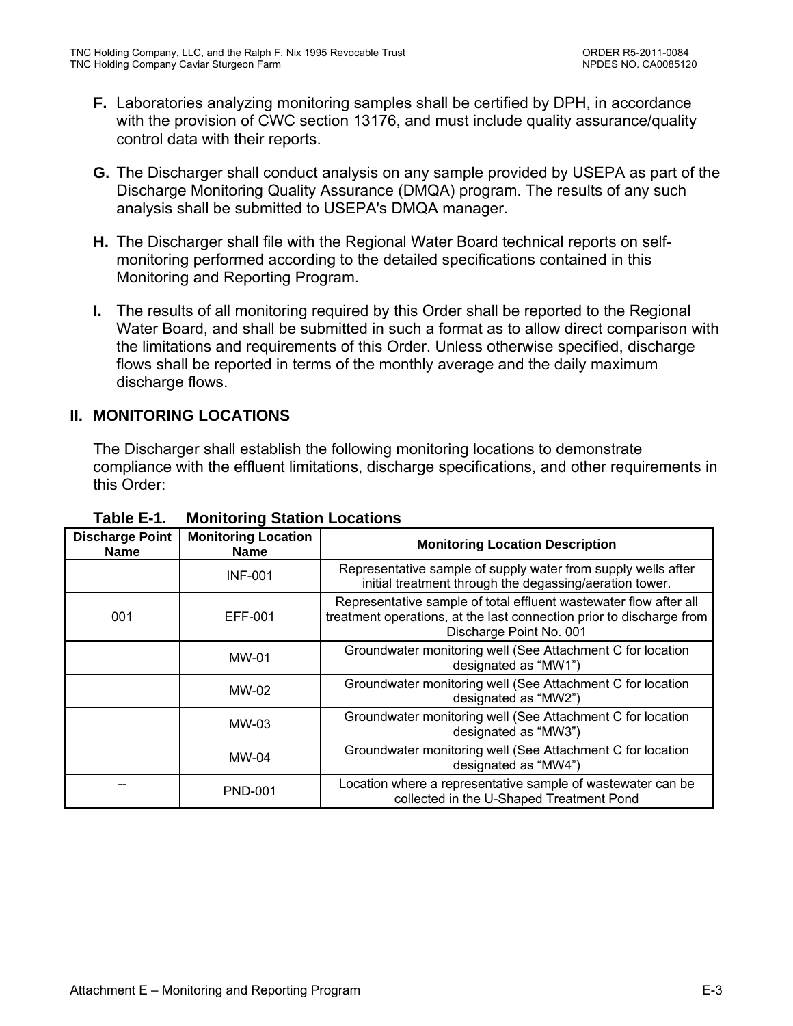- **F.** Laboratories analyzing monitoring samples shall be certified by DPH, in accordance with the provision of CWC section 13176, and must include quality assurance/quality control data with their reports.
- **G.** The Discharger shall conduct analysis on any sample provided by USEPA as part of the Discharge Monitoring Quality Assurance (DMQA) program. The results of any such analysis shall be submitted to USEPA's DMQA manager.
- **H.** The Discharger shall file with the Regional Water Board technical reports on selfmonitoring performed according to the detailed specifications contained in this Monitoring and Reporting Program.
- **I.** The results of all monitoring required by this Order shall be reported to the Regional Water Board, and shall be submitted in such a format as to allow direct comparison with the limitations and requirements of this Order. Unless otherwise specified, discharge flows shall be reported in terms of the monthly average and the daily maximum discharge flows.

## **II. MONITORING LOCATIONS**

The Discharger shall establish the following monitoring locations to demonstrate compliance with the effluent limitations, discharge specifications, and other requirements in this Order:

| <b>Discharge Point</b><br><b>Name</b> | <b>Monitoring Location</b><br><b>Name</b> | <b>Monitoring Location Description</b>                                                                                                                               |
|---------------------------------------|-------------------------------------------|----------------------------------------------------------------------------------------------------------------------------------------------------------------------|
|                                       | <b>INF-001</b>                            | Representative sample of supply water from supply wells after<br>initial treatment through the degassing/aeration tower.                                             |
| 001                                   | EFF-001                                   | Representative sample of total effluent wastewater flow after all<br>treatment operations, at the last connection prior to discharge from<br>Discharge Point No. 001 |
|                                       | MW-01                                     | Groundwater monitoring well (See Attachment C for location<br>designated as "MW1")                                                                                   |
|                                       | MW-02                                     | Groundwater monitoring well (See Attachment C for location<br>designated as "MW2")                                                                                   |
|                                       | MW-03                                     | Groundwater monitoring well (See Attachment C for location<br>designated as "MW3")                                                                                   |
|                                       | MW-04                                     | Groundwater monitoring well (See Attachment C for location<br>designated as "MW4")                                                                                   |
|                                       | <b>PND-001</b>                            | Location where a representative sample of wastewater can be<br>collected in the U-Shaped Treatment Pond                                                              |

**Table E-1. Monitoring Station Locations**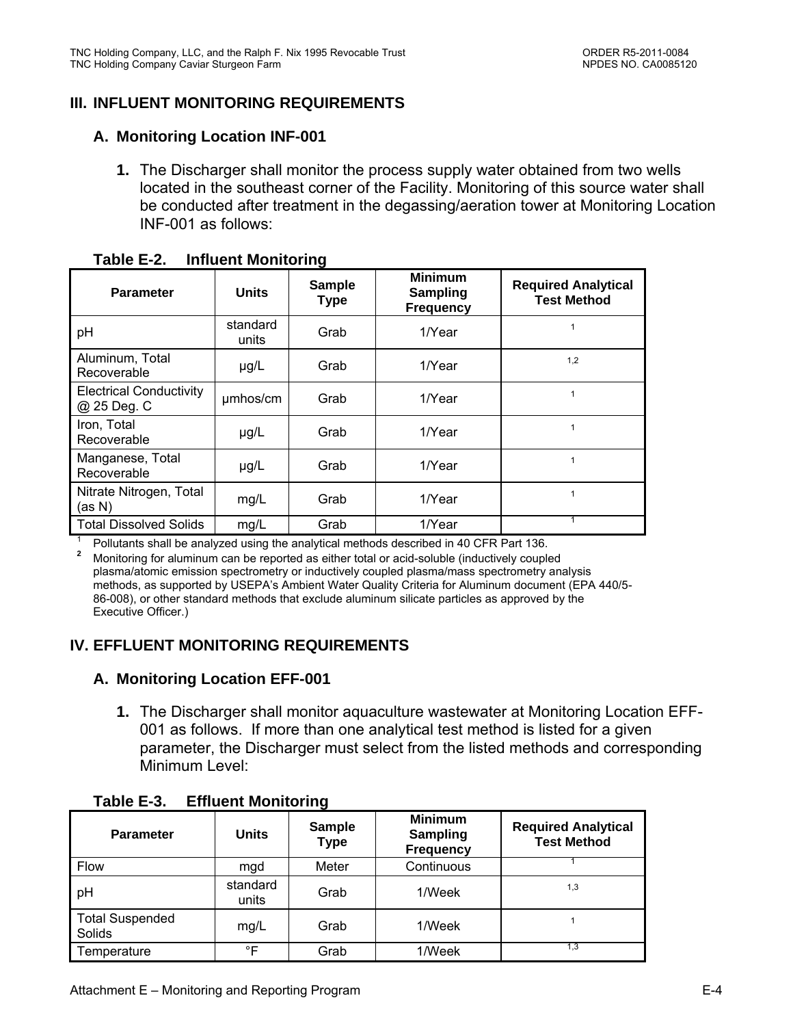## **III. INFLUENT MONITORING REQUIREMENTS**

#### **A. Monitoring Location INF-001**

**1.** The Discharger shall monitor the process supply water obtained from two wells located in the southeast corner of the Facility. Monitoring of this source water shall be conducted after treatment in the degassing/aeration tower at Monitoring Location INF-001 as follows:

| <b>Parameter</b>                              | <b>Units</b>      | <b>Sample</b><br><b>Type</b> | <b>Minimum</b><br><b>Sampling</b><br><b>Frequency</b> | <b>Required Analytical</b><br><b>Test Method</b> |
|-----------------------------------------------|-------------------|------------------------------|-------------------------------------------------------|--------------------------------------------------|
| pH                                            | standard<br>units | Grab                         | 1/Year                                                |                                                  |
| Aluminum, Total<br>Recoverable                | $\mu$ g/L         | Grab                         | 1/Year                                                | 1,2                                              |
| <b>Electrical Conductivity</b><br>@ 25 Deg. C | umhos/cm          | Grab                         | 1/Year                                                | 1                                                |
| Iron, Total<br>Recoverable                    | $\mu$ g/L         | Grab                         | 1/Year                                                |                                                  |
| Manganese, Total<br>Recoverable               | $\mu$ g/L         | Grab                         | 1/Year                                                |                                                  |
| Nitrate Nitrogen, Total<br>(as N)             | mg/L              | Grab                         | 1/Year                                                |                                                  |
| <b>Total Dissolved Solids</b>                 | mg/L              | Grab                         | 1/Year                                                |                                                  |

| Table E-2. | <b>Influent Monitoring</b> |
|------------|----------------------------|
|------------|----------------------------|

1 Pollutants shall be analyzed using the analytical methods described in 40 CFR Part 136.

**<sup>2</sup>**Monitoring for aluminum can be reported as either total or acid-soluble (inductively coupled plasma/atomic emission spectrometry or inductively coupled plasma/mass spectrometry analysis methods, as supported by USEPA's Ambient Water Quality Criteria for Aluminum document (EPA 440/5- 86-008), or other standard methods that exclude aluminum silicate particles as approved by the Executive Officer.)

### **IV. EFFLUENT MONITORING REQUIREMENTS**

### **A. Monitoring Location EFF-001**

**1.** The Discharger shall monitor aquaculture wastewater at Monitoring Location EFF-001 as follows. If more than one analytical test method is listed for a given parameter, the Discharger must select from the listed methods and corresponding Minimum Level:

| <b>Parameter</b>                 | <b>Units</b>      | <b>Sample</b><br><b>Type</b> | <b>Minimum</b><br>Sampling<br><b>Frequency</b> | <b>Required Analytical</b><br><b>Test Method</b> |
|----------------------------------|-------------------|------------------------------|------------------------------------------------|--------------------------------------------------|
| Flow                             | mgd               | Meter                        | Continuous                                     |                                                  |
| pH                               | standard<br>units | Grab                         | 1/Week                                         | 1,3                                              |
| <b>Total Suspended</b><br>Solids | mg/L              | Grab                         | 1/Week                                         |                                                  |
| Temperature                      | °F                | Grab                         | 1/Week                                         | 1.3                                              |

### **Table E-3. Effluent Monitoring**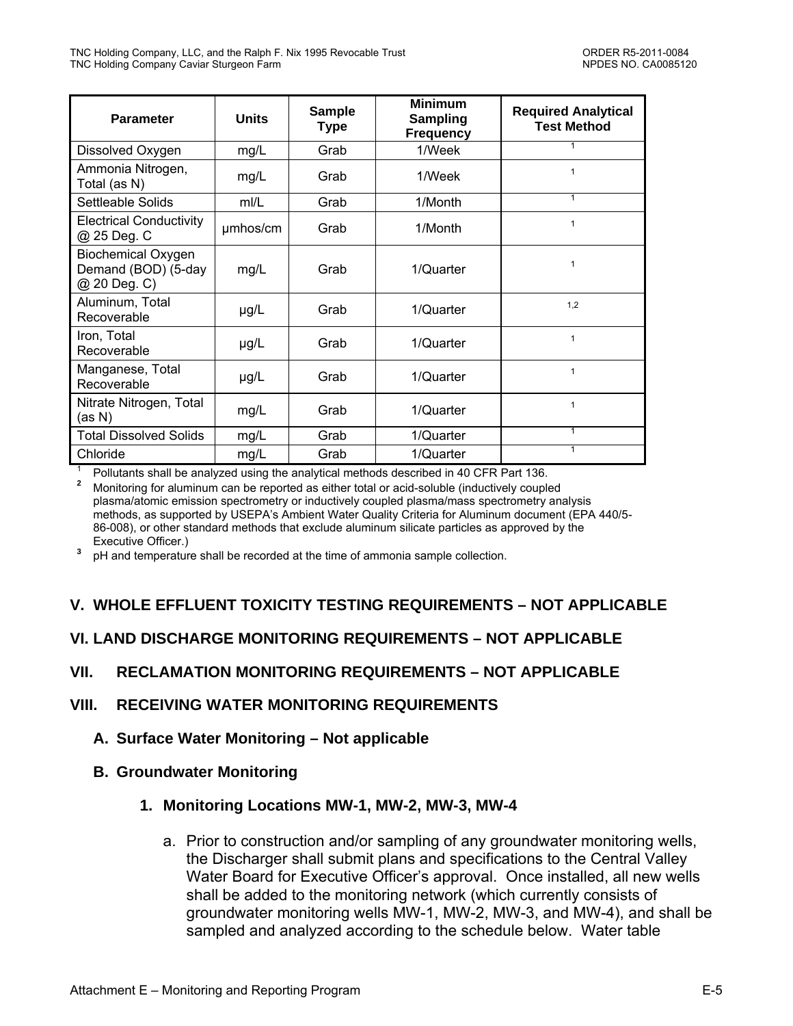| <b>Parameter</b>                                                 | <b>Units</b> | <b>Sample</b><br><b>Type</b> | <b>Minimum</b><br><b>Sampling</b><br><b>Frequency</b> | <b>Required Analytical</b><br><b>Test Method</b> |
|------------------------------------------------------------------|--------------|------------------------------|-------------------------------------------------------|--------------------------------------------------|
| Dissolved Oxygen                                                 | mg/L         | Grab                         | 1/Week                                                | 1                                                |
| Ammonia Nitrogen,<br>Total (as N)                                | mg/L         | Grab                         | 1/Week                                                | $\mathbf{1}$                                     |
| Settleable Solids                                                | m/L          | Grab                         | 1/Month                                               | $\mathbf{1}$                                     |
| <b>Electrical Conductivity</b><br>@ 25 Deg. C                    | umhos/cm     | Grab                         | 1/Month                                               | 1                                                |
| <b>Biochemical Oxygen</b><br>Demand (BOD) (5-day<br>@ 20 Deg. C) | mg/L         | Grab                         | 1/Quarter                                             | $\mathbf{1}$                                     |
| Aluminum, Total<br>Recoverable                                   | $\mu$ g/L    | Grab                         | 1/Quarter                                             | 1.2                                              |
| Iron, Total<br>Recoverable                                       | $\mu$ g/L    | Grab                         | 1/Quarter                                             | $\mathbf{1}$                                     |
| Manganese, Total<br>Recoverable                                  | $\mu$ g/L    | Grab                         | 1/Quarter                                             | $\mathbf{1}$                                     |
| Nitrate Nitrogen, Total<br>(as N)                                | mg/L         | Grab                         | 1/Quarter                                             | $\mathbf{1}$                                     |
| <b>Total Dissolved Solids</b>                                    | mg/L         | Grab                         | 1/Quarter                                             | $\mathbf{1}$                                     |
| Chloride                                                         | mg/L         | Grab                         | 1/Quarter                                             | $\mathbf{1}$                                     |

1 Pollutants shall be analyzed using the analytical methods described in 40 CFR Part 136.

**<sup>2</sup>**Monitoring for aluminum can be reported as either total or acid-soluble (inductively coupled plasma/atomic emission spectrometry or inductively coupled plasma/mass spectrometry analysis methods, as supported by USEPA's Ambient Water Quality Criteria for Aluminum document (EPA 440/5- 86-008), or other standard methods that exclude aluminum silicate particles as approved by the Executive Officer.)

<sup>3</sup> pH and temperature shall be recorded at the time of ammonia sample collection.

## **V. WHOLE EFFLUENT TOXICITY TESTING REQUIREMENTS – NOT APPLICABLE**

## **VI. LAND DISCHARGE MONITORING REQUIREMENTS – NOT APPLICABLE**

### **VII. RECLAMATION MONITORING REQUIREMENTS – NOT APPLICABLE**

### **VIII. RECEIVING WATER MONITORING REQUIREMENTS**

- **A. Surface Water Monitoring Not applicable**
- **B. Groundwater Monitoring**

### **1. Monitoring Locations MW-1, MW-2, MW-3, MW-4**

a. Prior to construction and/or sampling of any groundwater monitoring wells, the Discharger shall submit plans and specifications to the Central Valley Water Board for Executive Officer's approval. Once installed, all new wells shall be added to the monitoring network (which currently consists of groundwater monitoring wells MW-1, MW-2, MW-3, and MW-4), and shall be sampled and analyzed according to the schedule below. Water table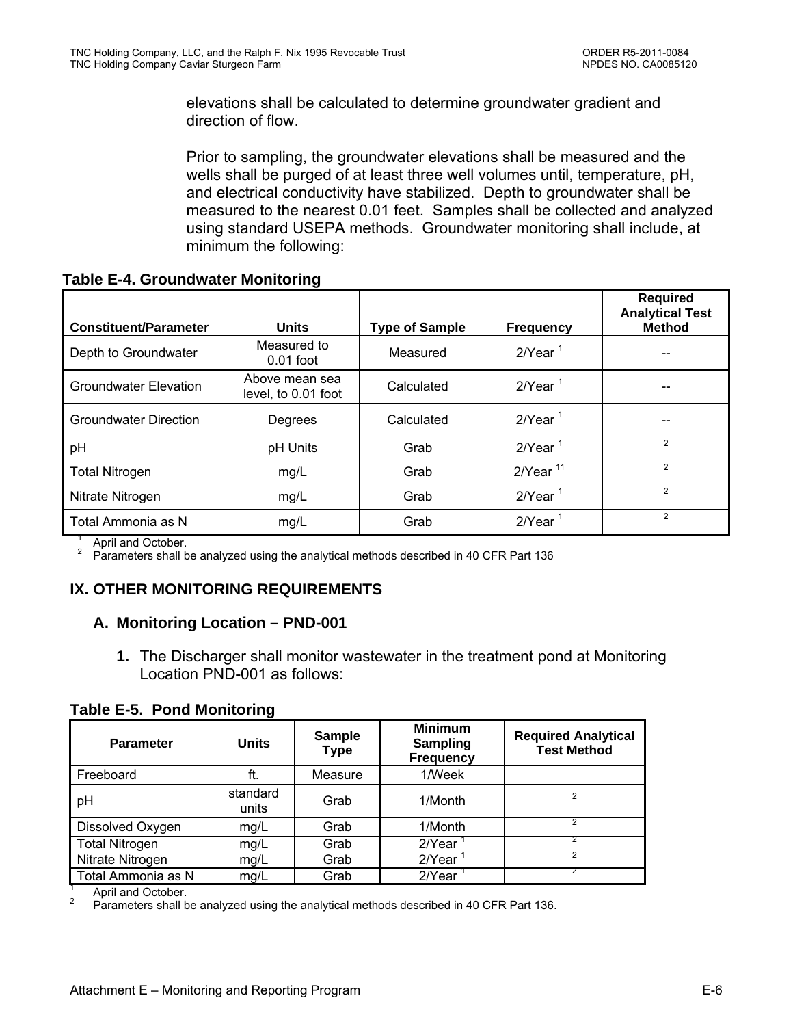elevations shall be calculated to determine groundwater gradient and direction of flow.

Prior to sampling, the groundwater elevations shall be measured and the wells shall be purged of at least three well volumes until, temperature, pH, and electrical conductivity have stabilized. Depth to groundwater shall be measured to the nearest 0.01 feet. Samples shall be collected and analyzed using standard USEPA methods. Groundwater monitoring shall include, at minimum the following:

**Table E-4. Groundwater Monitoring** 

|                              |                                       |                       |                        | <b>Required</b><br><b>Analytical Test</b> |
|------------------------------|---------------------------------------|-----------------------|------------------------|-------------------------------------------|
| <b>Constituent/Parameter</b> | <b>Units</b>                          | <b>Type of Sample</b> | <b>Frequency</b>       | <b>Method</b>                             |
| Depth to Groundwater         | Measured to<br>$0.01$ foot            | Measured              | $2$ /Year <sup>1</sup> |                                           |
| <b>Groundwater Elevation</b> | Above mean sea<br>level, to 0.01 foot | Calculated            | $2$ /Year <sup>1</sup> |                                           |
| <b>Groundwater Direction</b> | Degrees                               | Calculated            | $2$ /Year <sup>1</sup> |                                           |
| pH                           | pH Units                              | Grab                  | $2$ /Year <sup>1</sup> | $\overline{2}$                            |
| <b>Total Nitrogen</b>        | mg/L                                  | Grab                  | $2$ Year <sup>11</sup> | $\overline{2}$                            |
| Nitrate Nitrogen             | mg/L                                  | Grab                  | $2$ /Year <sup>1</sup> | $\overline{2}$                            |
| Total Ammonia as N           | mg/L                                  | Grab                  | $2$ /Year <sup>1</sup> | $\mathcal{P}$                             |

1 April and October. 2

Parameters shall be analyzed using the analytical methods described in 40 CFR Part 136

## **IX. OTHER MONITORING REQUIREMENTS**

### **A. Monitoring Location – PND-001**

**1.** The Discharger shall monitor wastewater in the treatment pond at Monitoring Location PND-001 as follows:

**Table E-5. Pond Monitoring** 

| <b>Parameter</b>      | <b>Units</b>      | <b>Sample</b><br>Type | <b>Minimum</b><br><b>Sampling</b><br><b>Frequency</b> | <b>Required Analytical</b><br><b>Test Method</b> |
|-----------------------|-------------------|-----------------------|-------------------------------------------------------|--------------------------------------------------|
| Freeboard             | ft.               | Measure               | 1/Week                                                |                                                  |
| pH                    | standard<br>units | Grab                  | 1/Month                                               | 2                                                |
| Dissolved Oxygen      | mg/L              | Grab                  | 1/Month                                               |                                                  |
| <b>Total Nitrogen</b> | mg/L              | Grab                  | 2/Year                                                |                                                  |
| Nitrate Nitrogen      | mg/L              | Grab                  | 2/Year                                                |                                                  |
| Total Ammonia as N    | mg/L              | Grab                  | 2/Year                                                |                                                  |

April and October.

1

2 Parameters shall be analyzed using the analytical methods described in 40 CFR Part 136.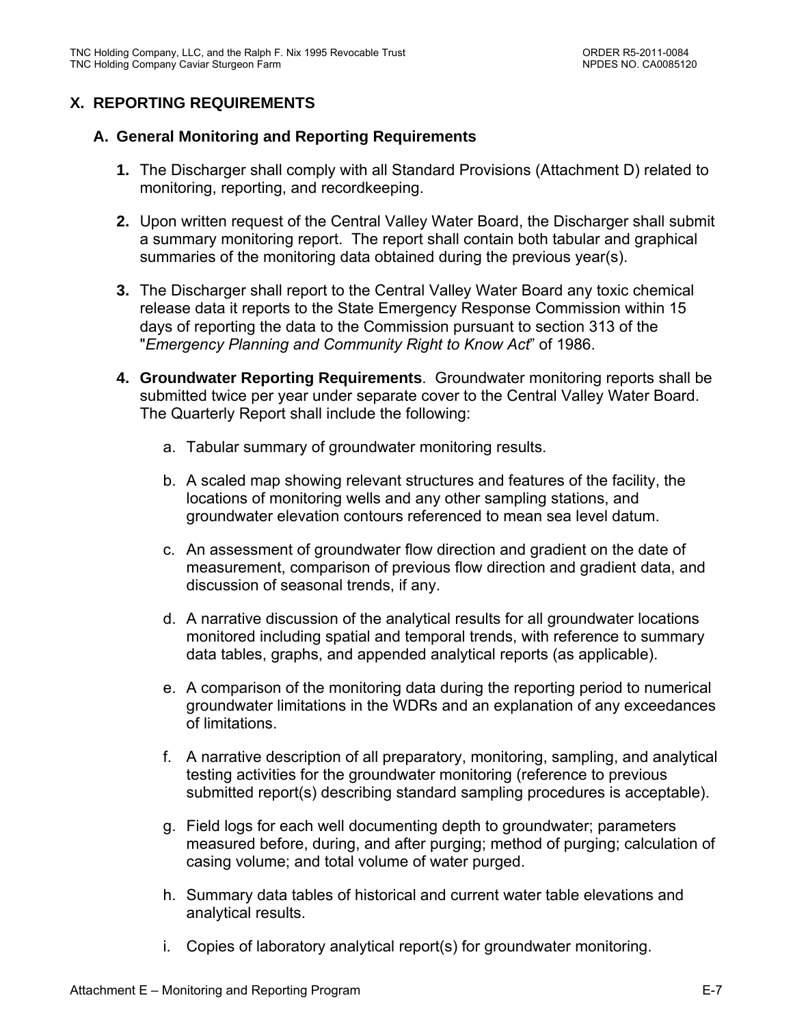## **X. REPORTING REQUIREMENTS**

### **A. General Monitoring and Reporting Requirements**

- **1.** The Discharger shall comply with all Standard Provisions (Attachment D) related to monitoring, reporting, and recordkeeping.
- **2.** Upon written request of the Central Valley Water Board, the Discharger shall submit a summary monitoring report. The report shall contain both tabular and graphical summaries of the monitoring data obtained during the previous year(s).
- **3.** The Discharger shall report to the Central Valley Water Board any toxic chemical release data it reports to the State Emergency Response Commission within 15 days of reporting the data to the Commission pursuant to section 313 of the "*Emergency Planning and Community Right to Know Act*" of 1986.
- **4. Groundwater Reporting Requirements**. Groundwater monitoring reports shall be submitted twice per year under separate cover to the Central Valley Water Board. The Quarterly Report shall include the following:
	- a. Tabular summary of groundwater monitoring results.
	- b. A scaled map showing relevant structures and features of the facility, the locations of monitoring wells and any other sampling stations, and groundwater elevation contours referenced to mean sea level datum.
	- c. An assessment of groundwater flow direction and gradient on the date of measurement, comparison of previous flow direction and gradient data, and discussion of seasonal trends, if any.
	- d. A narrative discussion of the analytical results for all groundwater locations monitored including spatial and temporal trends, with reference to summary data tables, graphs, and appended analytical reports (as applicable).
	- e. A comparison of the monitoring data during the reporting period to numerical groundwater limitations in the WDRs and an explanation of any exceedances of limitations.
	- f. A narrative description of all preparatory, monitoring, sampling, and analytical testing activities for the groundwater monitoring (reference to previous submitted report(s) describing standard sampling procedures is acceptable).
	- g. Field logs for each well documenting depth to groundwater; parameters measured before, during, and after purging; method of purging; calculation of casing volume; and total volume of water purged.
	- h. Summary data tables of historical and current water table elevations and analytical results.
	- i. Copies of laboratory analytical report(s) for groundwater monitoring.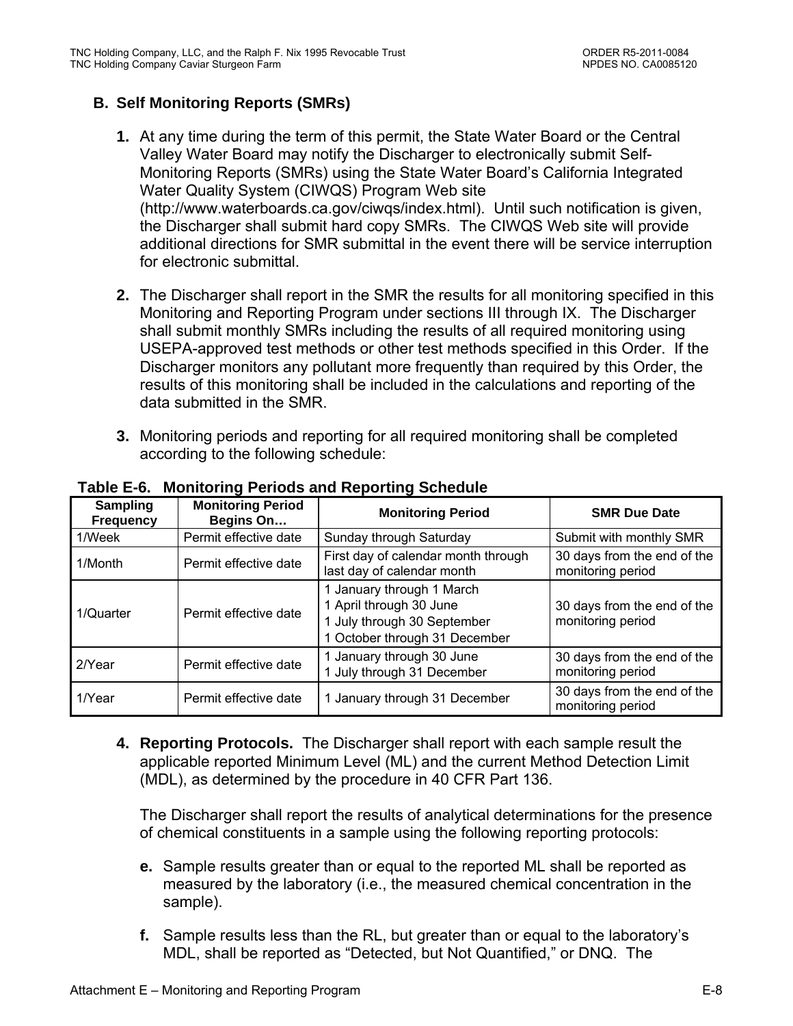## **B. Self Monitoring Reports (SMRs)**

- **1.** At any time during the term of this permit, the State Water Board or the Central Valley Water Board may notify the Discharger to electronically submit Self-Monitoring Reports (SMRs) using the State Water Board's California Integrated Water Quality System (CIWQS) Program Web site (http://www.waterboards.ca.gov/ciwqs/index.html). Until such notification is given, the Discharger shall submit hard copy SMRs. The CIWQS Web site will provide additional directions for SMR submittal in the event there will be service interruption for electronic submittal.
- **2.** The Discharger shall report in the SMR the results for all monitoring specified in this Monitoring and Reporting Program under sections III through IX. The Discharger shall submit monthly SMRs including the results of all required monitoring using USEPA-approved test methods or other test methods specified in this Order. If the Discharger monitors any pollutant more frequently than required by this Order, the results of this monitoring shall be included in the calculations and reporting of the data submitted in the SMR.
- **3.** Monitoring periods and reporting for all required monitoring shall be completed according to the following schedule:

| Sampling<br><b>Frequency</b> | <b>Monitoring Period</b><br>Begins On | <b>Monitoring Period</b>                                                                                             | <b>SMR Due Date</b>                              |
|------------------------------|---------------------------------------|----------------------------------------------------------------------------------------------------------------------|--------------------------------------------------|
| 1/Week                       | Permit effective date                 | Sunday through Saturday                                                                                              | Submit with monthly SMR                          |
| 1/Month                      | Permit effective date                 | First day of calendar month through<br>last day of calendar month                                                    | 30 days from the end of the<br>monitoring period |
| 1/Quarter                    | Permit effective date                 | 1 January through 1 March<br>1 April through 30 June<br>1 July through 30 September<br>1 October through 31 December | 30 days from the end of the<br>monitoring period |
| 2/Year                       | Permit effective date                 | 1 January through 30 June<br>1 July through 31 December                                                              | 30 days from the end of the<br>monitoring period |
| 1/Year                       | Permit effective date                 | 1 January through 31 December                                                                                        | 30 days from the end of the<br>monitoring period |

### **Table E-6. Monitoring Periods and Reporting Schedule**

**4. Reporting Protocols.** The Discharger shall report with each sample result the applicable reported Minimum Level (ML) and the current Method Detection Limit (MDL), as determined by the procedure in 40 CFR Part 136.

The Discharger shall report the results of analytical determinations for the presence of chemical constituents in a sample using the following reporting protocols:

- **e.** Sample results greater than or equal to the reported ML shall be reported as measured by the laboratory (i.e., the measured chemical concentration in the sample).
- **f.** Sample results less than the RL, but greater than or equal to the laboratory's MDL, shall be reported as "Detected, but Not Quantified," or DNQ. The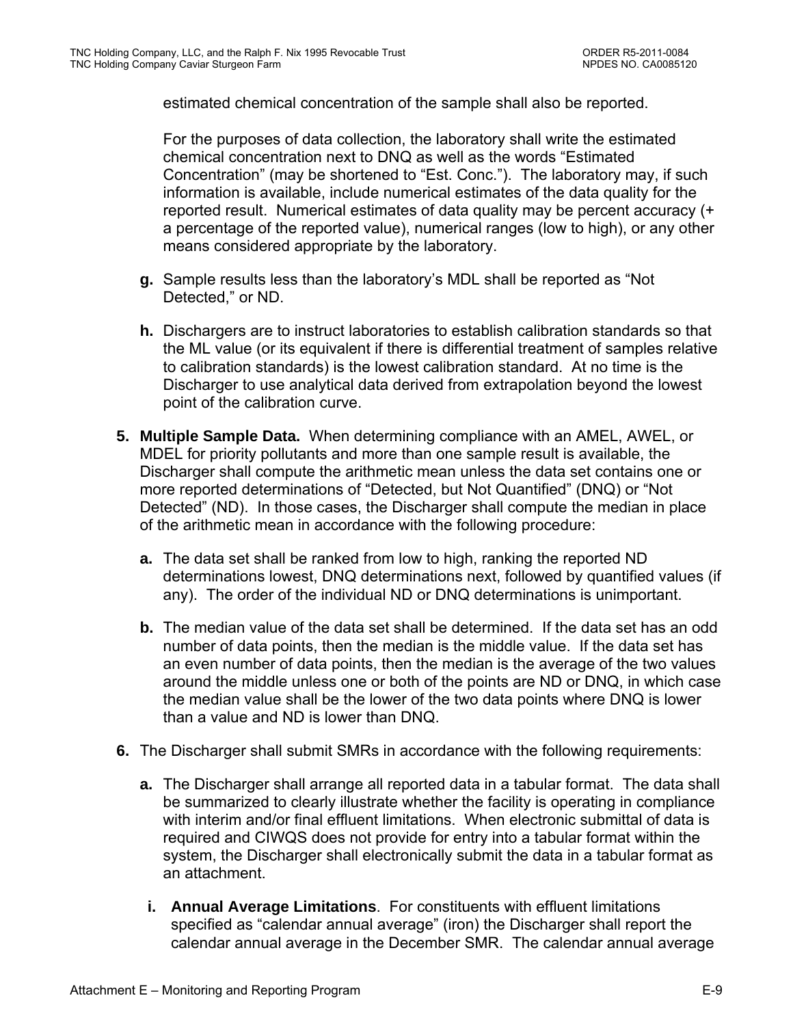estimated chemical concentration of the sample shall also be reported.

For the purposes of data collection, the laboratory shall write the estimated chemical concentration next to DNQ as well as the words "Estimated Concentration" (may be shortened to "Est. Conc."). The laboratory may, if such information is available, include numerical estimates of the data quality for the reported result. Numerical estimates of data quality may be percent accuracy (+ a percentage of the reported value), numerical ranges (low to high), or any other means considered appropriate by the laboratory.

- **g.** Sample results less than the laboratory's MDL shall be reported as "Not Detected," or ND.
- **h.** Dischargers are to instruct laboratories to establish calibration standards so that the ML value (or its equivalent if there is differential treatment of samples relative to calibration standards) is the lowest calibration standard. At no time is the Discharger to use analytical data derived from extrapolation beyond the lowest point of the calibration curve.
- **5. Multiple Sample Data.** When determining compliance with an AMEL, AWEL, or MDEL for priority pollutants and more than one sample result is available, the Discharger shall compute the arithmetic mean unless the data set contains one or more reported determinations of "Detected, but Not Quantified" (DNQ) or "Not Detected" (ND). In those cases, the Discharger shall compute the median in place of the arithmetic mean in accordance with the following procedure:
	- **a.** The data set shall be ranked from low to high, ranking the reported ND determinations lowest, DNQ determinations next, followed by quantified values (if any). The order of the individual ND or DNQ determinations is unimportant.
	- **b.** The median value of the data set shall be determined. If the data set has an odd number of data points, then the median is the middle value. If the data set has an even number of data points, then the median is the average of the two values around the middle unless one or both of the points are ND or DNQ, in which case the median value shall be the lower of the two data points where DNQ is lower than a value and ND is lower than DNQ.
- **6.** The Discharger shall submit SMRs in accordance with the following requirements:
	- **a.** The Discharger shall arrange all reported data in a tabular format. The data shall be summarized to clearly illustrate whether the facility is operating in compliance with interim and/or final effluent limitations. When electronic submittal of data is required and CIWQS does not provide for entry into a tabular format within the system, the Discharger shall electronically submit the data in a tabular format as an attachment.
	- **i. Annual Average Limitations**. For constituents with effluent limitations specified as "calendar annual average" (iron) the Discharger shall report the calendar annual average in the December SMR. The calendar annual average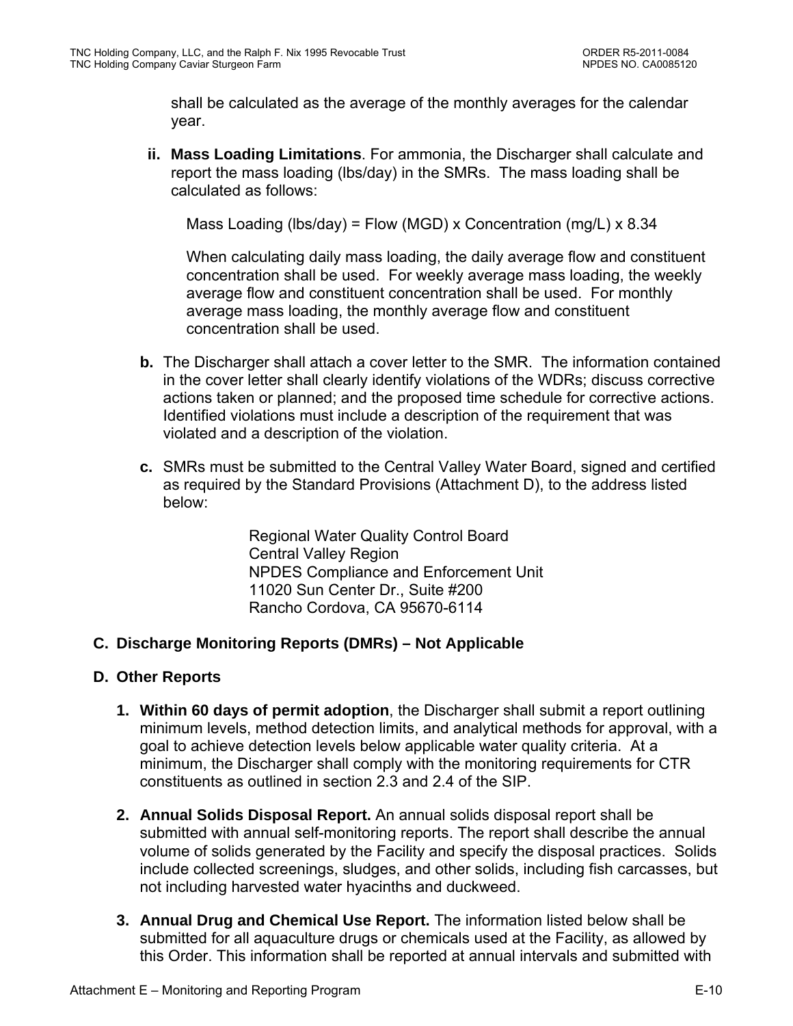shall be calculated as the average of the monthly averages for the calendar year.

**ii. Mass Loading Limitations**. For ammonia, the Discharger shall calculate and report the mass loading (lbs/day) in the SMRs. The mass loading shall be calculated as follows:

Mass Loading (lbs/day) = Flow (MGD) x Concentration (mg/L) x 8.34

When calculating daily mass loading, the daily average flow and constituent concentration shall be used. For weekly average mass loading, the weekly average flow and constituent concentration shall be used. For monthly average mass loading, the monthly average flow and constituent concentration shall be used.

- **b.** The Discharger shall attach a cover letter to the SMR. The information contained in the cover letter shall clearly identify violations of the WDRs; discuss corrective actions taken or planned; and the proposed time schedule for corrective actions. Identified violations must include a description of the requirement that was violated and a description of the violation.
- **c.** SMRs must be submitted to the Central Valley Water Board, signed and certified as required by the Standard Provisions (Attachment D), to the address listed below:

Regional Water Quality Control Board Central Valley Region NPDES Compliance and Enforcement Unit 11020 Sun Center Dr., Suite #200 Rancho Cordova, CA 95670-6114

## **C. Discharge Monitoring Reports (DMRs) – Not Applicable**

### **D. Other Reports**

- **1. Within 60 days of permit adoption**, the Discharger shall submit a report outlining minimum levels, method detection limits, and analytical methods for approval, with a goal to achieve detection levels below applicable water quality criteria. At a minimum, the Discharger shall comply with the monitoring requirements for CTR constituents as outlined in section 2.3 and 2.4 of the SIP.
- **2. Annual Solids Disposal Report.** An annual solids disposal report shall be submitted with annual self-monitoring reports. The report shall describe the annual volume of solids generated by the Facility and specify the disposal practices. Solids include collected screenings, sludges, and other solids, including fish carcasses, but not including harvested water hyacinths and duckweed.
- **3. Annual Drug and Chemical Use Report.** The information listed below shall be submitted for all aquaculture drugs or chemicals used at the Facility, as allowed by this Order. This information shall be reported at annual intervals and submitted with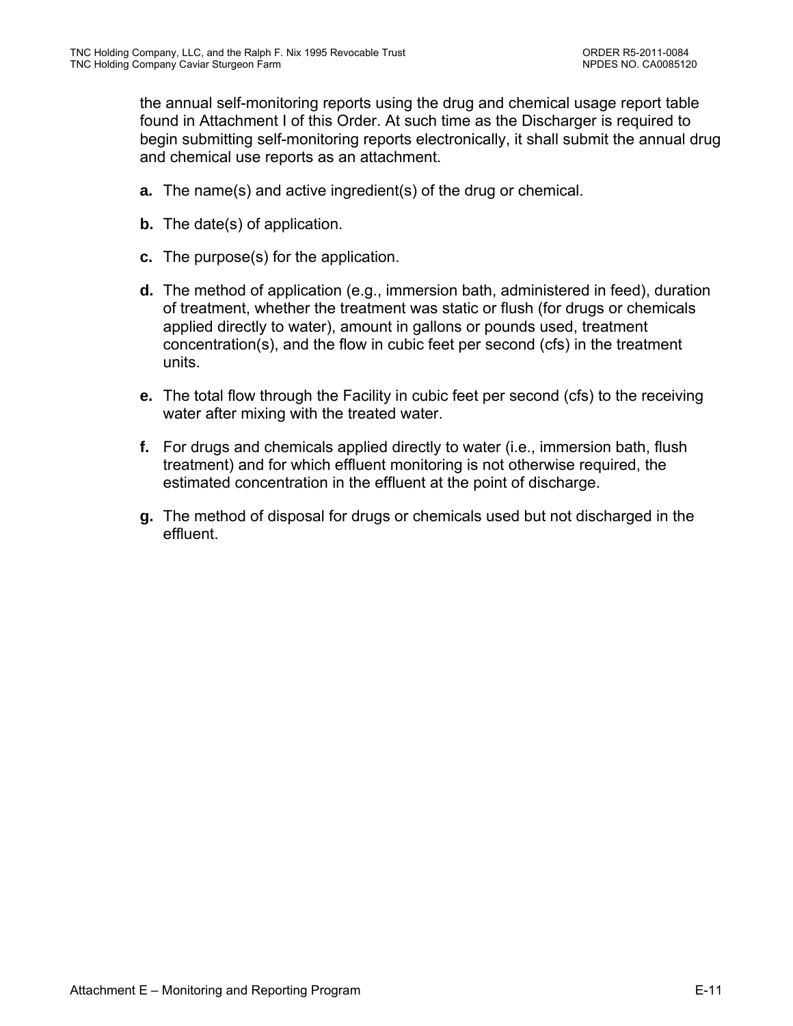the annual self-monitoring reports using the drug and chemical usage report table found in Attachment I of this Order. At such time as the Discharger is required to begin submitting self-monitoring reports electronically, it shall submit the annual drug and chemical use reports as an attachment.

- **a.** The name(s) and active ingredient(s) of the drug or chemical.
- **b.** The date(s) of application.
- **c.** The purpose(s) for the application.
- **d.** The method of application (e.g., immersion bath, administered in feed), duration of treatment, whether the treatment was static or flush (for drugs or chemicals applied directly to water), amount in gallons or pounds used, treatment concentration(s), and the flow in cubic feet per second (cfs) in the treatment units.
- **e.** The total flow through the Facility in cubic feet per second (cfs) to the receiving water after mixing with the treated water.
- **f.** For drugs and chemicals applied directly to water (i.e., immersion bath, flush treatment) and for which effluent monitoring is not otherwise required, the estimated concentration in the effluent at the point of discharge.
- **g.** The method of disposal for drugs or chemicals used but not discharged in the effluent.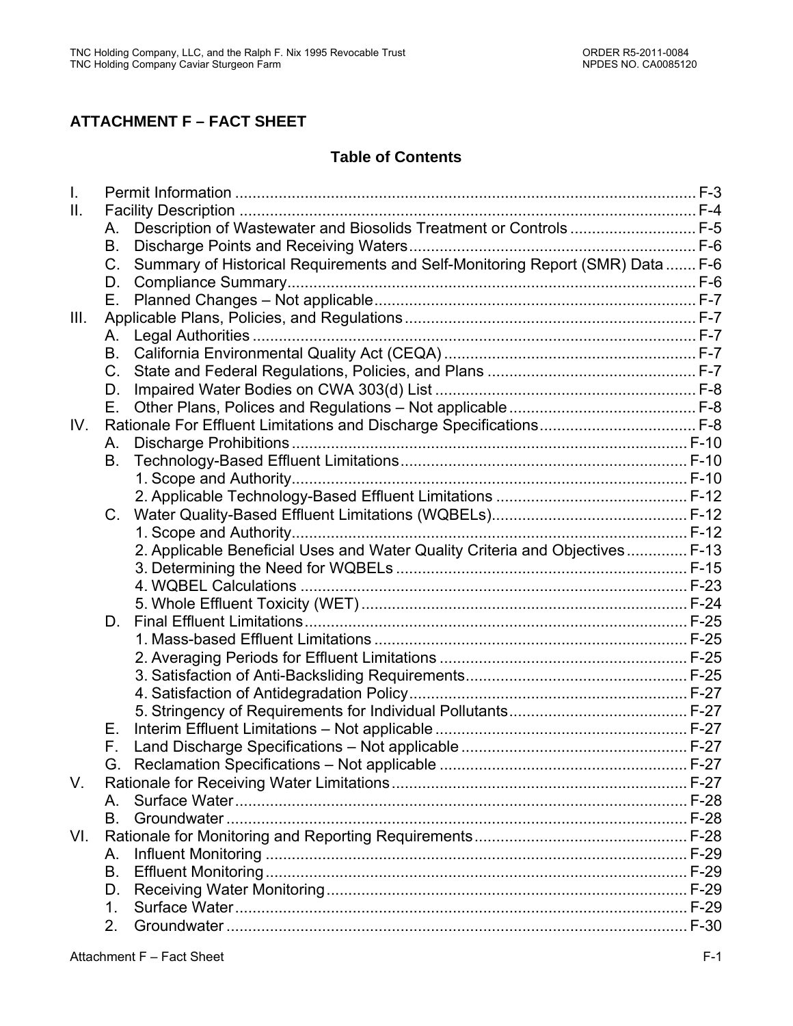## **ATTACHMENT F – FACT SHEET**

## **Table of Contents**

| $\mathsf{L}$ |             |                                                                               |  |
|--------------|-------------|-------------------------------------------------------------------------------|--|
| Ш.           |             |                                                                               |  |
|              | А.          | Description of Wastewater and Biosolids Treatment or Controls  F-5            |  |
|              | В.          |                                                                               |  |
|              | $C_{1}$     | Summary of Historical Requirements and Self-Monitoring Report (SMR) Data  F-6 |  |
|              | D.          |                                                                               |  |
|              | Е.          |                                                                               |  |
| III.         |             |                                                                               |  |
|              | А.          |                                                                               |  |
|              | В.          |                                                                               |  |
|              | $C_{\cdot}$ |                                                                               |  |
|              | D.          |                                                                               |  |
|              | Е.          |                                                                               |  |
| IV.          |             |                                                                               |  |
|              | А.          |                                                                               |  |
|              | В.          |                                                                               |  |
|              |             |                                                                               |  |
|              |             |                                                                               |  |
|              | $C_{\cdot}$ |                                                                               |  |
|              |             |                                                                               |  |
|              |             | 2. Applicable Beneficial Uses and Water Quality Criteria and Objectives F-13  |  |
|              |             |                                                                               |  |
|              |             |                                                                               |  |
|              |             |                                                                               |  |
|              | D.          |                                                                               |  |
|              |             |                                                                               |  |
|              |             |                                                                               |  |
|              |             |                                                                               |  |
|              |             |                                                                               |  |
|              |             |                                                                               |  |
|              | Е.          |                                                                               |  |
|              | F.          |                                                                               |  |
|              |             |                                                                               |  |
| V.           |             |                                                                               |  |
|              | A           |                                                                               |  |
|              | B.          |                                                                               |  |
| VI.          |             |                                                                               |  |
|              | А.          |                                                                               |  |
|              | B.          |                                                                               |  |
|              | D.          |                                                                               |  |
|              | 1.          |                                                                               |  |
|              | 2.          |                                                                               |  |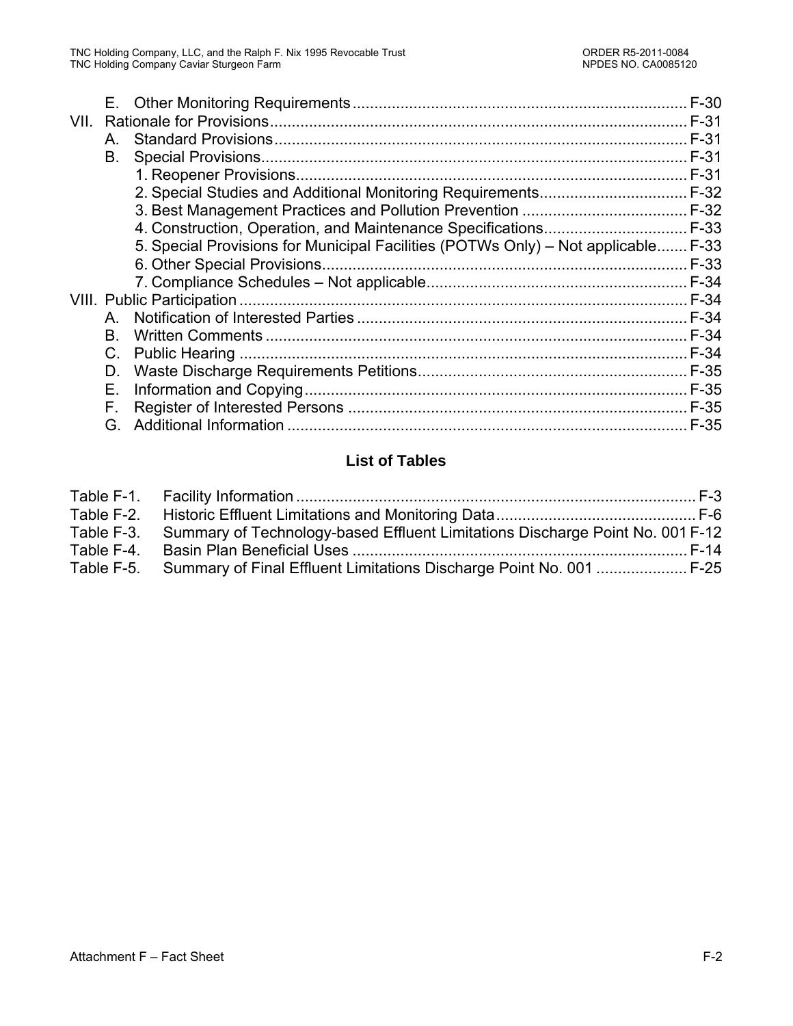| VII. |    |                                                                                   |        |
|------|----|-----------------------------------------------------------------------------------|--------|
|      | A. |                                                                                   |        |
|      | В. |                                                                                   | F-31   |
|      |    |                                                                                   |        |
|      |    |                                                                                   |        |
|      |    |                                                                                   |        |
|      |    | 4. Construction, Operation, and Maintenance Specifications F-33                   |        |
|      |    | 5. Special Provisions for Municipal Facilities (POTWs Only) – Not applicable F-33 |        |
|      |    |                                                                                   | $F-33$ |
|      |    |                                                                                   |        |
|      |    |                                                                                   |        |
|      | A  |                                                                                   |        |
|      | В. |                                                                                   |        |
|      | C. |                                                                                   | F-34   |
|      | D. |                                                                                   |        |
|      | Е. |                                                                                   |        |
|      | F. |                                                                                   |        |
|      | G. |                                                                                   | $F-35$ |
|      |    |                                                                                   |        |

## **List of Tables**

| Table F-3. Summary of Technology-based Effluent Limitations Discharge Point No. 001 F-12 |  |
|------------------------------------------------------------------------------------------|--|
|                                                                                          |  |
| Table F-5. Summary of Final Effluent Limitations Discharge Point No. 001  F-25           |  |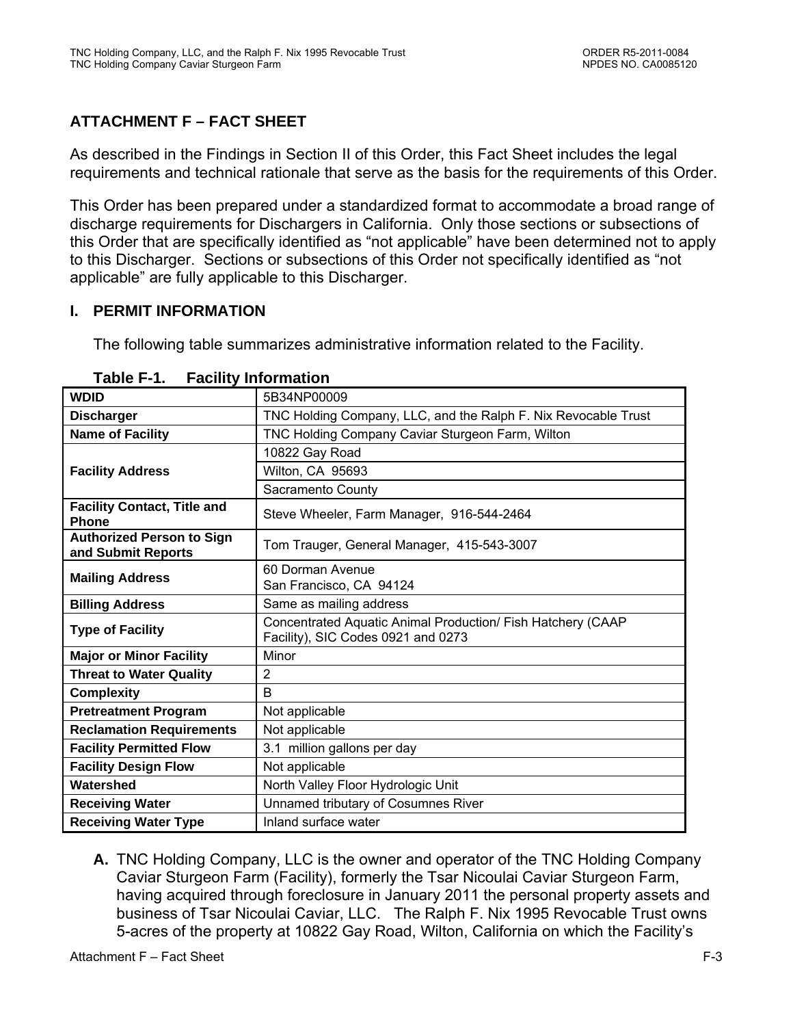# **ATTACHMENT F – FACT SHEET**

As described in the Findings in Section II of this Order, this Fact Sheet includes the legal requirements and technical rationale that serve as the basis for the requirements of this Order.

This Order has been prepared under a standardized format to accommodate a broad range of discharge requirements for Dischargers in California. Only those sections or subsections of this Order that are specifically identified as "not applicable" have been determined not to apply to this Discharger. Sections or subsections of this Order not specifically identified as "not applicable" are fully applicable to this Discharger.

## **I. PERMIT INFORMATION**

The following table summarizes administrative information related to the Facility.

| <b>WDID</b>                                            | 5B34NP00009                                                                                       |  |  |  |  |
|--------------------------------------------------------|---------------------------------------------------------------------------------------------------|--|--|--|--|
| <b>Discharger</b>                                      | TNC Holding Company, LLC, and the Ralph F. Nix Revocable Trust                                    |  |  |  |  |
| <b>Name of Facility</b>                                | TNC Holding Company Caviar Sturgeon Farm, Wilton                                                  |  |  |  |  |
|                                                        | 10822 Gay Road                                                                                    |  |  |  |  |
| <b>Facility Address</b>                                | Wilton, CA 95693                                                                                  |  |  |  |  |
|                                                        | Sacramento County                                                                                 |  |  |  |  |
| <b>Facility Contact, Title and</b><br><b>Phone</b>     | Steve Wheeler, Farm Manager, 916-544-2464                                                         |  |  |  |  |
| <b>Authorized Person to Sign</b><br>and Submit Reports | Tom Trauger, General Manager, 415-543-3007                                                        |  |  |  |  |
| <b>Mailing Address</b>                                 | 60 Dorman Avenue                                                                                  |  |  |  |  |
|                                                        | San Francisco, CA 94124                                                                           |  |  |  |  |
| <b>Billing Address</b>                                 | Same as mailing address                                                                           |  |  |  |  |
| <b>Type of Facility</b>                                | Concentrated Aquatic Animal Production/ Fish Hatchery (CAAP<br>Facility), SIC Codes 0921 and 0273 |  |  |  |  |
| <b>Major or Minor Facility</b>                         | Minor                                                                                             |  |  |  |  |
| <b>Threat to Water Quality</b>                         | $\overline{2}$                                                                                    |  |  |  |  |
| <b>Complexity</b>                                      | B                                                                                                 |  |  |  |  |
| <b>Pretreatment Program</b>                            | Not applicable                                                                                    |  |  |  |  |
| <b>Reclamation Requirements</b>                        | Not applicable                                                                                    |  |  |  |  |
| <b>Facility Permitted Flow</b>                         | 3.1 million gallons per day                                                                       |  |  |  |  |
| <b>Facility Design Flow</b>                            | Not applicable                                                                                    |  |  |  |  |
| Watershed                                              | North Valley Floor Hydrologic Unit                                                                |  |  |  |  |
| <b>Receiving Water</b>                                 | Unnamed tributary of Cosumnes River                                                               |  |  |  |  |
| <b>Receiving Water Type</b>                            | Inland surface water                                                                              |  |  |  |  |

| <b>Facility Information</b><br>Table F-1. |
|-------------------------------------------|
|-------------------------------------------|

**A.** TNC Holding Company, LLC is the owner and operator of the TNC Holding Company Caviar Sturgeon Farm (Facility), formerly the Tsar Nicoulai Caviar Sturgeon Farm, having acquired through foreclosure in January 2011 the personal property assets and business of Tsar Nicoulai Caviar, LLC. The Ralph F. Nix 1995 Revocable Trust owns 5-acres of the property at 10822 Gay Road, Wilton, California on which the Facility's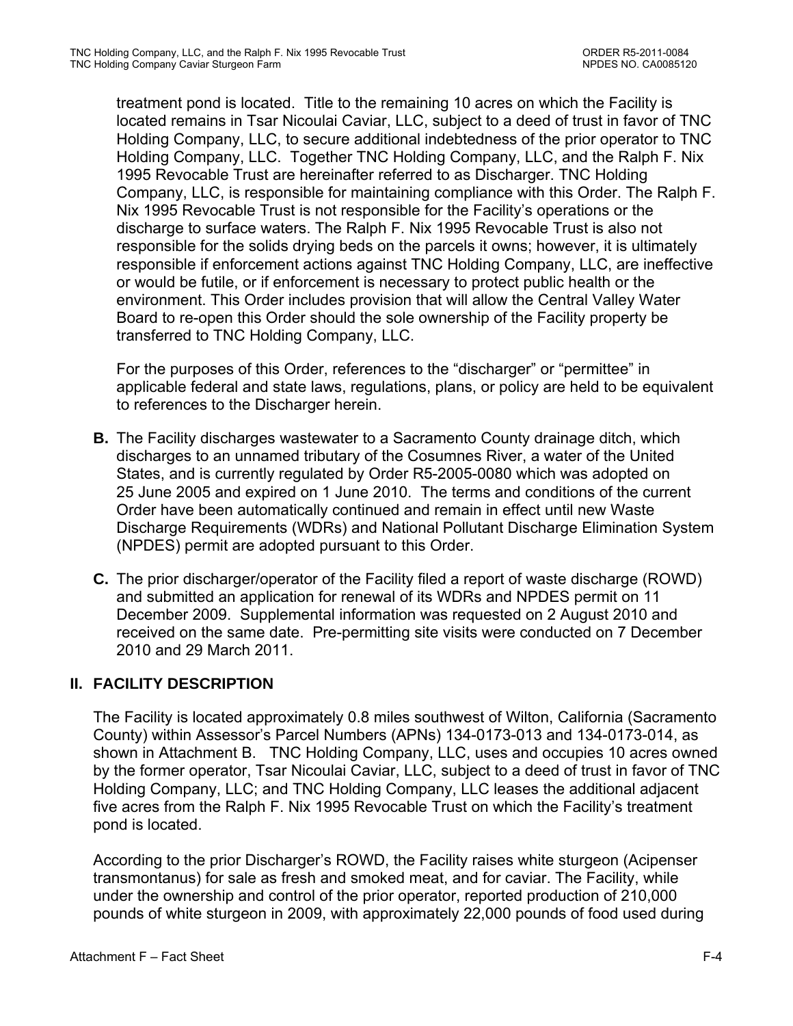treatment pond is located. Title to the remaining 10 acres on which the Facility is located remains in Tsar Nicoulai Caviar, LLC, subject to a deed of trust in favor of TNC Holding Company, LLC, to secure additional indebtedness of the prior operator to TNC Holding Company, LLC. Together TNC Holding Company, LLC, and the Ralph F. Nix 1995 Revocable Trust are hereinafter referred to as Discharger. TNC Holding Company, LLC, is responsible for maintaining compliance with this Order. The Ralph F. Nix 1995 Revocable Trust is not responsible for the Facility's operations or the discharge to surface waters. The Ralph F. Nix 1995 Revocable Trust is also not responsible for the solids drying beds on the parcels it owns; however, it is ultimately responsible if enforcement actions against TNC Holding Company, LLC, are ineffective or would be futile, or if enforcement is necessary to protect public health or the environment. This Order includes provision that will allow the Central Valley Water Board to re-open this Order should the sole ownership of the Facility property be transferred to TNC Holding Company, LLC.

For the purposes of this Order, references to the "discharger" or "permittee" in applicable federal and state laws, regulations, plans, or policy are held to be equivalent to references to the Discharger herein.

- **B.** The Facility discharges wastewater to a Sacramento County drainage ditch, which discharges to an unnamed tributary of the Cosumnes River, a water of the United States, and is currently regulated by Order R5-2005-0080 which was adopted on 25 June 2005 and expired on 1 June 2010. The terms and conditions of the current Order have been automatically continued and remain in effect until new Waste Discharge Requirements (WDRs) and National Pollutant Discharge Elimination System (NPDES) permit are adopted pursuant to this Order.
- **C.** The prior discharger/operator of the Facility filed a report of waste discharge (ROWD) and submitted an application for renewal of its WDRs and NPDES permit on 11 December 2009.Supplemental information was requested on 2 August 2010 and received on the same date. Pre-permitting site visits were conducted on 7 December 2010 and 29 March 2011.

## **II. FACILITY DESCRIPTION**

The Facility is located approximately 0.8 miles southwest of Wilton, California (Sacramento County) within Assessor's Parcel Numbers (APNs) 134-0173-013 and 134-0173-014, as shown in Attachment B. TNC Holding Company, LLC, uses and occupies 10 acres owned by the former operator, Tsar Nicoulai Caviar, LLC, subject to a deed of trust in favor of TNC Holding Company, LLC; and TNC Holding Company, LLC leases the additional adjacent five acres from the Ralph F. Nix 1995 Revocable Trust on which the Facility's treatment pond is located.

According to the prior Discharger's ROWD, the Facility raises white sturgeon (Acipenser transmontanus) for sale as fresh and smoked meat, and for caviar. The Facility, while under the ownership and control of the prior operator, reported production of 210,000 pounds of white sturgeon in 2009, with approximately 22,000 pounds of food used during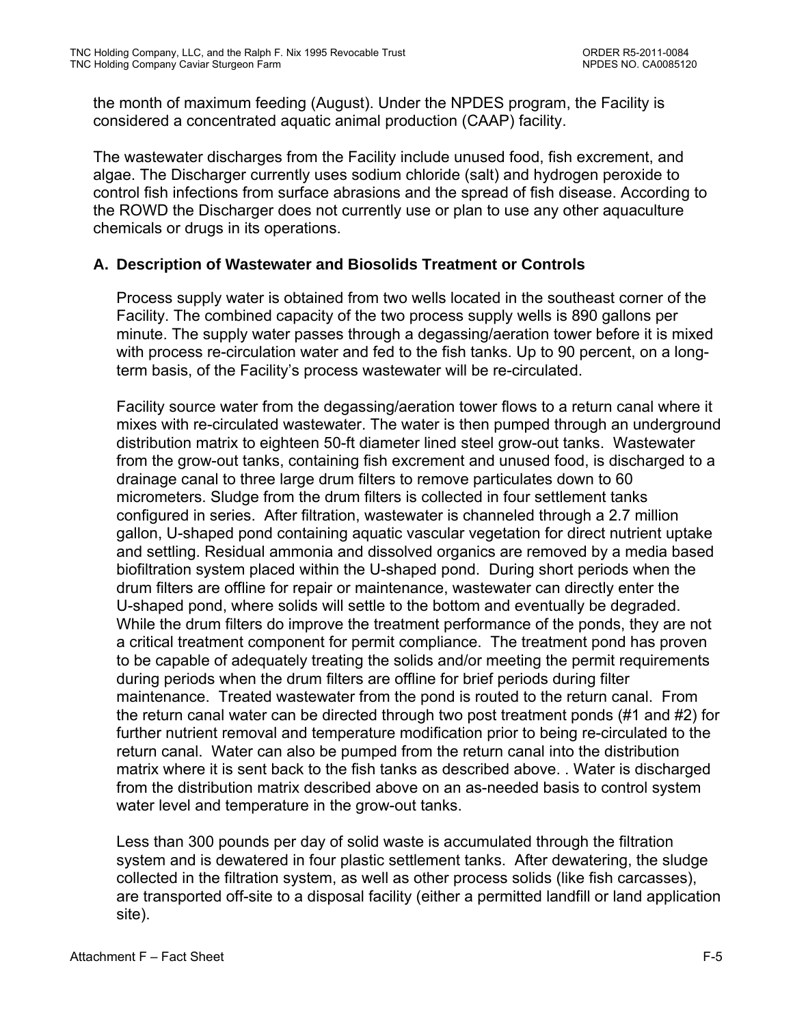the month of maximum feeding (August). Under the NPDES program, the Facility is considered a concentrated aquatic animal production (CAAP) facility.

The wastewater discharges from the Facility include unused food, fish excrement, and algae. The Discharger currently uses sodium chloride (salt) and hydrogen peroxide to control fish infections from surface abrasions and the spread of fish disease. According to the ROWD the Discharger does not currently use or plan to use any other aquaculture chemicals or drugs in its operations.

## **A. Description of Wastewater and Biosolids Treatment or Controls**

Process supply water is obtained from two wells located in the southeast corner of the Facility. The combined capacity of the two process supply wells is 890 gallons per minute. The supply water passes through a degassing/aeration tower before it is mixed with process re-circulation water and fed to the fish tanks. Up to 90 percent, on a longterm basis, of the Facility's process wastewater will be re-circulated.

Facility source water from the degassing/aeration tower flows to a return canal where it mixes with re-circulated wastewater. The water is then pumped through an underground distribution matrix to eighteen 50-ft diameter lined steel grow-out tanks. Wastewater from the grow-out tanks, containing fish excrement and unused food, is discharged to a drainage canal to three large drum filters to remove particulates down to 60 micrometers. Sludge from the drum filters is collected in four settlement tanks configured in series. After filtration, wastewater is channeled through a 2.7 million gallon, U-shaped pond containing aquatic vascular vegetation for direct nutrient uptake and settling. Residual ammonia and dissolved organics are removed by a media based biofiltration system placed within the U-shaped pond. During short periods when the drum filters are offline for repair or maintenance, wastewater can directly enter the U-shaped pond, where solids will settle to the bottom and eventually be degraded. While the drum filters do improve the treatment performance of the ponds, they are not a critical treatment component for permit compliance. The treatment pond has proven to be capable of adequately treating the solids and/or meeting the permit requirements during periods when the drum filters are offline for brief periods during filter maintenance. Treated wastewater from the pond is routed to the return canal. From the return canal water can be directed through two post treatment ponds (#1 and #2) for further nutrient removal and temperature modification prior to being re-circulated to the return canal. Water can also be pumped from the return canal into the distribution matrix where it is sent back to the fish tanks as described above. . Water is discharged from the distribution matrix described above on an as-needed basis to control system water level and temperature in the grow-out tanks.

Less than 300 pounds per day of solid waste is accumulated through the filtration system and is dewatered in four plastic settlement tanks. After dewatering, the sludge collected in the filtration system, as well as other process solids (like fish carcasses), are transported off-site to a disposal facility (either a permitted landfill or land application site).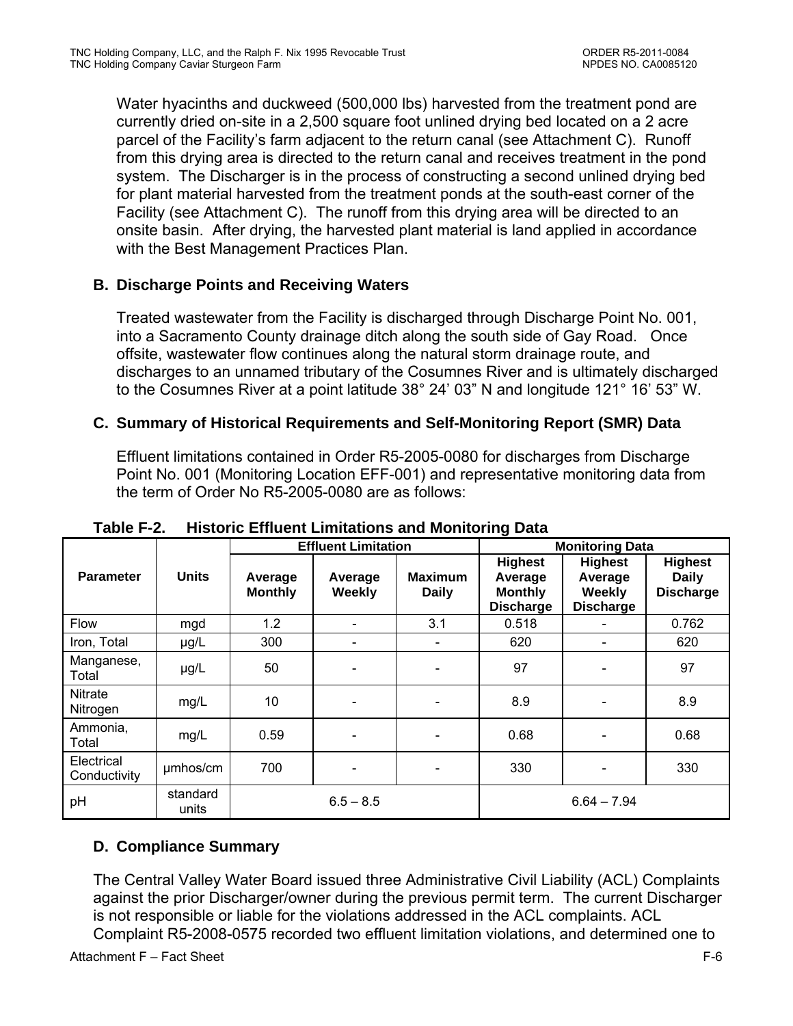Water hyacinths and duckweed (500,000 lbs) harvested from the treatment pond are currently dried on-site in a 2,500 square foot unlined drying bed located on a 2 acre parcel of the Facility's farm adjacent to the return canal (see Attachment C). Runoff from this drying area is directed to the return canal and receives treatment in the pond system. The Discharger is in the process of constructing a second unlined drying bed for plant material harvested from the treatment ponds at the south-east corner of the Facility (see Attachment C). The runoff from this drying area will be directed to an onsite basin. After drying, the harvested plant material is land applied in accordance with the Best Management Practices Plan.

## **B. Discharge Points and Receiving Waters**

Treated wastewater from the Facility is discharged through Discharge Point No. 001, into a Sacramento County drainage ditch along the south side of Gay Road. Once offsite, wastewater flow continues along the natural storm drainage route, and discharges to an unnamed tributary of the Cosumnes River and is ultimately discharged to the Cosumnes River at a point latitude 38° 24' 03" N and longitude 121° 16' 53" W.

## **C. Summary of Historical Requirements and Self-Monitoring Report (SMR) Data**

Effluent limitations contained in Order R5-2005-0080 for discharges from Discharge Point No. 001 (Monitoring Location EFF-001) and representative monitoring data from the term of Order No R5-2005-0080 are as follows:

|                            |                   |                           | <b>Effluent Limitation</b> |                                | - -<br><b>Monitoring Data</b>                                   |                                                                |                                                    |  |
|----------------------------|-------------------|---------------------------|----------------------------|--------------------------------|-----------------------------------------------------------------|----------------------------------------------------------------|----------------------------------------------------|--|
| <b>Parameter</b>           | <b>Units</b>      | Average<br><b>Monthly</b> | Average<br><b>Weekly</b>   | <b>Maximum</b><br><b>Daily</b> | <b>Highest</b><br>Average<br><b>Monthly</b><br><b>Discharge</b> | <b>Highest</b><br>Average<br><b>Weekly</b><br><b>Discharge</b> | <b>Highest</b><br><b>Daily</b><br><b>Discharge</b> |  |
| <b>Flow</b>                | mgd               | 1.2                       |                            | 3.1                            | 0.518                                                           | $\overline{\phantom{a}}$                                       | 0.762                                              |  |
| Iron, Total                | $\mu$ g/L         | 300                       |                            |                                | 620                                                             | ۰                                                              | 620                                                |  |
| Manganese,<br>Total        | µg/L              | 50                        |                            |                                | 97                                                              | $\overline{\phantom{a}}$                                       | 97                                                 |  |
| Nitrate<br>Nitrogen        | mg/L              | 10                        |                            |                                | 8.9                                                             | $\overline{\phantom{a}}$                                       | 8.9                                                |  |
| Ammonia,<br>Total          | mg/L              | 0.59                      |                            |                                | 0.68                                                            | $\blacksquare$                                                 | 0.68                                               |  |
| Electrical<br>Conductivity | umhos/cm          | 700                       |                            |                                | 330                                                             | ۰                                                              | 330                                                |  |
| pH                         | standard<br>units |                           | $6.5 - 8.5$                |                                |                                                                 | $6.64 - 7.94$                                                  |                                                    |  |

**Table F-2. Historic Effluent Limitations and Monitoring Data** 

## **D. Compliance Summary**

The Central Valley Water Board issued three Administrative Civil Liability (ACL) Complaints against the prior Discharger/owner during the previous permit term. The current Discharger is not responsible or liable for the violations addressed in the ACL complaints. ACL Complaint R5-2008-0575 recorded two effluent limitation violations, and determined one to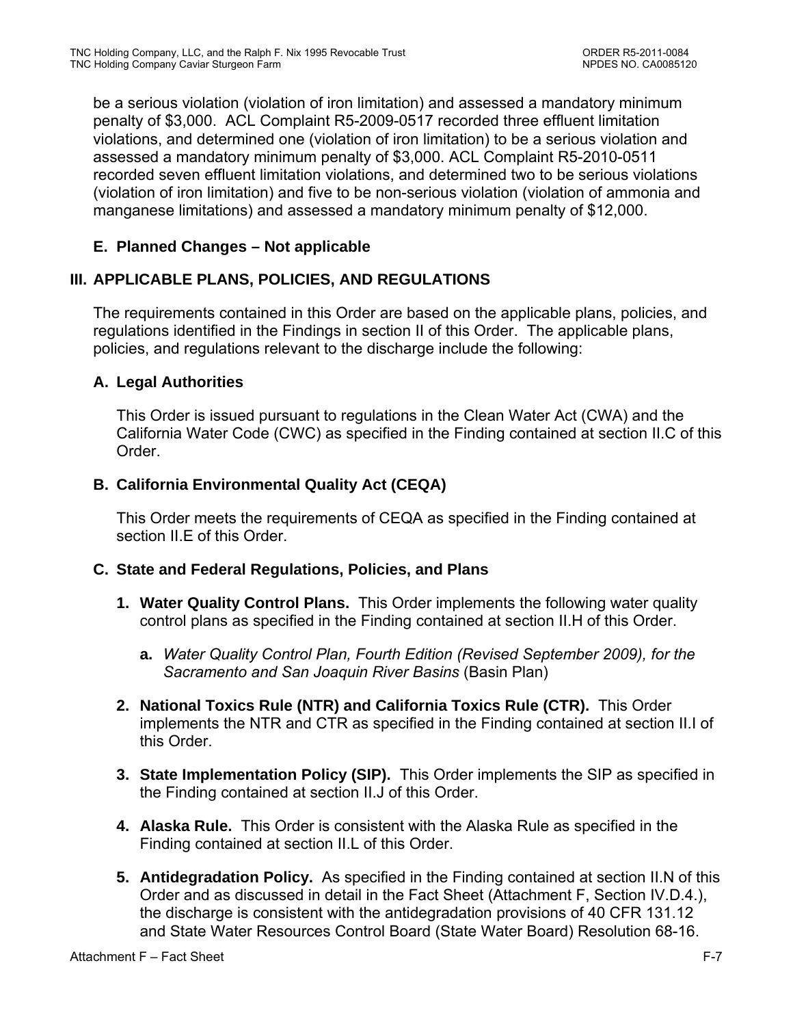be a serious violation (violation of iron limitation) and assessed a mandatory minimum penalty of \$3,000. ACL Complaint R5-2009-0517 recorded three effluent limitation violations, and determined one (violation of iron limitation) to be a serious violation and assessed a mandatory minimum penalty of \$3,000. ACL Complaint R5-2010-0511 recorded seven effluent limitation violations, and determined two to be serious violations (violation of iron limitation) and five to be non-serious violation (violation of ammonia and manganese limitations) and assessed a mandatory minimum penalty of \$12,000.

## **E. Planned Changes – Not applicable**

## **III. APPLICABLE PLANS, POLICIES, AND REGULATIONS**

The requirements contained in this Order are based on the applicable plans, policies, and regulations identified in the Findings in section II of this Order. The applicable plans, policies, and regulations relevant to the discharge include the following:

## **A. Legal Authorities**

This Order is issued pursuant to regulations in the Clean Water Act (CWA) and the California Water Code (CWC) as specified in the Finding contained at section II.C of this Order.

## **B. California Environmental Quality Act (CEQA)**

This Order meets the requirements of CEQA as specified in the Finding contained at section II.E of this Order.

## **C. State and Federal Regulations, Policies, and Plans**

- **1. Water Quality Control Plans.** This Order implements the following water quality control plans as specified in the Finding contained at section II.H of this Order.
	- **a.** *Water Quality Control Plan, Fourth Edition (Revised September 2009), for the Sacramento and San Joaquin River Basins* (Basin Plan)
- **2. National Toxics Rule (NTR) and California Toxics Rule (CTR).** This Order implements the NTR and CTR as specified in the Finding contained at section II.I of this Order.
- **3. State Implementation Policy (SIP).** This Order implements the SIP as specified in the Finding contained at section II.J of this Order.
- **4. Alaska Rule.** This Order is consistent with the Alaska Rule as specified in the Finding contained at section II.L of this Order.
- **5. Antidegradation Policy.** As specified in the Finding contained at section II.N of this Order and as discussed in detail in the Fact Sheet (Attachment F, Section IV.D.4.), the discharge is consistent with the antidegradation provisions of 40 CFR 131.12 and State Water Resources Control Board (State Water Board) Resolution 68-16.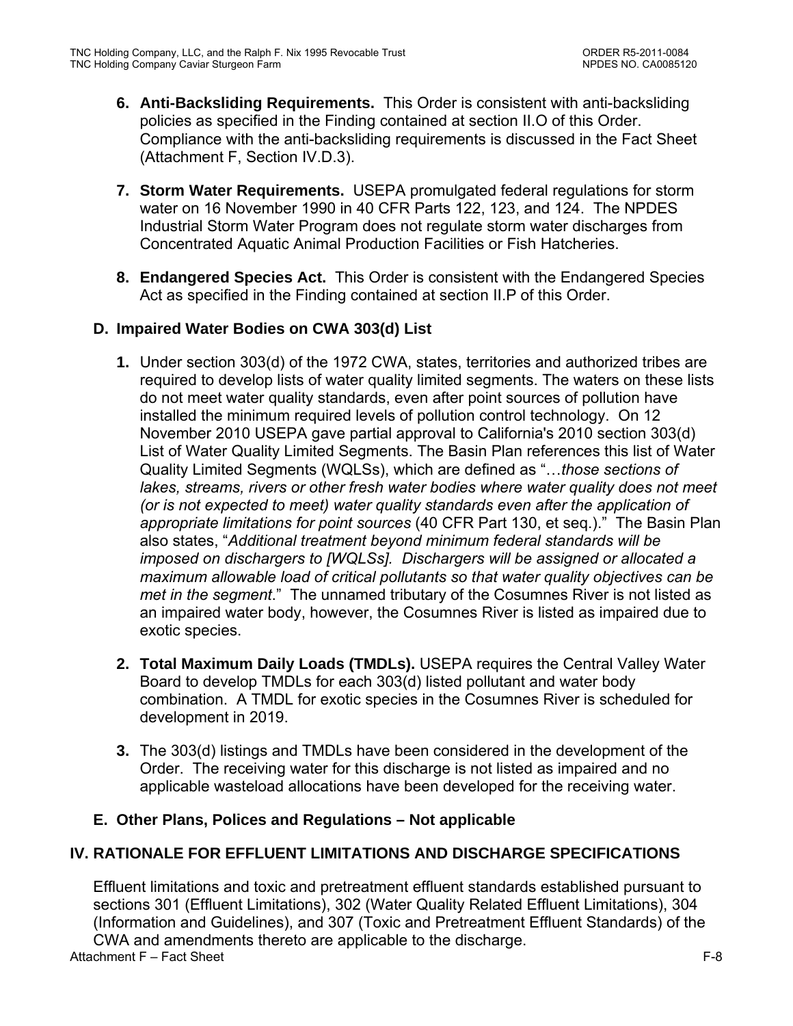- **6. Anti-Backsliding Requirements.** This Order is consistent with anti-backsliding policies as specified in the Finding contained at section II.O of this Order. Compliance with the anti-backsliding requirements is discussed in the Fact Sheet (Attachment F, Section IV.D.3).
- **7. Storm Water Requirements.** USEPA promulgated federal regulations for storm water on 16 November 1990 in 40 CFR Parts 122, 123, and 124. The NPDES Industrial Storm Water Program does not regulate storm water discharges from Concentrated Aquatic Animal Production Facilities or Fish Hatcheries.
- **8. Endangered Species Act.** This Order is consistent with the Endangered Species Act as specified in the Finding contained at section II.P of this Order.

## **D. Impaired Water Bodies on CWA 303(d) List**

- **1.** Under section 303(d) of the 1972 CWA, states, territories and authorized tribes are required to develop lists of water quality limited segments. The waters on these lists do not meet water quality standards, even after point sources of pollution have installed the minimum required levels of pollution control technology. On 12 November 2010 USEPA gave partial approval to California's 2010 section 303(d) List of Water Quality Limited Segments. The Basin Plan references this list of Water Quality Limited Segments (WQLSs), which are defined as "…*those sections of*  lakes, streams, rivers or other fresh water bodies where water quality does not meet *(or is not expected to meet) water quality standards even after the application of appropriate limitations for point sources* (40 CFR Part 130, et seq.)." The Basin Plan also states, "*Additional treatment beyond minimum federal standards will be imposed on dischargers to [WQLSs]. Dischargers will be assigned or allocated a maximum allowable load of critical pollutants so that water quality objectives can be met in the segment*." The unnamed tributary of the Cosumnes River is not listed as an impaired water body, however, the Cosumnes River is listed as impaired due to exotic species.
- **2. Total Maximum Daily Loads (TMDLs).** USEPA requires the Central Valley Water Board to develop TMDLs for each 303(d) listed pollutant and water body combination. A TMDL for exotic species in the Cosumnes River is scheduled for development in 2019.
- **3.** The 303(d) listings and TMDLs have been considered in the development of the Order. The receiving water for this discharge is not listed as impaired and no applicable wasteload allocations have been developed for the receiving water.

## **E. Other Plans, Polices and Regulations – Not applicable**

## **IV. RATIONALE FOR EFFLUENT LIMITATIONS AND DISCHARGE SPECIFICATIONS**

Effluent limitations and toxic and pretreatment effluent standards established pursuant to sections 301 (Effluent Limitations), 302 (Water Quality Related Effluent Limitations), 304 (Information and Guidelines), and 307 (Toxic and Pretreatment Effluent Standards) of the CWA and amendments thereto are applicable to the discharge.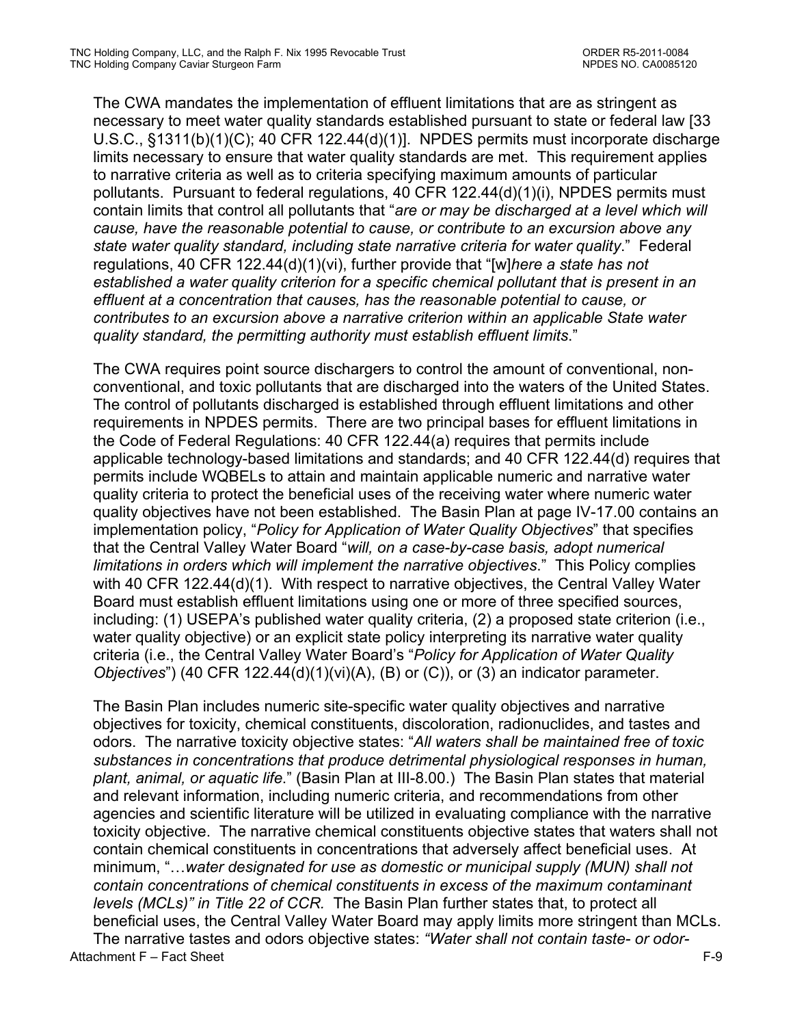The CWA mandates the implementation of effluent limitations that are as stringent as necessary to meet water quality standards established pursuant to state or federal law [33 U.S.C., §1311(b)(1)(C); 40 CFR 122.44(d)(1)]. NPDES permits must incorporate discharge limits necessary to ensure that water quality standards are met. This requirement applies to narrative criteria as well as to criteria specifying maximum amounts of particular pollutants. Pursuant to federal regulations, 40 CFR 122.44(d)(1)(i), NPDES permits must contain limits that control all pollutants that "*are or may be discharged at a level which will cause, have the reasonable potential to cause, or contribute to an excursion above any state water quality standard, including state narrative criteria for water quality*." Federal regulations, 40 CFR 122.44(d)(1)(vi), further provide that "[w]*here a state has not established a water quality criterion for a specific chemical pollutant that is present in an effluent at a concentration that causes, has the reasonable potential to cause, or contributes to an excursion above a narrative criterion within an applicable State water quality standard, the permitting authority must establish effluent limits*."

The CWA requires point source dischargers to control the amount of conventional, nonconventional, and toxic pollutants that are discharged into the waters of the United States. The control of pollutants discharged is established through effluent limitations and other requirements in NPDES permits. There are two principal bases for effluent limitations in the Code of Federal Regulations: 40 CFR 122.44(a) requires that permits include applicable technology-based limitations and standards; and 40 CFR 122.44(d) requires that permits include WQBELs to attain and maintain applicable numeric and narrative water quality criteria to protect the beneficial uses of the receiving water where numeric water quality objectives have not been established. The Basin Plan at page IV-17.00 contains an implementation policy, "*Policy for Application of Water Quality Objectives*" that specifies that the Central Valley Water Board "*will, on a case-by-case basis, adopt numerical limitations in orders which will implement the narrative objectives*." This Policy complies with 40 CFR 122.44(d)(1). With respect to narrative objectives, the Central Valley Water Board must establish effluent limitations using one or more of three specified sources, including: (1) USEPA's published water quality criteria, (2) a proposed state criterion (i.e., water quality objective) or an explicit state policy interpreting its narrative water quality criteria (i.e., the Central Valley Water Board's "*Policy for Application of Water Quality Objectives*") (40 CFR 122.44(d)(1)(vi)(A), (B) or (C)), or (3) an indicator parameter.

Attachment F – Fact Sheet F-9 The Basin Plan includes numeric site-specific water quality objectives and narrative objectives for toxicity, chemical constituents, discoloration, radionuclides, and tastes and odors. The narrative toxicity objective states: "*All waters shall be maintained free of toxic substances in concentrations that produce detrimental physiological responses in human, plant, animal, or aquatic life*." (Basin Plan at III-8.00.) The Basin Plan states that material and relevant information, including numeric criteria, and recommendations from other agencies and scientific literature will be utilized in evaluating compliance with the narrative toxicity objective. The narrative chemical constituents objective states that waters shall not contain chemical constituents in concentrations that adversely affect beneficial uses. At minimum, "…*water designated for use as domestic or municipal supply (MUN) shall not contain concentrations of chemical constituents in excess of the maximum contaminant levels (MCLs)" in Title 22 of CCR.* The Basin Plan further states that, to protect all beneficial uses, the Central Valley Water Board may apply limits more stringent than MCLs. The narrative tastes and odors objective states: *"Water shall not contain taste- or odor-*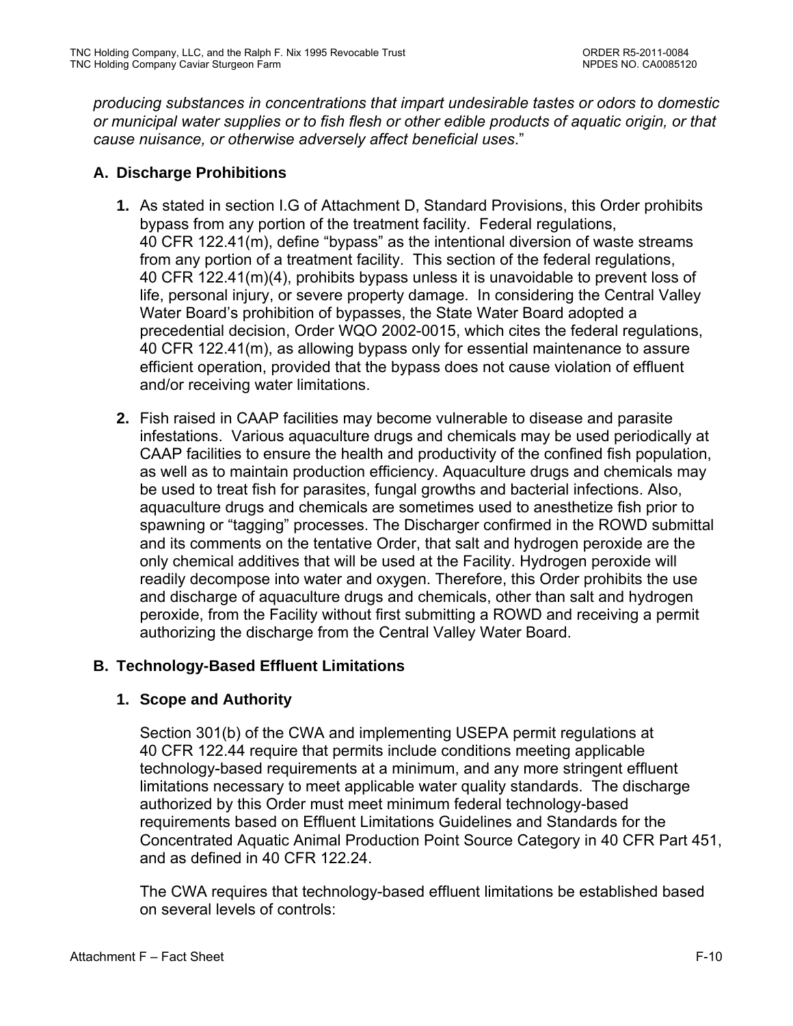*producing substances in concentrations that impart undesirable tastes or odors to domestic or municipal water supplies or to fish flesh or other edible products of aquatic origin, or that cause nuisance, or otherwise adversely affect beneficial uses*."

## **A. Discharge Prohibitions**

- **1.** As stated in section I.G of Attachment D, Standard Provisions, this Order prohibits bypass from any portion of the treatment facility. Federal regulations, 40 CFR 122.41(m), define "bypass" as the intentional diversion of waste streams from any portion of a treatment facility. This section of the federal regulations, 40 CFR 122.41(m)(4), prohibits bypass unless it is unavoidable to prevent loss of life, personal injury, or severe property damage. In considering the Central Valley Water Board's prohibition of bypasses, the State Water Board adopted a precedential decision, Order WQO 2002-0015, which cites the federal regulations, 40 CFR 122.41(m), as allowing bypass only for essential maintenance to assure efficient operation, provided that the bypass does not cause violation of effluent and/or receiving water limitations.
- **2.** Fish raised in CAAP facilities may become vulnerable to disease and parasite infestations. Various aquaculture drugs and chemicals may be used periodically at CAAP facilities to ensure the health and productivity of the confined fish population, as well as to maintain production efficiency. Aquaculture drugs and chemicals may be used to treat fish for parasites, fungal growths and bacterial infections. Also, aquaculture drugs and chemicals are sometimes used to anesthetize fish prior to spawning or "tagging" processes. The Discharger confirmed in the ROWD submittal and its comments on the tentative Order, that salt and hydrogen peroxide are the only chemical additives that will be used at the Facility. Hydrogen peroxide will readily decompose into water and oxygen. Therefore, this Order prohibits the use and discharge of aquaculture drugs and chemicals, other than salt and hydrogen peroxide, from the Facility without first submitting a ROWD and receiving a permit authorizing the discharge from the Central Valley Water Board.

### **B. Technology-Based Effluent Limitations**

## **1. Scope and Authority**

Section 301(b) of the CWA and implementing USEPA permit regulations at 40 CFR 122.44 require that permits include conditions meeting applicable technology-based requirements at a minimum, and any more stringent effluent limitations necessary to meet applicable water quality standards. The discharge authorized by this Order must meet minimum federal technology-based requirements based on Effluent Limitations Guidelines and Standards for the Concentrated Aquatic Animal Production Point Source Category in 40 CFR Part 451, and as defined in 40 CFR 122.24.

The CWA requires that technology-based effluent limitations be established based on several levels of controls: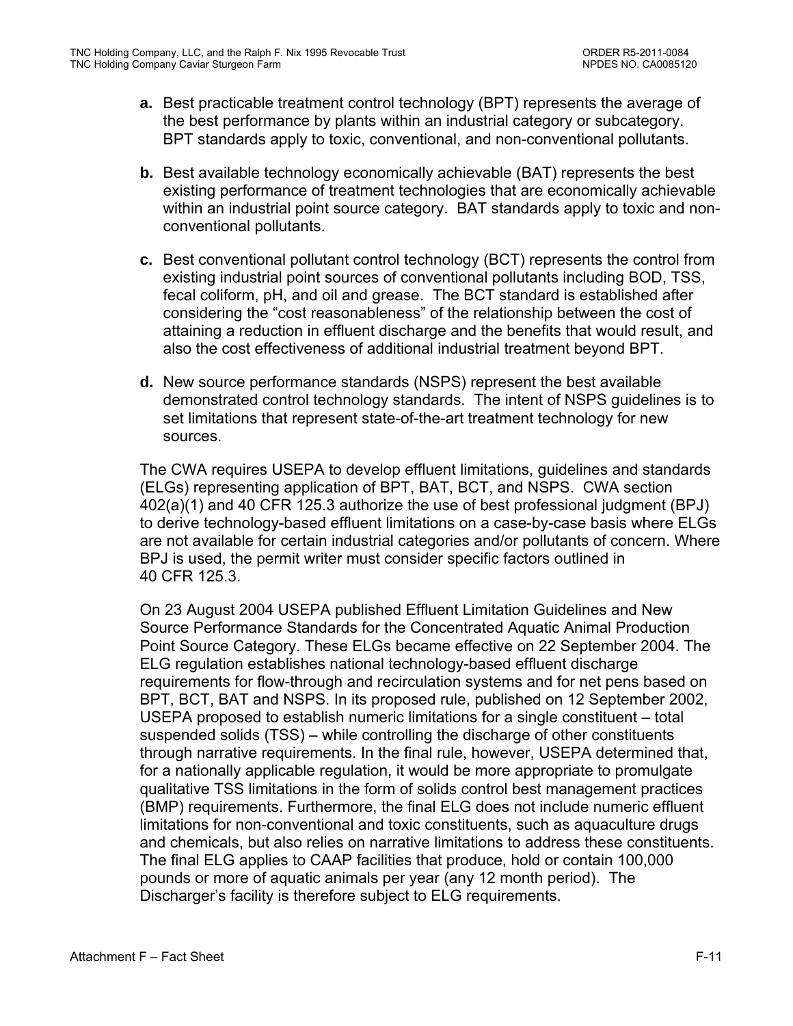- **a.** Best practicable treatment control technology (BPT) represents the average of the best performance by plants within an industrial category or subcategory. BPT standards apply to toxic, conventional, and non-conventional pollutants.
- **b.** Best available technology economically achievable (BAT) represents the best existing performance of treatment technologies that are economically achievable within an industrial point source category. BAT standards apply to toxic and nonconventional pollutants.
- **c.** Best conventional pollutant control technology (BCT) represents the control from existing industrial point sources of conventional pollutants including BOD, TSS, fecal coliform, pH, and oil and grease. The BCT standard is established after considering the "cost reasonableness" of the relationship between the cost of attaining a reduction in effluent discharge and the benefits that would result, and also the cost effectiveness of additional industrial treatment beyond BPT.
- **d.** New source performance standards (NSPS) represent the best available demonstrated control technology standards. The intent of NSPS guidelines is to set limitations that represent state-of-the-art treatment technology for new sources.

The CWA requires USEPA to develop effluent limitations, guidelines and standards (ELGs) representing application of BPT, BAT, BCT, and NSPS. CWA section 402(a)(1) and 40 CFR 125.3 authorize the use of best professional judgment (BPJ) to derive technology-based effluent limitations on a case-by-case basis where ELGs are not available for certain industrial categories and/or pollutants of concern. Where BPJ is used, the permit writer must consider specific factors outlined in 40 CFR 125.3.

On 23 August 2004 USEPA published Effluent Limitation Guidelines and New Source Performance Standards for the Concentrated Aquatic Animal Production Point Source Category. These ELGs became effective on 22 September 2004. The ELG regulation establishes national technology-based effluent discharge requirements for flow-through and recirculation systems and for net pens based on BPT, BCT, BAT and NSPS. In its proposed rule, published on 12 September 2002, USEPA proposed to establish numeric limitations for a single constituent – total suspended solids (TSS) – while controlling the discharge of other constituents through narrative requirements. In the final rule, however, USEPA determined that, for a nationally applicable regulation, it would be more appropriate to promulgate qualitative TSS limitations in the form of solids control best management practices (BMP) requirements. Furthermore, the final ELG does not include numeric effluent limitations for non-conventional and toxic constituents, such as aquaculture drugs and chemicals, but also relies on narrative limitations to address these constituents. The final ELG applies to CAAP facilities that produce, hold or contain 100,000 pounds or more of aquatic animals per year (any 12 month period). The Discharger's facility is therefore subject to ELG requirements.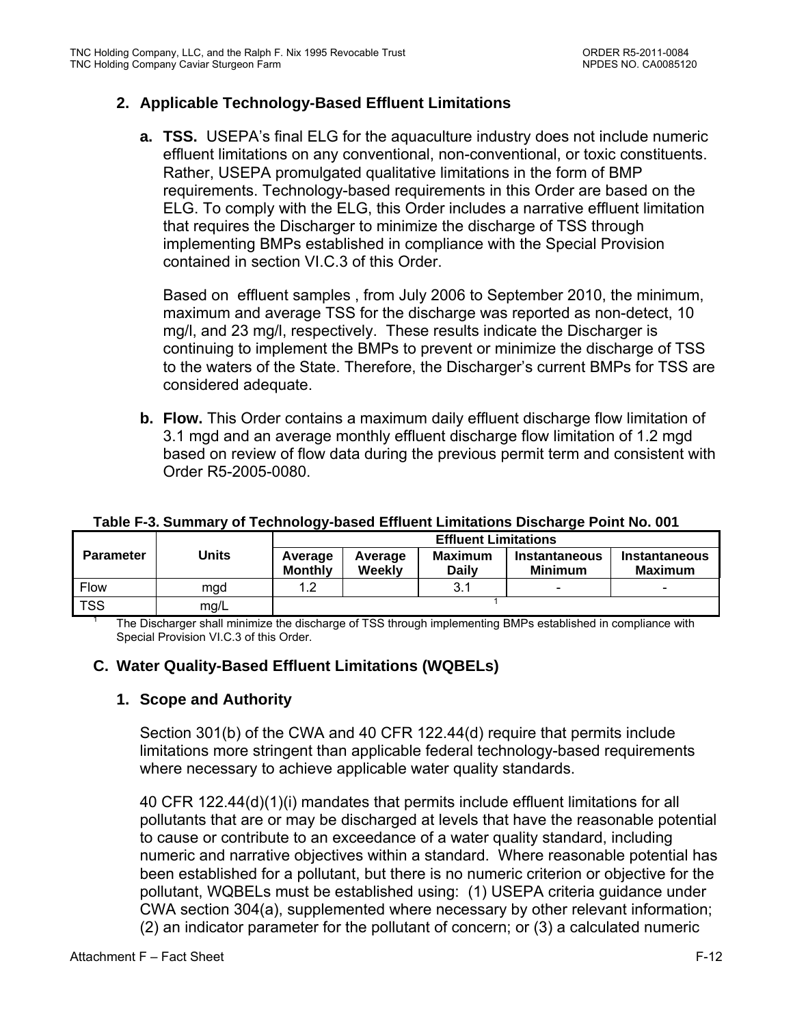### **2. Applicable Technology-Based Effluent Limitations**

**a. TSS.** USEPA's final ELG for the aquaculture industry does not include numeric effluent limitations on any conventional, non-conventional, or toxic constituents. Rather, USEPA promulgated qualitative limitations in the form of BMP requirements. Technology-based requirements in this Order are based on the ELG. To comply with the ELG, this Order includes a narrative effluent limitation that requires the Discharger to minimize the discharge of TSS through implementing BMPs established in compliance with the Special Provision contained in section VI.C.3 of this Order.

Based on effluent samples , from July 2006 to September 2010, the minimum, maximum and average TSS for the discharge was reported as non-detect, 10 mg/l, and 23 mg/l, respectively. These results indicate the Discharger is continuing to implement the BMPs to prevent or minimize the discharge of TSS to the waters of the State. Therefore, the Discharger's current BMPs for TSS are considered adequate.

**b. Flow.** This Order contains a maximum daily effluent discharge flow limitation of 3.1 mgd and an average monthly effluent discharge flow limitation of 1.2 mgd based on review of flow data during the previous permit term and consistent with Order R5-2005-0080.

|                  |       | <b>Effluent Limitations</b> |                   |                                |                                 |                                        |  |
|------------------|-------|-----------------------------|-------------------|--------------------------------|---------------------------------|----------------------------------------|--|
| <b>Parameter</b> | Units | Average<br><b>Monthly</b>   | Average<br>Weekly | <b>Maximum</b><br><b>Daily</b> | Instantaneous<br><b>Minimum</b> | <b>Instantaneous</b><br><b>Maximum</b> |  |
| <b>Flow</b>      | mgd   | 1.2                         |                   | 3.1                            | -                               | -                                      |  |
| <b>TSS</b>       | mg/L  |                             |                   |                                |                                 |                                        |  |

#### **Table F-3. Summary of Technology-based Effluent Limitations Discharge Point No. 001**

 The Discharger shall minimize the discharge of TSS through implementing BMPs established in compliance with Special Provision VI.C.3 of this Order.

### **C. Water Quality-Based Effluent Limitations (WQBELs)**

### **1. Scope and Authority**

Section 301(b) of the CWA and 40 CFR 122.44(d) require that permits include limitations more stringent than applicable federal technology-based requirements where necessary to achieve applicable water quality standards.

40 CFR 122.44(d)(1)(i) mandates that permits include effluent limitations for all pollutants that are or may be discharged at levels that have the reasonable potential to cause or contribute to an exceedance of a water quality standard, including numeric and narrative objectives within a standard. Where reasonable potential has been established for a pollutant, but there is no numeric criterion or objective for the pollutant, WQBELs must be established using: (1) USEPA criteria guidance under CWA section 304(a), supplemented where necessary by other relevant information; (2) an indicator parameter for the pollutant of concern; or (3) a calculated numeric

1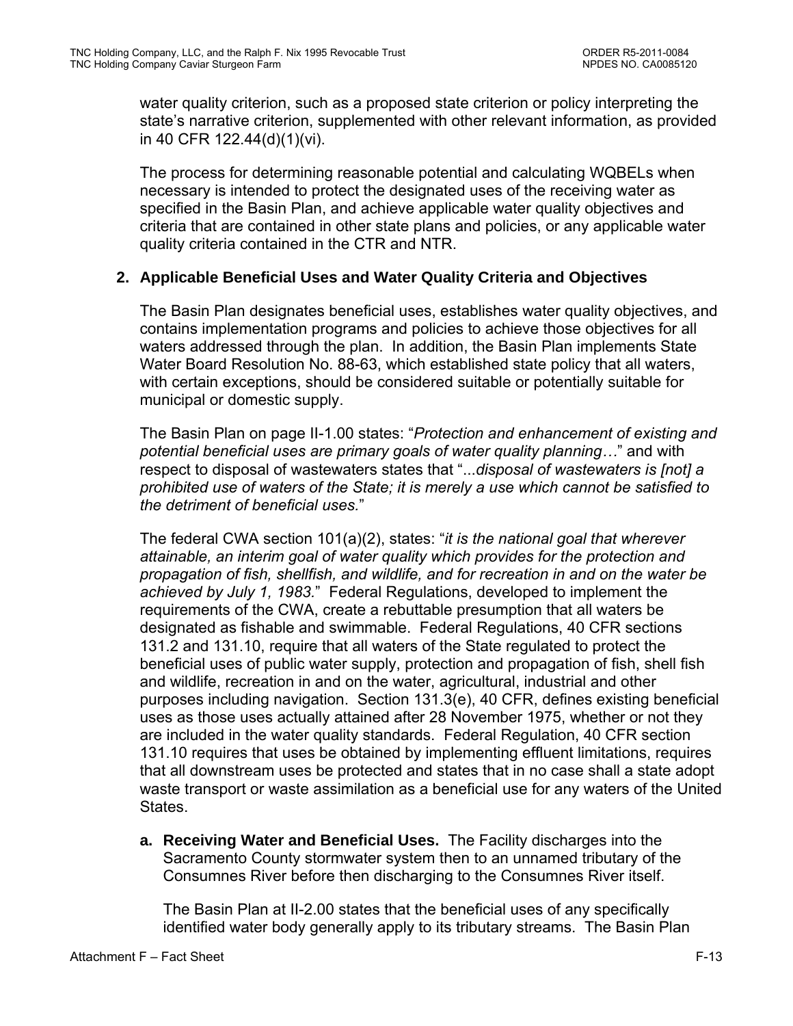water quality criterion, such as a proposed state criterion or policy interpreting the state's narrative criterion, supplemented with other relevant information, as provided in 40 CFR 122.44(d)(1)(vi).

The process for determining reasonable potential and calculating WQBELs when necessary is intended to protect the designated uses of the receiving water as specified in the Basin Plan, and achieve applicable water quality objectives and criteria that are contained in other state plans and policies, or any applicable water quality criteria contained in the CTR and NTR.

### **2. Applicable Beneficial Uses and Water Quality Criteria and Objectives**

The Basin Plan designates beneficial uses, establishes water quality objectives, and contains implementation programs and policies to achieve those objectives for all waters addressed through the plan. In addition, the Basin Plan implements State Water Board Resolution No. 88-63, which established state policy that all waters, with certain exceptions, should be considered suitable or potentially suitable for municipal or domestic supply.

The Basin Plan on page II-1.00 states: "*Protection and enhancement of existing and potential beneficial uses are primary goals of water quality planning…*" and with respect to disposal of wastewaters states that "...*disposal of wastewaters is [not] a prohibited use of waters of the State; it is merely a use which cannot be satisfied to the detriment of beneficial uses.*"

The federal CWA section 101(a)(2), states: "*it is the national goal that wherever attainable, an interim goal of water quality which provides for the protection and propagation of fish, shellfish, and wildlife, and for recreation in and on the water be achieved by July 1, 1983.*" Federal Regulations, developed to implement the requirements of the CWA, create a rebuttable presumption that all waters be designated as fishable and swimmable. Federal Regulations, 40 CFR sections 131.2 and 131.10, require that all waters of the State regulated to protect the beneficial uses of public water supply, protection and propagation of fish, shell fish and wildlife, recreation in and on the water, agricultural, industrial and other purposes including navigation. Section 131.3(e), 40 CFR, defines existing beneficial uses as those uses actually attained after 28 November 1975, whether or not they are included in the water quality standards. Federal Regulation, 40 CFR section 131.10 requires that uses be obtained by implementing effluent limitations, requires that all downstream uses be protected and states that in no case shall a state adopt waste transport or waste assimilation as a beneficial use for any waters of the United States.

**a. Receiving Water and Beneficial Uses.** The Facility discharges into the Sacramento County stormwater system then to an unnamed tributary of the Consumnes River before then discharging to the Consumnes River itself.

The Basin Plan at II-2.00 states that the beneficial uses of any specifically identified water body generally apply to its tributary streams. The Basin Plan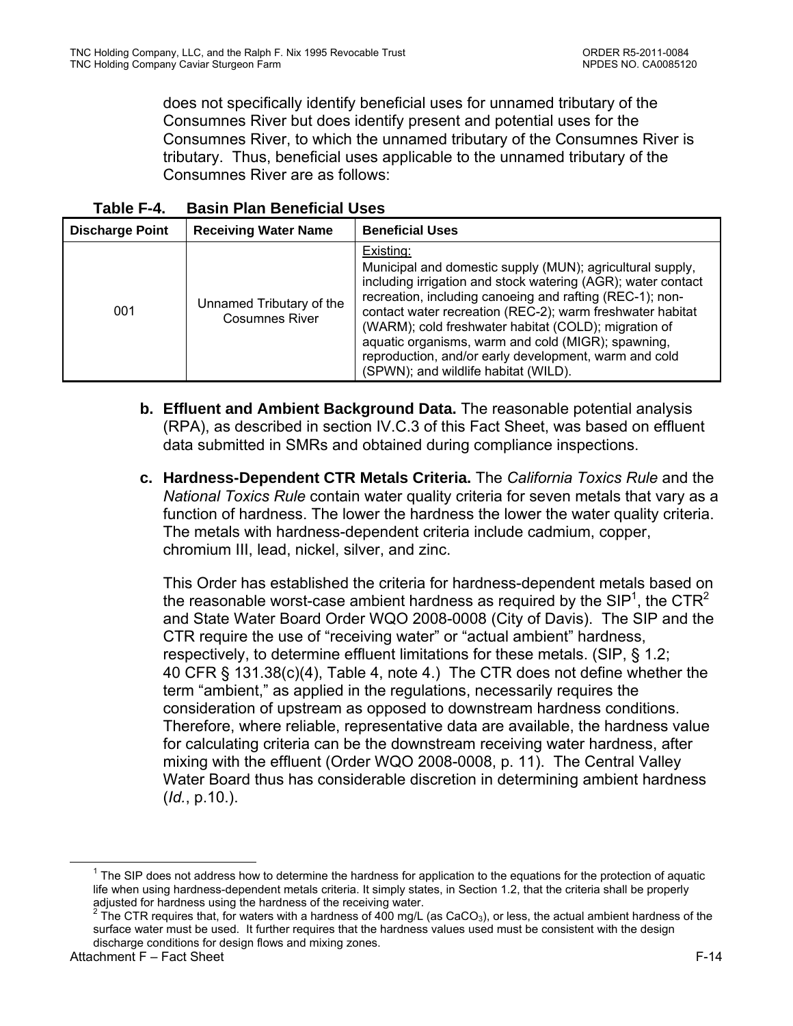does not specifically identify beneficial uses for unnamed tributary of the Consumnes River but does identify present and potential uses for the Consumnes River, to which the unnamed tributary of the Consumnes River is tributary. Thus, beneficial uses applicable to the unnamed tributary of the Consumnes River are as follows:

| <b>Discharge Point</b> | <b>Receiving Water Name</b>                       | <b>Beneficial Uses</b>                                                                                                                                                                                                                                                                                                                                                                                                                                                         |
|------------------------|---------------------------------------------------|--------------------------------------------------------------------------------------------------------------------------------------------------------------------------------------------------------------------------------------------------------------------------------------------------------------------------------------------------------------------------------------------------------------------------------------------------------------------------------|
| 001                    | Unnamed Tributary of the<br><b>Cosumnes River</b> | Existing:<br>Municipal and domestic supply (MUN); agricultural supply,<br>including irrigation and stock watering (AGR); water contact<br>recreation, including canoeing and rafting (REC-1); non-<br>contact water recreation (REC-2); warm freshwater habitat<br>(WARM); cold freshwater habitat (COLD); migration of<br>aquatic organisms, warm and cold (MIGR); spawning,<br>reproduction, and/or early development, warm and cold<br>(SPWN); and wildlife habitat (WILD). |

- **b. Effluent and Ambient Background Data.** The reasonable potential analysis (RPA), as described in section IV.C.3 of this Fact Sheet, was based on effluent data submitted in SMRs and obtained during compliance inspections.
- **c. Hardness-Dependent CTR Metals Criteria.** The *California Toxics Rule* and the *National Toxics Rule* contain water quality criteria for seven metals that vary as a function of hardness. The lower the hardness the lower the water quality criteria. The metals with hardness-dependent criteria include cadmium, copper, chromium III, lead, nickel, silver, and zinc.

This Order has established the criteria for hardness-dependent metals based on the reasonable worst-case ambient hardness as required by the SIP<sup>1</sup>, the CTR<sup>2</sup> and State Water Board Order WQO 2008-0008 (City of Davis). The SIP and the CTR require the use of "receiving water" or "actual ambient" hardness, respectively, to determine effluent limitations for these metals. (SIP, § 1.2; 40 CFR § 131.38(c)(4), Table 4, note 4.) The CTR does not define whether the term "ambient," as applied in the regulations, necessarily requires the consideration of upstream as opposed to downstream hardness conditions. Therefore, where reliable, representative data are available, the hardness value for calculating criteria can be the downstream receiving water hardness, after mixing with the effluent (Order WQO 2008-0008, p. 11). The Central Valley Water Board thus has considerable discretion in determining ambient hardness (*Id.*, p.10.).

 $\frac{1}{1}$ <sup>1</sup> The SIP does not address how to determine the hardness for application to the equations for the protection of aquatic life when using hardness-dependent metals criteria. It simply states, in Section 1.2, that the criteria shall be properly

adjusted for hardness using the hardness of the receiving water.<br><sup>2</sup> The CTR requires that, for waters with a hardness of 400 mg/L (as CaCO<sub>3</sub>), or less, the actual ambient hardness of the surface water must be used. It further requires that the hardness values used must be consistent with the design discharge conditions for design flows and mixing zones.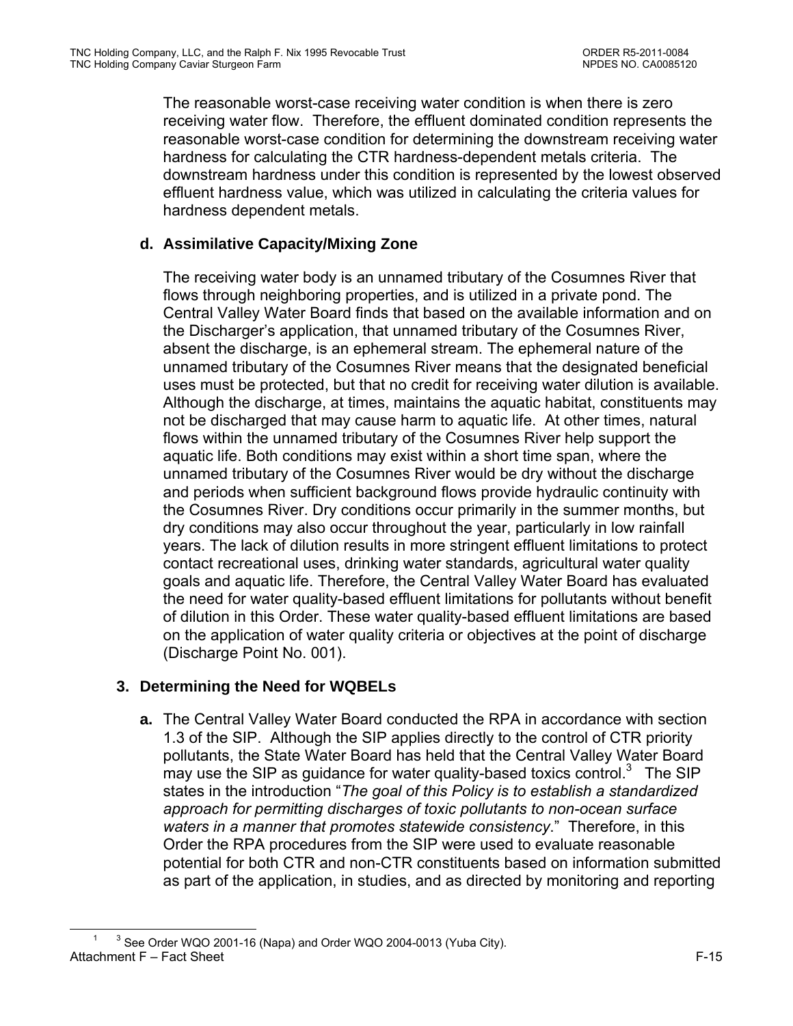The reasonable worst-case receiving water condition is when there is zero receiving water flow. Therefore, the effluent dominated condition represents the reasonable worst-case condition for determining the downstream receiving water hardness for calculating the CTR hardness-dependent metals criteria. The downstream hardness under this condition is represented by the lowest observed effluent hardness value, which was utilized in calculating the criteria values for hardness dependent metals.

## **d. Assimilative Capacity/Mixing Zone**

The receiving water body is an unnamed tributary of the Cosumnes River that flows through neighboring properties, and is utilized in a private pond. The Central Valley Water Board finds that based on the available information and on the Discharger's application, that unnamed tributary of the Cosumnes River, absent the discharge, is an ephemeral stream. The ephemeral nature of the unnamed tributary of the Cosumnes River means that the designated beneficial uses must be protected, but that no credit for receiving water dilution is available. Although the discharge, at times, maintains the aquatic habitat, constituents may not be discharged that may cause harm to aquatic life. At other times, natural flows within the unnamed tributary of the Cosumnes River help support the aquatic life. Both conditions may exist within a short time span, where the unnamed tributary of the Cosumnes River would be dry without the discharge and periods when sufficient background flows provide hydraulic continuity with the Cosumnes River. Dry conditions occur primarily in the summer months, but dry conditions may also occur throughout the year, particularly in low rainfall years. The lack of dilution results in more stringent effluent limitations to protect contact recreational uses, drinking water standards, agricultural water quality goals and aquatic life. Therefore, the Central Valley Water Board has evaluated the need for water quality-based effluent limitations for pollutants without benefit of dilution in this Order. These water quality-based effluent limitations are based on the application of water quality criteria or objectives at the point of discharge (Discharge Point No. 001).

## **3. Determining the Need for WQBELs**

**a.** The Central Valley Water Board conducted the RPA in accordance with section 1.3 of the SIP. Although the SIP applies directly to the control of CTR priority pollutants, the State Water Board has held that the Central Valley Water Board may use the SIP as guidance for water quality-based toxics control.<sup>3</sup> The SIP states in the introduction "*The goal of this Policy is to establish a standardized approach for permitting discharges of toxic pollutants to non-ocean surface waters in a manner that promotes statewide consistency*." Therefore, in this Order the RPA procedures from the SIP were used to evaluate reasonable potential for both CTR and non-CTR constituents based on information submitted as part of the application, in studies, and as directed by monitoring and reporting

Attachment F – Fact Sheet F-15  $\begin{array}{c|c}\n\hline\n1 & 3\n\end{array}$ <sup>3</sup> See Order WQO 2001-16 (Napa) and Order WQO 2004-0013 (Yuba City).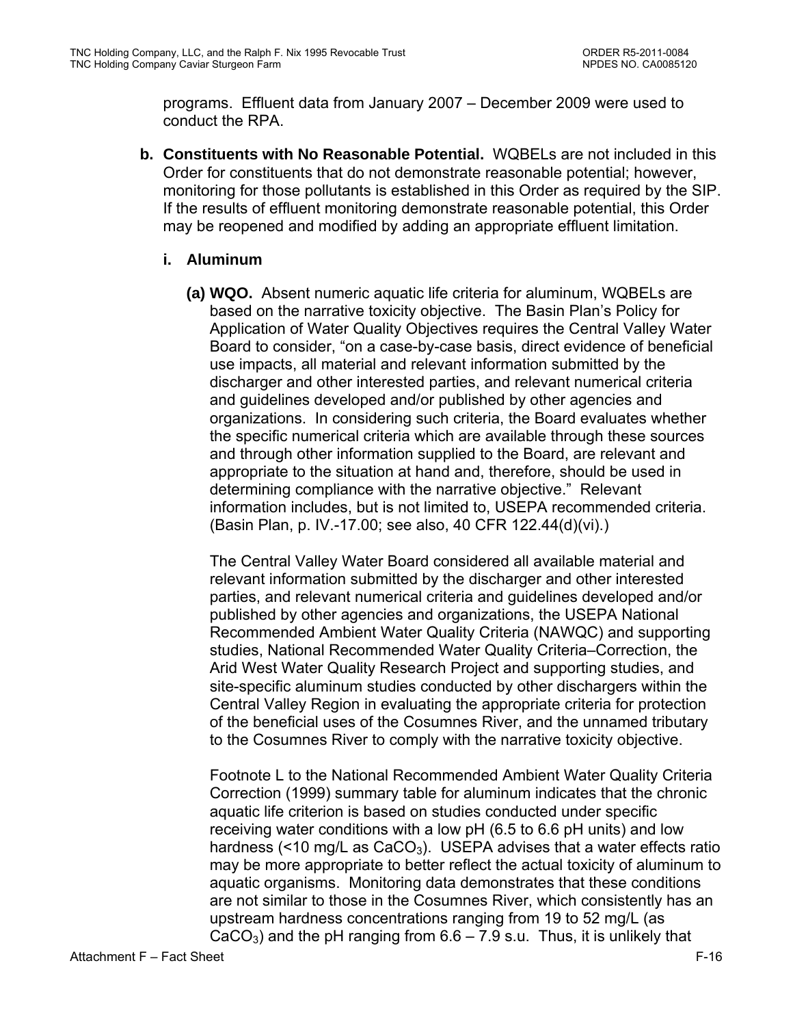programs. Effluent data from January 2007 – December 2009 were used to conduct the RPA.

**b. Constituents with No Reasonable Potential.** WQBELs are not included in this Order for constituents that do not demonstrate reasonable potential; however, monitoring for those pollutants is established in this Order as required by the SIP. If the results of effluent monitoring demonstrate reasonable potential, this Order may be reopened and modified by adding an appropriate effluent limitation.

### **i. Aluminum**

**(a) WQO.** Absent numeric aquatic life criteria for aluminum, WQBELs are based on the narrative toxicity objective. The Basin Plan's Policy for Application of Water Quality Objectives requires the Central Valley Water Board to consider, "on a case-by-case basis, direct evidence of beneficial use impacts, all material and relevant information submitted by the discharger and other interested parties, and relevant numerical criteria and guidelines developed and/or published by other agencies and organizations. In considering such criteria, the Board evaluates whether the specific numerical criteria which are available through these sources and through other information supplied to the Board, are relevant and appropriate to the situation at hand and, therefore, should be used in determining compliance with the narrative objective." Relevant information includes, but is not limited to, USEPA recommended criteria. (Basin Plan, p. IV.-17.00; see also, 40 CFR 122.44(d)(vi).)

The Central Valley Water Board considered all available material and relevant information submitted by the discharger and other interested parties, and relevant numerical criteria and guidelines developed and/or published by other agencies and organizations, the USEPA National Recommended Ambient Water Quality Criteria (NAWQC) and supporting studies, National Recommended Water Quality Criteria–Correction, the Arid West Water Quality Research Project and supporting studies, and site-specific aluminum studies conducted by other dischargers within the Central Valley Region in evaluating the appropriate criteria for protection of the beneficial uses of the Cosumnes River, and the unnamed tributary to the Cosumnes River to comply with the narrative toxicity objective.

Footnote L to the National Recommended Ambient Water Quality Criteria Correction (1999) summary table for aluminum indicates that the chronic aquatic life criterion is based on studies conducted under specific receiving water conditions with a low pH (6.5 to 6.6 pH units) and low hardness (<10 mg/L as  $CaCO<sub>3</sub>$ ). USEPA advises that a water effects ratio may be more appropriate to better reflect the actual toxicity of aluminum to aquatic organisms. Monitoring data demonstrates that these conditions are not similar to those in the Cosumnes River, which consistently has an upstream hardness concentrations ranging from 19 to 52 mg/L (as CaCO<sub>3</sub>) and the pH ranging from  $6.6 - 7.9$  s.u. Thus, it is unlikely that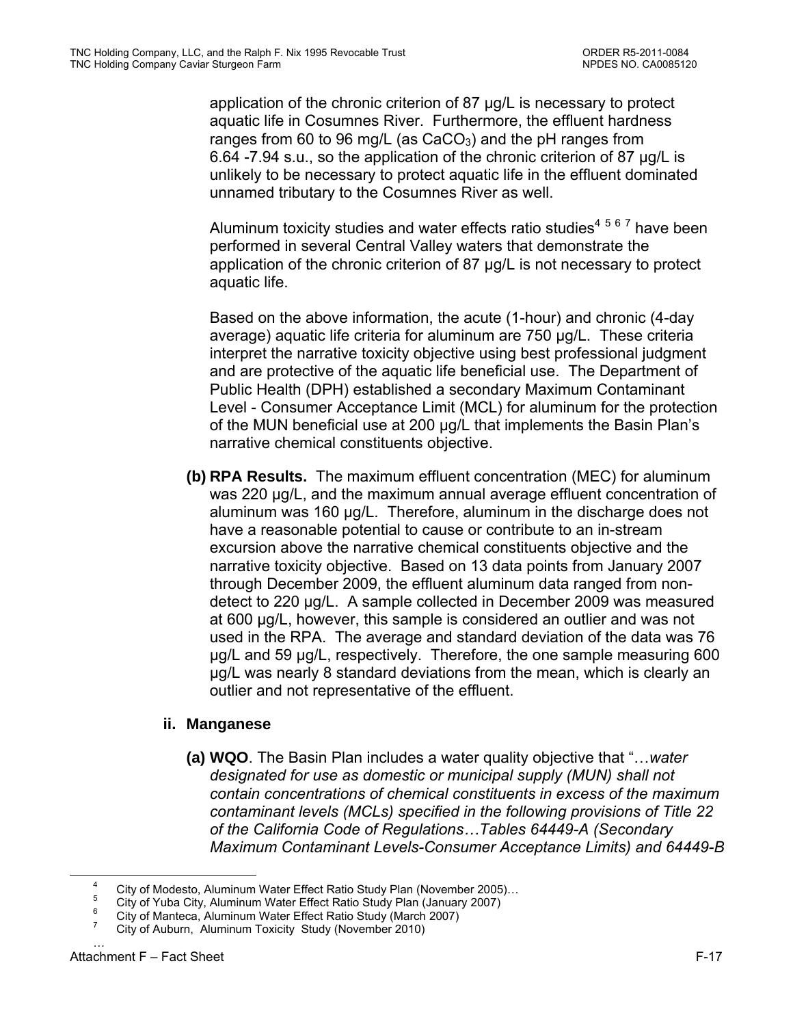application of the chronic criterion of 87 µg/L is necessary to protect aquatic life in Cosumnes River. Furthermore, the effluent hardness ranges from 60 to 96 mg/L (as  $CaCO<sub>3</sub>$ ) and the pH ranges from 6.64 -7.94 s.u., so the application of the chronic criterion of 87 µg/L is unlikely to be necessary to protect aquatic life in the effluent dominated unnamed tributary to the Cosumnes River as well.

Aluminum toxicity studies and water effects ratio studies<sup>4 5 6 7</sup> have been performed in several Central Valley waters that demonstrate the application of the chronic criterion of 87 µg/L is not necessary to protect aquatic life.

Based on the above information, the acute (1-hour) and chronic (4-day average) aquatic life criteria for aluminum are 750 µg/L. These criteria interpret the narrative toxicity objective using best professional judgment and are protective of the aquatic life beneficial use. The Department of Public Health (DPH) established a secondary Maximum Contaminant Level - Consumer Acceptance Limit (MCL) for aluminum for the protection of the MUN beneficial use at 200 μg/L that implements the Basin Plan's narrative chemical constituents objective.

**(b) RPA Results.** The maximum effluent concentration (MEC) for aluminum was 220 µg/L, and the maximum annual average effluent concentration of aluminum was 160 µg/L. Therefore, aluminum in the discharge does not have a reasonable potential to cause or contribute to an in-stream excursion above the narrative chemical constituents objective and the narrative toxicity objective. Based on 13 data points from January 2007 through December 2009, the effluent aluminum data ranged from nondetect to 220 µg/L. A sample collected in December 2009 was measured at 600 µg/L, however, this sample is considered an outlier and was not used in the RPA. The average and standard deviation of the data was 76 µg/L and 59 µg/L, respectively. Therefore, the one sample measuring 600 µg/L was nearly 8 standard deviations from the mean, which is clearly an outlier and not representative of the effluent.

### **ii. Manganese**

**(a) WQO**. The Basin Plan includes a water quality objective that "…*water designated for use as domestic or municipal supply (MUN) shall not contain concentrations of chemical constituents in excess of the maximum contaminant levels (MCLs) specified in the following provisions of Title 22 of the California Code of Regulations…Tables 64449-A (Secondary Maximum Contaminant Levels-Consumer Acceptance Limits) and 64449-B* 

 $\overline{4}$ City of Modesto, Aluminum Water Effect Ratio Study Plan (November 2005)…

<sup>5</sup> City of Yuba City, Aluminum Water Effect Ratio Study Plan (January 2007) 6

City of Manteca, Aluminum Water Effect Ratio Study (March 2007) 7

City of Auburn, Aluminum Toxicity Study (November 2010) …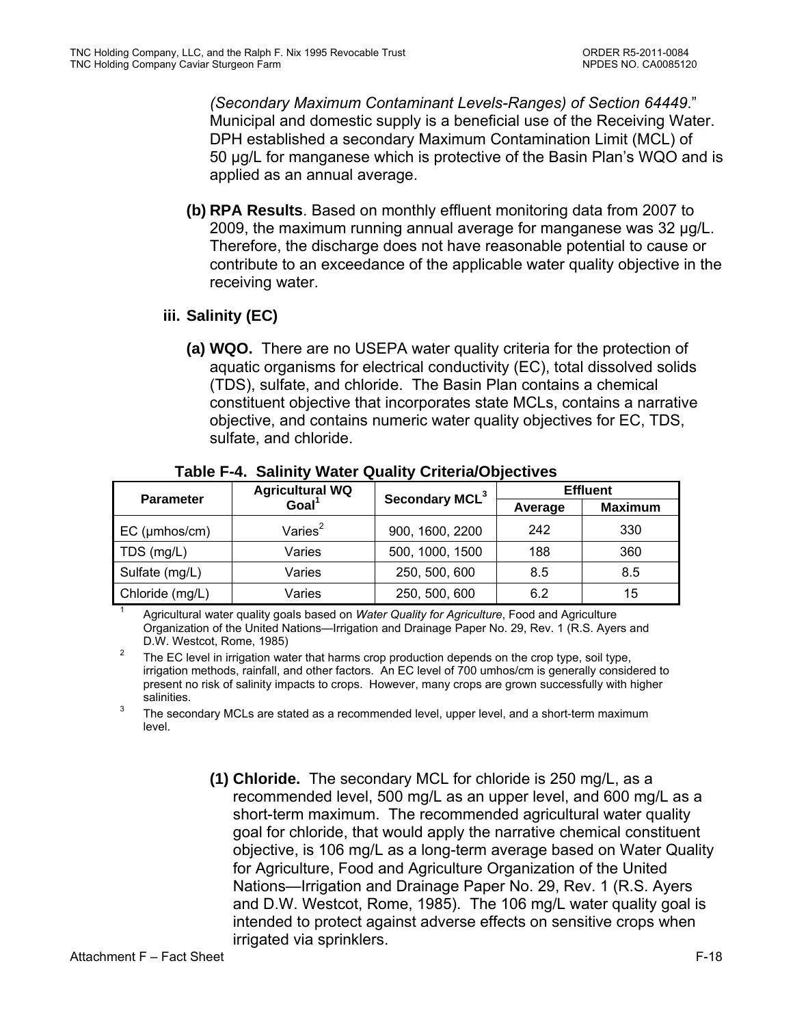*(Secondary Maximum Contaminant Levels-Ranges) of Section 64449*." Municipal and domestic supply is a beneficial use of the Receiving Water. DPH established a secondary Maximum Contamination Limit (MCL) of 50 µg/L for manganese which is protective of the Basin Plan's WQO and is applied as an annual average.

**(b) RPA Results**. Based on monthly effluent monitoring data from 2007 to 2009, the maximum running annual average for manganese was 32 µg/L. Therefore, the discharge does not have reasonable potential to cause or contribute to an exceedance of the applicable water quality objective in the receiving water.

## **iii. Salinity (EC)**

**(a) WQO.** There are no USEPA water quality criteria for the protection of aquatic organisms for electrical conductivity (EC), total dissolved solids (TDS), sulfate, and chloride. The Basin Plan contains a chemical constituent objective that incorporates state MCLs, contains a narrative objective, and contains numeric water quality objectives for EC, TDS, sulfate, and chloride.

| <b>Parameter</b>    | <b>Agricultural WQ</b> | Secondary MCL <sup>3</sup> | <b>Effluent</b> |                |  |
|---------------------|------------------------|----------------------------|-----------------|----------------|--|
|                     | Goal <sup>1</sup>      |                            | Average         | <b>Maximum</b> |  |
| $EC$ ( $µmbos/cm$ ) | Varies $2$             | 900, 1600, 2200            | 242             | 330            |  |
| TDS (mg/L)          | Varies                 | 500, 1000, 1500            | 188             | 360            |  |
| Sulfate (mg/L)      | Varies                 | 250, 500, 600              | 8.5             | 8.5            |  |
| Chloride (mg/L)     | Varies                 | 250, 500, 600              | 6.2             | 15             |  |

**Table F-4. Salinity Water Quality Criteria/Objectives** 

1 Agricultural water quality goals based on *Water Quality for Agriculture*, Food and Agriculture Organization of the United Nations—Irrigation and Drainage Paper No. 29, Rev. 1 (R.S. Ayers and

<sup>2</sup> The EC level in irrigation water that harms crop production depends on the crop type, soil type, irrigation methods, rainfall, and other factors. An EC level of 700 umhos/cm is generally considered to present no risk of salinity impacts to crops. However, many crops are grown successfully with higher

salinities.<br><sup>3</sup> The secondary MCLs are stated as a recommended level, upper level, and a short-term maximum level.

> **(1) Chloride.** The secondary MCL for chloride is 250 mg/L, as a recommended level, 500 mg/L as an upper level, and 600 mg/L as a short-term maximum. The recommended agricultural water quality goal for chloride, that would apply the narrative chemical constituent objective, is 106 mg/L as a long-term average based on Water Quality for Agriculture, Food and Agriculture Organization of the United Nations—Irrigation and Drainage Paper No. 29, Rev. 1 (R.S. Ayers and D.W. Westcot, Rome, 1985). The 106 mg/L water quality goal is intended to protect against adverse effects on sensitive crops when irrigated via sprinklers.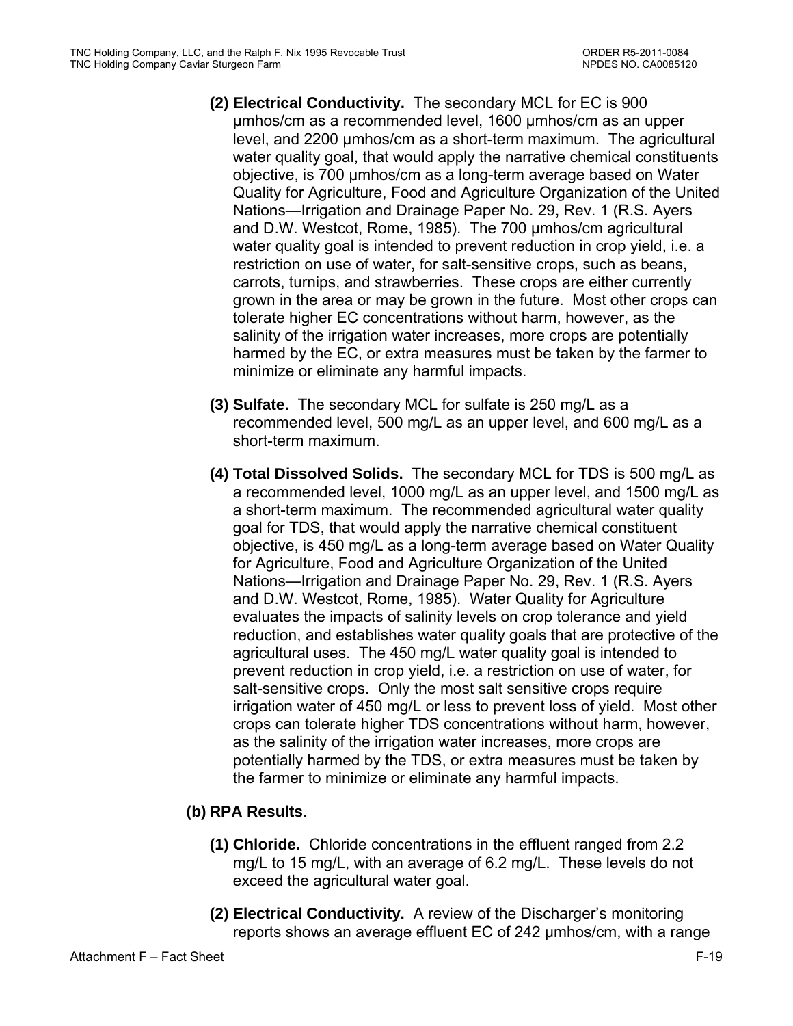- **(2) Electrical Conductivity.** The secondary MCL for EC is 900 µmhos/cm as a recommended level, 1600 µmhos/cm as an upper level, and 2200 µmhos/cm as a short-term maximum. The agricultural water quality goal, that would apply the narrative chemical constituents objective, is 700 µmhos/cm as a long-term average based on Water Quality for Agriculture, Food and Agriculture Organization of the United Nations—Irrigation and Drainage Paper No. 29, Rev. 1 (R.S. Ayers and D.W. Westcot, Rome, 1985). The 700 µmhos/cm agricultural water quality goal is intended to prevent reduction in crop yield, i.e. a restriction on use of water, for salt-sensitive crops, such as beans, carrots, turnips, and strawberries. These crops are either currently grown in the area or may be grown in the future. Most other crops can tolerate higher EC concentrations without harm, however, as the salinity of the irrigation water increases, more crops are potentially harmed by the EC, or extra measures must be taken by the farmer to minimize or eliminate any harmful impacts.
- **(3) Sulfate.** The secondary MCL for sulfate is 250 mg/L as a recommended level, 500 mg/L as an upper level, and 600 mg/L as a short-term maximum.
- **(4) Total Dissolved Solids.** The secondary MCL for TDS is 500 mg/L as a recommended level, 1000 mg/L as an upper level, and 1500 mg/L as a short-term maximum. The recommended agricultural water quality goal for TDS, that would apply the narrative chemical constituent objective, is 450 mg/L as a long-term average based on Water Quality for Agriculture, Food and Agriculture Organization of the United Nations—Irrigation and Drainage Paper No. 29, Rev. 1 (R.S. Ayers and D.W. Westcot, Rome, 1985). Water Quality for Agriculture evaluates the impacts of salinity levels on crop tolerance and yield reduction, and establishes water quality goals that are protective of the agricultural uses. The 450 mg/L water quality goal is intended to prevent reduction in crop yield, i.e. a restriction on use of water, for salt-sensitive crops. Only the most salt sensitive crops require irrigation water of 450 mg/L or less to prevent loss of yield. Most other crops can tolerate higher TDS concentrations without harm, however, as the salinity of the irrigation water increases, more crops are potentially harmed by the TDS, or extra measures must be taken by the farmer to minimize or eliminate any harmful impacts.

## **(b) RPA Results**.

- **(1) Chloride.** Chloride concentrations in the effluent ranged from 2.2 mg/L to 15 mg/L, with an average of 6.2 mg/L. These levels do not exceed the agricultural water goal.
- **(2) Electrical Conductivity.** A review of the Discharger's monitoring reports shows an average effluent EC of 242 µmhos/cm, with a range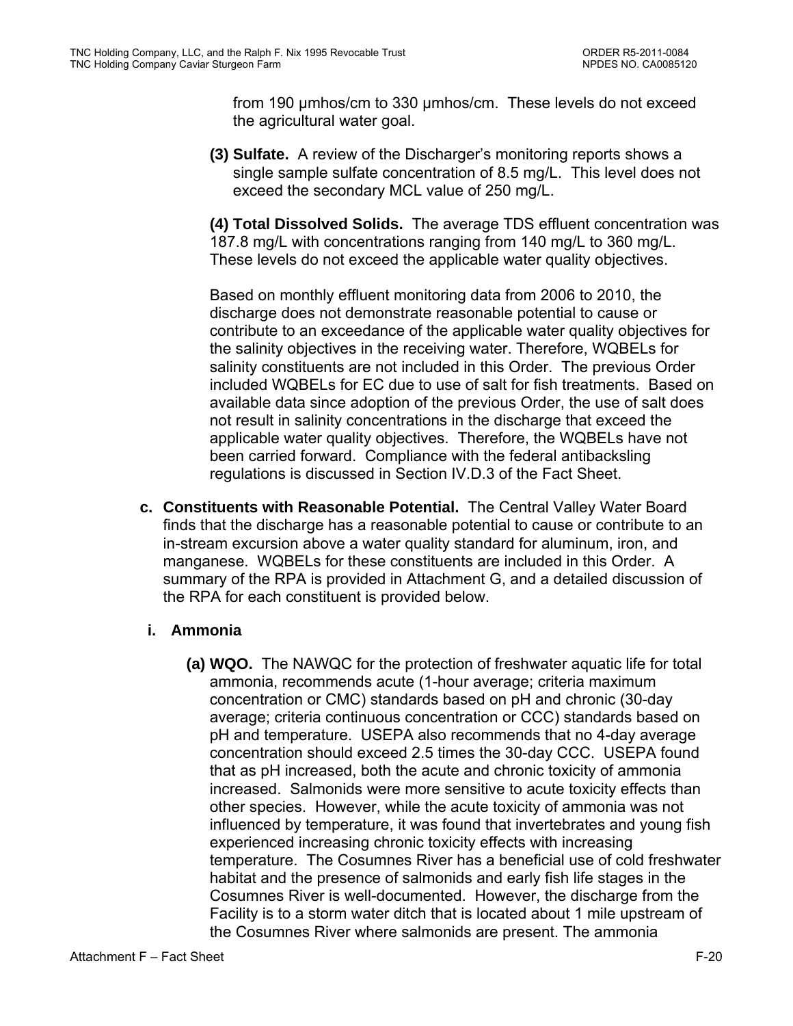from 190 µmhos/cm to 330 µmhos/cm. These levels do not exceed the agricultural water goal.

**(3) Sulfate.** A review of the Discharger's monitoring reports shows a single sample sulfate concentration of 8.5 mg/L. This level does not exceed the secondary MCL value of 250 mg/L.

**(4) Total Dissolved Solids.** The average TDS effluent concentration was 187.8 mg/L with concentrations ranging from 140 mg/L to 360 mg/L. These levels do not exceed the applicable water quality objectives.

Based on monthly effluent monitoring data from 2006 to 2010, the discharge does not demonstrate reasonable potential to cause or contribute to an exceedance of the applicable water quality objectives for the salinity objectives in the receiving water. Therefore, WQBELs for salinity constituents are not included in this Order. The previous Order included WQBELs for EC due to use of salt for fish treatments. Based on available data since adoption of the previous Order, the use of salt does not result in salinity concentrations in the discharge that exceed the applicable water quality objectives. Therefore, the WQBELs have not been carried forward. Compliance with the federal antibacksling regulations is discussed in Section IV.D.3 of the Fact Sheet.

**c. Constituents with Reasonable Potential.** The Central Valley Water Board finds that the discharge has a reasonable potential to cause or contribute to an in-stream excursion above a water quality standard for aluminum, iron, and manganese. WQBELs for these constituents are included in this Order. A summary of the RPA is provided in Attachment G, and a detailed discussion of the RPA for each constituent is provided below.

## **i. Ammonia**

**(a) WQO.** The NAWQC for the protection of freshwater aquatic life for total ammonia, recommends acute (1-hour average; criteria maximum concentration or CMC) standards based on pH and chronic (30-day average; criteria continuous concentration or CCC) standards based on pH and temperature. USEPA also recommends that no 4-day average concentration should exceed 2.5 times the 30-day CCC. USEPA found that as pH increased, both the acute and chronic toxicity of ammonia increased. Salmonids were more sensitive to acute toxicity effects than other species. However, while the acute toxicity of ammonia was not influenced by temperature, it was found that invertebrates and young fish experienced increasing chronic toxicity effects with increasing temperature. The Cosumnes River has a beneficial use of cold freshwater habitat and the presence of salmonids and early fish life stages in the Cosumnes River is well-documented. However, the discharge from the Facility is to a storm water ditch that is located about 1 mile upstream of the Cosumnes River where salmonids are present. The ammonia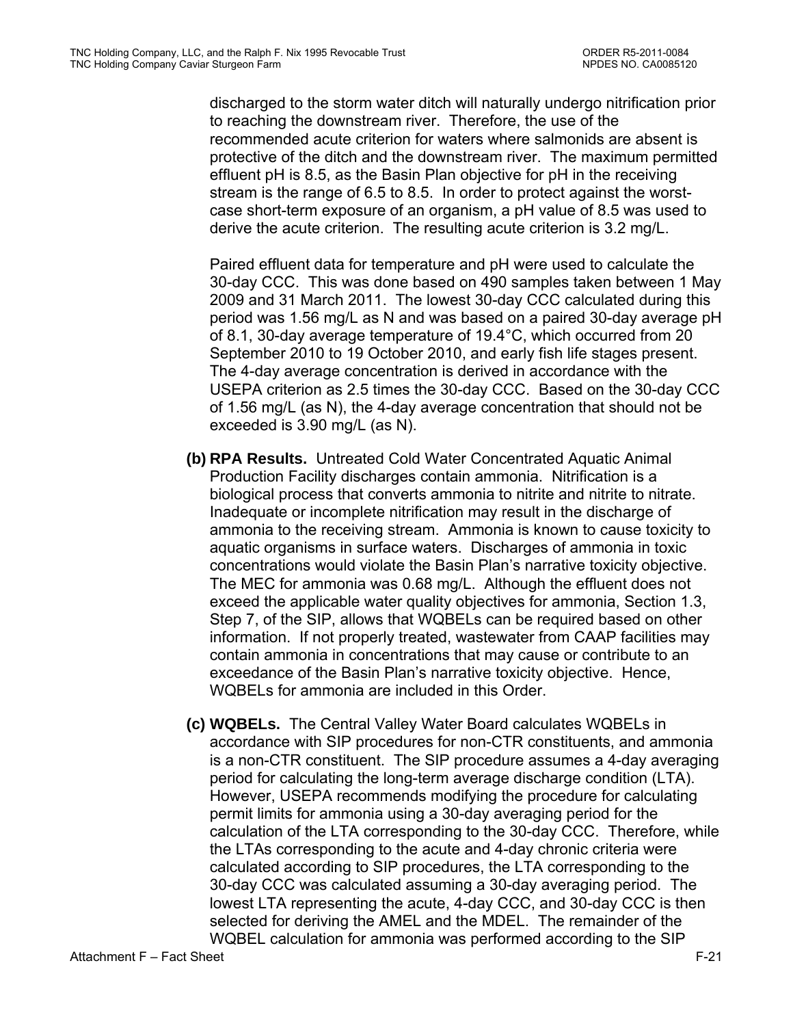discharged to the storm water ditch will naturally undergo nitrification prior to reaching the downstream river. Therefore, the use of the recommended acute criterion for waters where salmonids are absent is protective of the ditch and the downstream river. The maximum permitted effluent pH is 8.5, as the Basin Plan objective for pH in the receiving stream is the range of 6.5 to 8.5. In order to protect against the worstcase short-term exposure of an organism, a pH value of 8.5 was used to derive the acute criterion. The resulting acute criterion is 3.2 mg/L.

Paired effluent data for temperature and pH were used to calculate the 30-day CCC. This was done based on 490 samples taken between 1 May 2009 and 31 March 2011. The lowest 30-day CCC calculated during this period was 1.56 mg/L as N and was based on a paired 30-day average pH of 8.1, 30-day average temperature of 19.4°C, which occurred from 20 September 2010 to 19 October 2010, and early fish life stages present. The 4-day average concentration is derived in accordance with the USEPA criterion as 2.5 times the 30-day CCC. Based on the 30-day CCC of 1.56 mg/L (as N), the 4-day average concentration that should not be exceeded is 3.90 mg/L (as N).

- **(b) RPA Results.** Untreated Cold Water Concentrated Aquatic Animal Production Facility discharges contain ammonia. Nitrification is a biological process that converts ammonia to nitrite and nitrite to nitrate. Inadequate or incomplete nitrification may result in the discharge of ammonia to the receiving stream. Ammonia is known to cause toxicity to aquatic organisms in surface waters. Discharges of ammonia in toxic concentrations would violate the Basin Plan's narrative toxicity objective. The MEC for ammonia was 0.68 mg/L. Although the effluent does not exceed the applicable water quality objectives for ammonia, Section 1.3, Step 7, of the SIP, allows that WQBELs can be required based on other information. If not properly treated, wastewater from CAAP facilities may contain ammonia in concentrations that may cause or contribute to an exceedance of the Basin Plan's narrative toxicity objective. Hence, WQBELs for ammonia are included in this Order.
- **(c) WQBELs.** The Central Valley Water Board calculates WQBELs in accordance with SIP procedures for non-CTR constituents, and ammonia is a non-CTR constituent. The SIP procedure assumes a 4-day averaging period for calculating the long-term average discharge condition (LTA). However, USEPA recommends modifying the procedure for calculating permit limits for ammonia using a 30-day averaging period for the calculation of the LTA corresponding to the 30-day CCC. Therefore, while the LTAs corresponding to the acute and 4-day chronic criteria were calculated according to SIP procedures, the LTA corresponding to the 30-day CCC was calculated assuming a 30-day averaging period. The lowest LTA representing the acute, 4-day CCC, and 30-day CCC is then selected for deriving the AMEL and the MDEL. The remainder of the WQBEL calculation for ammonia was performed according to the SIP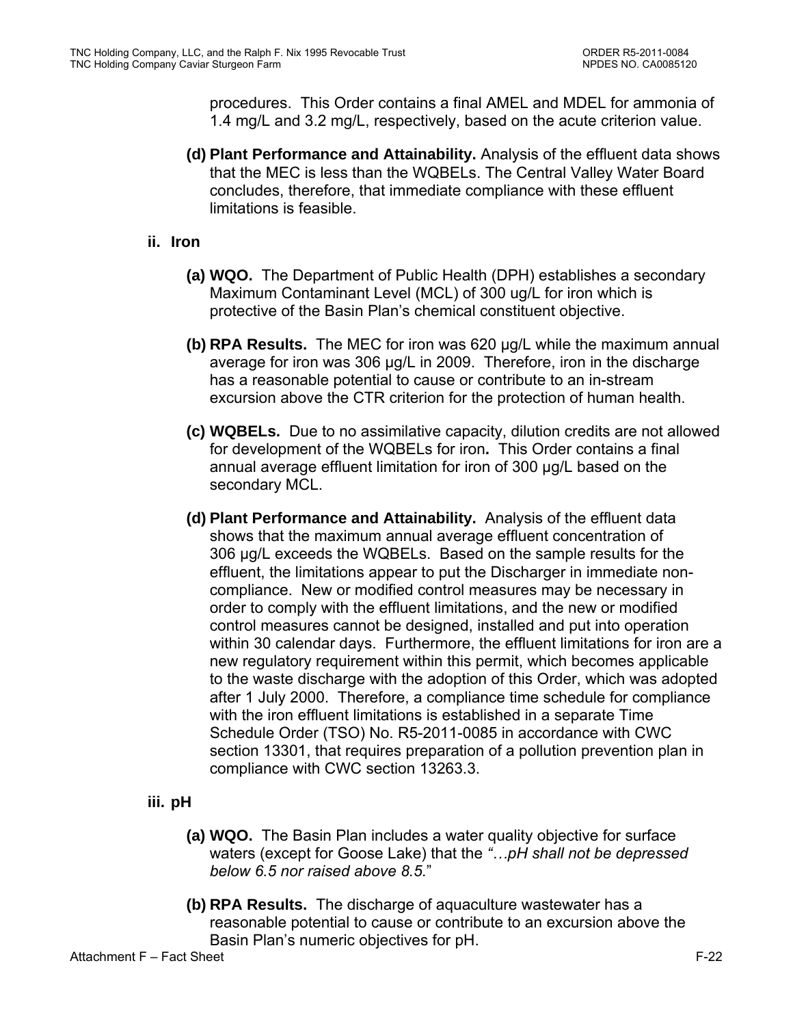procedures. This Order contains a final AMEL and MDEL for ammonia of 1.4 mg/L and 3.2 mg/L, respectively, based on the acute criterion value.

- **(d) Plant Performance and Attainability.** Analysis of the effluent data shows that the MEC is less than the WQBELs. The Central Valley Water Board concludes, therefore, that immediate compliance with these effluent limitations is feasible.
- **ii. Iron**
	- **(a) WQO.** The Department of Public Health (DPH) establishes a secondary Maximum Contaminant Level (MCL) of 300 ug/L for iron which is protective of the Basin Plan's chemical constituent objective.
	- **(b) RPA Results.** The MEC for iron was 620 µg/L while the maximum annual average for iron was 306 µg/L in 2009. Therefore, iron in the discharge has a reasonable potential to cause or contribute to an in-stream excursion above the CTR criterion for the protection of human health.
	- **(c) WQBELs.** Due to no assimilative capacity, dilution credits are not allowed for development of the WQBELs for iron**.** This Order contains a final annual average effluent limitation for iron of 300 µg/L based on the secondary MCL.
	- **(d) Plant Performance and Attainability.** Analysis of the effluent data shows that the maximum annual average effluent concentration of 306 µg/L exceeds the WQBELs. Based on the sample results for the effluent, the limitations appear to put the Discharger in immediate noncompliance. New or modified control measures may be necessary in order to comply with the effluent limitations, and the new or modified control measures cannot be designed, installed and put into operation within 30 calendar days. Furthermore, the effluent limitations for iron are a new regulatory requirement within this permit, which becomes applicable to the waste discharge with the adoption of this Order, which was adopted after 1 July 2000. Therefore, a compliance time schedule for compliance with the iron effluent limitations is established in a separate Time Schedule Order (TSO) No. R5-2011-0085 in accordance with CWC section 13301, that requires preparation of a pollution prevention plan in compliance with CWC section 13263.3.
- **iii. pH**
	- **(a) WQO.** The Basin Plan includes a water quality objective for surface waters (except for Goose Lake) that the *"…pH shall not be depressed below 6.5 nor raised above 8.5.*"
	- **(b) RPA Results.** The discharge of aquaculture wastewater has a reasonable potential to cause or contribute to an excursion above the Basin Plan's numeric objectives for pH.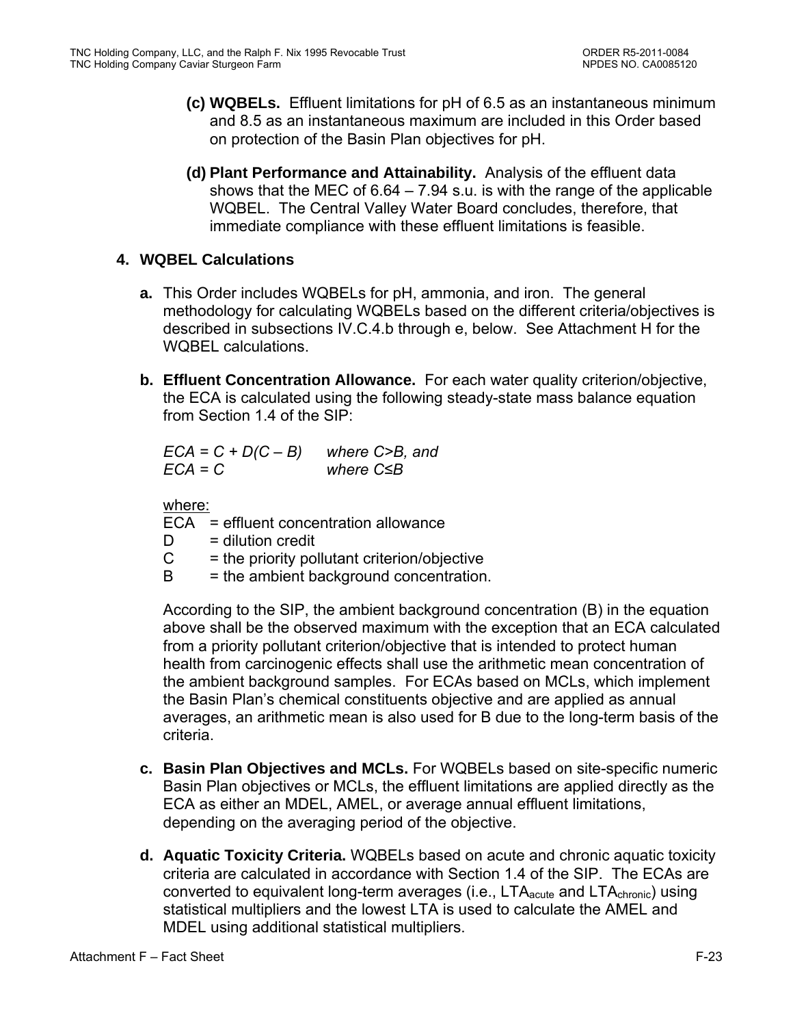- **(c) WQBELs.** Effluent limitations for pH of 6.5 as an instantaneous minimum and 8.5 as an instantaneous maximum are included in this Order based on protection of the Basin Plan objectives for pH.
- **(d) Plant Performance and Attainability.** Analysis of the effluent data shows that the MEC of  $6.64 - 7.94$  s.u. is with the range of the applicable WQBEL. The Central Valley Water Board concludes, therefore, that immediate compliance with these effluent limitations is feasible.

## **4. WQBEL Calculations**

- **a.** This Order includes WQBELs for pH, ammonia, and iron. The general methodology for calculating WQBELs based on the different criteria/objectives is described in subsections IV.C.4.b through e, below. See Attachment H for the WQBEL calculations.
- **b. Effluent Concentration Allowance.** For each water quality criterion/objective, the ECA is calculated using the following steady-state mass balance equation from Section 1.4 of the SIP:

*ECA = C + D(C – B) where C>B, and ECA = C where C≤B* 

where:

ECA = effluent concentration allowance

- $D =$  dilution credit
- $C =$  the priority pollutant criterion/objective
- $B =$  the ambient background concentration.

According to the SIP, the ambient background concentration (B) in the equation above shall be the observed maximum with the exception that an ECA calculated from a priority pollutant criterion/objective that is intended to protect human health from carcinogenic effects shall use the arithmetic mean concentration of the ambient background samples. For ECAs based on MCLs, which implement the Basin Plan's chemical constituents objective and are applied as annual averages, an arithmetic mean is also used for B due to the long-term basis of the criteria.

- **c. Basin Plan Objectives and MCLs.** For WQBELs based on site-specific numeric Basin Plan objectives or MCLs, the effluent limitations are applied directly as the ECA as either an MDEL, AMEL, or average annual effluent limitations, depending on the averaging period of the objective.
- **d. Aquatic Toxicity Criteria.** WQBELs based on acute and chronic aquatic toxicity criteria are calculated in accordance with Section 1.4 of the SIP. The ECAs are converted to equivalent long-term averages (i.e.,  $LTA<sub>acute</sub>$  and  $LTA<sub>chronic</sub>$ ) using statistical multipliers and the lowest LTA is used to calculate the AMEL and MDEL using additional statistical multipliers.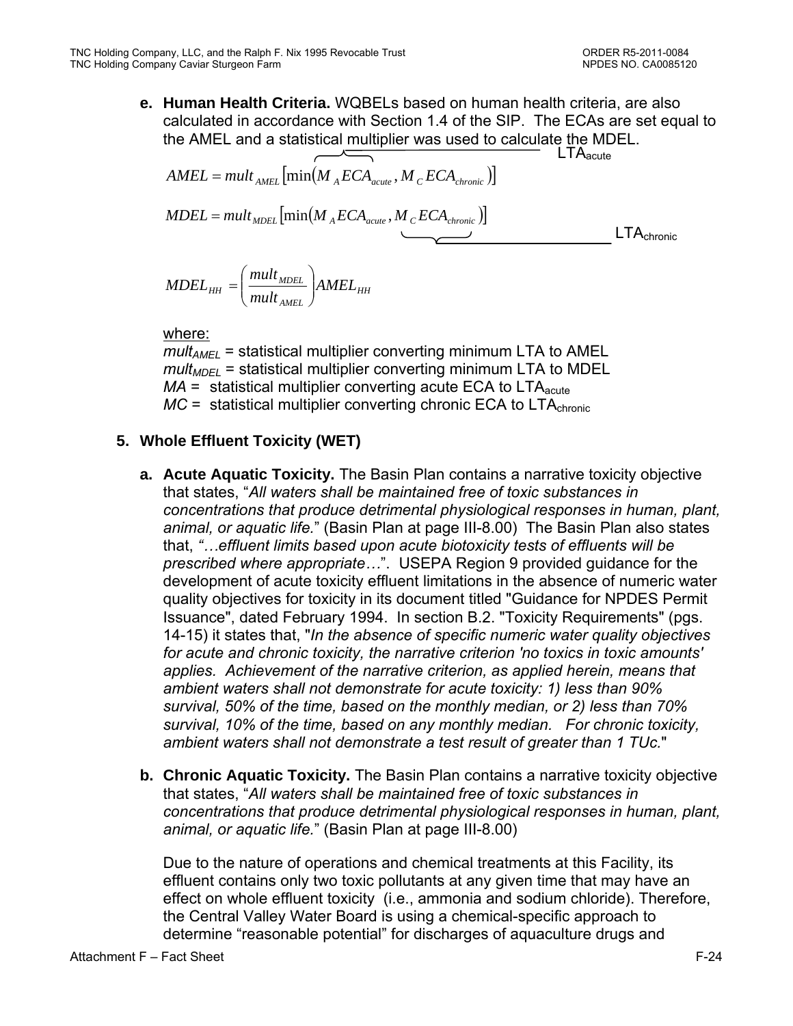**e. Human Health Criteria.** WQBELs based on human health criteria, are also calculated in accordance with Section 1.4 of the SIP. The ECAs are set equal to the AMEL and a statistical multiplier was used to calculate the MDEL.

$$
AMEL = mult_{AMEL} \left[ min(M_{A}ECA_{acute}, M_{C}ECA_{chronic}) \right]
$$
\n
$$
MDEL = mult_{ADEL} \left[ min(M_{A}ECA_{acute}, M_{C}ECA_{chronic}) \right]
$$
\n
$$
MDEL = mult_{ADEL} \left[ min(M_{A}ECA_{acute}, M_{C}ECA_{chronic}) \right]
$$
\n
$$
LTA_{chronic}
$$

$$
MDEL_{HH} = \left(\frac{mult_{MDEL}}{mult_{AMEL}}\right) AMEL_{HH}
$$

#### where:

 $mult_{AMFI}$  = statistical multiplier converting minimum LTA to AMEL  $mult<sub>MDEL</sub>$  = statistical multiplier converting minimum LTA to MDEL  *= statistical multiplier converting acute ECA to LTA* $_{\text{acute}}$  $MC =$  statistical multiplier converting chronic ECA to  $LTA_{\text{chronic}}$ 

## **5. Whole Effluent Toxicity (WET)**

- **a. Acute Aquatic Toxicity.** The Basin Plan contains a narrative toxicity objective that states, "*All waters shall be maintained free of toxic substances in concentrations that produce detrimental physiological responses in human, plant, animal, or aquatic life.*" (Basin Plan at page III-8.00) The Basin Plan also states that, *"…effluent limits based upon acute biotoxicity tests of effluents will be prescribed where appropriate…*". USEPA Region 9 provided guidance for the development of acute toxicity effluent limitations in the absence of numeric water quality objectives for toxicity in its document titled "Guidance for NPDES Permit Issuance", dated February 1994. In section B.2. "Toxicity Requirements" (pgs. 14-15) it states that, "*In the absence of specific numeric water quality objectives for acute and chronic toxicity, the narrative criterion 'no toxics in toxic amounts' applies. Achievement of the narrative criterion, as applied herein, means that ambient waters shall not demonstrate for acute toxicity: 1) less than 90% survival, 50% of the time, based on the monthly median, or 2) less than 70% survival, 10% of the time, based on any monthly median. For chronic toxicity, ambient waters shall not demonstrate a test result of greater than 1 TUc.*"
- **b. Chronic Aquatic Toxicity.** The Basin Plan contains a narrative toxicity objective that states, "*All waters shall be maintained free of toxic substances in concentrations that produce detrimental physiological responses in human, plant, animal, or aquatic life.*" (Basin Plan at page III-8.00)

Due to the nature of operations and chemical treatments at this Facility, its effluent contains only two toxic pollutants at any given time that may have an effect on whole effluent toxicity (i.e., ammonia and sodium chloride). Therefore, the Central Valley Water Board is using a chemical-specific approach to determine "reasonable potential" for discharges of aquaculture drugs and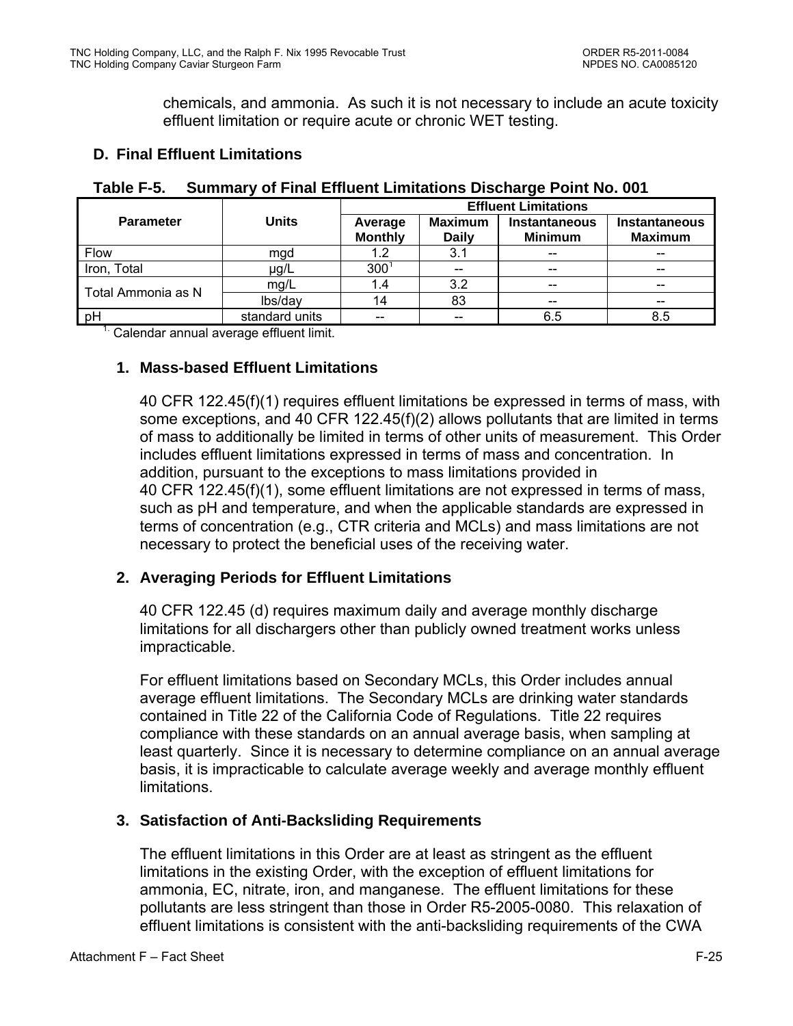chemicals, and ammonia. As such it is not necessary to include an acute toxicity effluent limitation or require acute or chronic WET testing.

# **D. Final Effluent Limitations**

|                    |                | <b>Effluent Limitations</b> |                                |                                        |                                        |  |  |  |  |  |
|--------------------|----------------|-----------------------------|--------------------------------|----------------------------------------|----------------------------------------|--|--|--|--|--|
| <b>Parameter</b>   | <b>Units</b>   | Average<br><b>Monthly</b>   | <b>Maximum</b><br><b>Daily</b> | <b>Instantaneous</b><br><b>Minimum</b> | <b>Instantaneous</b><br><b>Maximum</b> |  |  |  |  |  |
| Flow               | mgd            | 1.2                         | 3.1                            | $- -$                                  | $- -$                                  |  |  |  |  |  |
| Iron, Total        | µg/L           | 300                         | $-$                            | $-$                                    | $\qquad \qquad \qquad -$               |  |  |  |  |  |
| Total Ammonia as N | mg/L           | 1.4                         | 3.2                            | $-$                                    | $\qquad \qquad \qquad -$               |  |  |  |  |  |
|                    | lbs/day        | 14                          | 83                             | $-$                                    | $\qquad \qquad \qquad -$               |  |  |  |  |  |
| pH                 | standard units |                             | --                             | 6.5                                    | 8.5                                    |  |  |  |  |  |

## **Table F-5. Summary of Final Effluent Limitations Discharge Point No. 001**

<sup>1.</sup> Calendar annual average effluent limit.

## **1. Mass-based Effluent Limitations**

40 CFR 122.45(f)(1) requires effluent limitations be expressed in terms of mass, with some exceptions, and 40 CFR 122.45(f)(2) allows pollutants that are limited in terms of mass to additionally be limited in terms of other units of measurement. This Order includes effluent limitations expressed in terms of mass and concentration. In addition, pursuant to the exceptions to mass limitations provided in 40 CFR 122.45(f)(1), some effluent limitations are not expressed in terms of mass, such as pH and temperature, and when the applicable standards are expressed in terms of concentration (e.g., CTR criteria and MCLs) and mass limitations are not necessary to protect the beneficial uses of the receiving water.

## **2. Averaging Periods for Effluent Limitations**

40 CFR 122.45 (d) requires maximum daily and average monthly discharge limitations for all dischargers other than publicly owned treatment works unless impracticable.

For effluent limitations based on Secondary MCLs, this Order includes annual average effluent limitations. The Secondary MCLs are drinking water standards contained in Title 22 of the California Code of Regulations. Title 22 requires compliance with these standards on an annual average basis, when sampling at least quarterly. Since it is necessary to determine compliance on an annual average basis, it is impracticable to calculate average weekly and average monthly effluent limitations.

## **3. Satisfaction of Anti-Backsliding Requirements**

The effluent limitations in this Order are at least as stringent as the effluent limitations in the existing Order, with the exception of effluent limitations for ammonia, EC, nitrate, iron, and manganese. The effluent limitations for these pollutants are less stringent than those in Order R5-2005-0080. This relaxation of effluent limitations is consistent with the anti-backsliding requirements of the CWA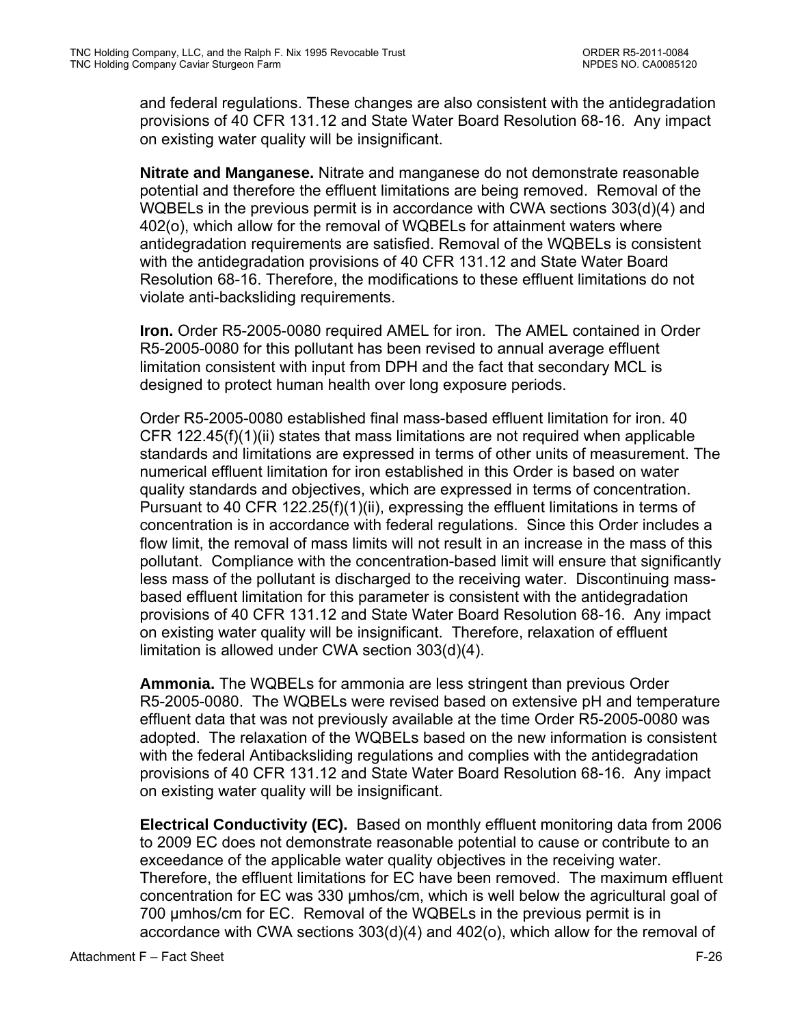and federal regulations. These changes are also consistent with the antidegradation provisions of 40 CFR 131.12 and State Water Board Resolution 68-16. Any impact on existing water quality will be insignificant.

**Nitrate and Manganese.** Nitrate and manganese do not demonstrate reasonable potential and therefore the effluent limitations are being removed. Removal of the WQBELs in the previous permit is in accordance with CWA sections 303(d)(4) and 402(o), which allow for the removal of WQBELs for attainment waters where antidegradation requirements are satisfied. Removal of the WQBELs is consistent with the antidegradation provisions of 40 CFR 131.12 and State Water Board Resolution 68-16. Therefore, the modifications to these effluent limitations do not violate anti-backsliding requirements.

**Iron.** Order R5-2005-0080 required AMEL for iron. The AMEL contained in Order R5-2005-0080 for this pollutant has been revised to annual average effluent limitation consistent with input from DPH and the fact that secondary MCL is designed to protect human health over long exposure periods.

Order R5-2005-0080 established final mass-based effluent limitation for iron. 40 CFR 122.45(f)(1)(ii) states that mass limitations are not required when applicable standards and limitations are expressed in terms of other units of measurement. The numerical effluent limitation for iron established in this Order is based on water quality standards and objectives, which are expressed in terms of concentration. Pursuant to 40 CFR 122.25(f)(1)(ii), expressing the effluent limitations in terms of concentration is in accordance with federal regulations. Since this Order includes a flow limit, the removal of mass limits will not result in an increase in the mass of this pollutant. Compliance with the concentration-based limit will ensure that significantly less mass of the pollutant is discharged to the receiving water. Discontinuing massbased effluent limitation for this parameter is consistent with the antidegradation provisions of 40 CFR 131.12 and State Water Board Resolution 68-16. Any impact on existing water quality will be insignificant. Therefore, relaxation of effluent limitation is allowed under CWA section 303(d)(4).

**Ammonia.** The WQBELs for ammonia are less stringent than previous Order R5-2005-0080. The WQBELs were revised based on extensive pH and temperature effluent data that was not previously available at the time Order R5-2005-0080 was adopted. The relaxation of the WQBELs based on the new information is consistent with the federal Antibacksliding regulations and complies with the antidegradation provisions of 40 CFR 131.12 and State Water Board Resolution 68-16. Any impact on existing water quality will be insignificant.

**Electrical Conductivity (EC).** Based on monthly effluent monitoring data from 2006 to 2009 EC does not demonstrate reasonable potential to cause or contribute to an exceedance of the applicable water quality objectives in the receiving water. Therefore, the effluent limitations for EC have been removed. The maximum effluent concentration for EC was 330 µmhos/cm, which is well below the agricultural goal of 700 µmhos/cm for EC. Removal of the WQBELs in the previous permit is in accordance with CWA sections 303(d)(4) and 402(o), which allow for the removal of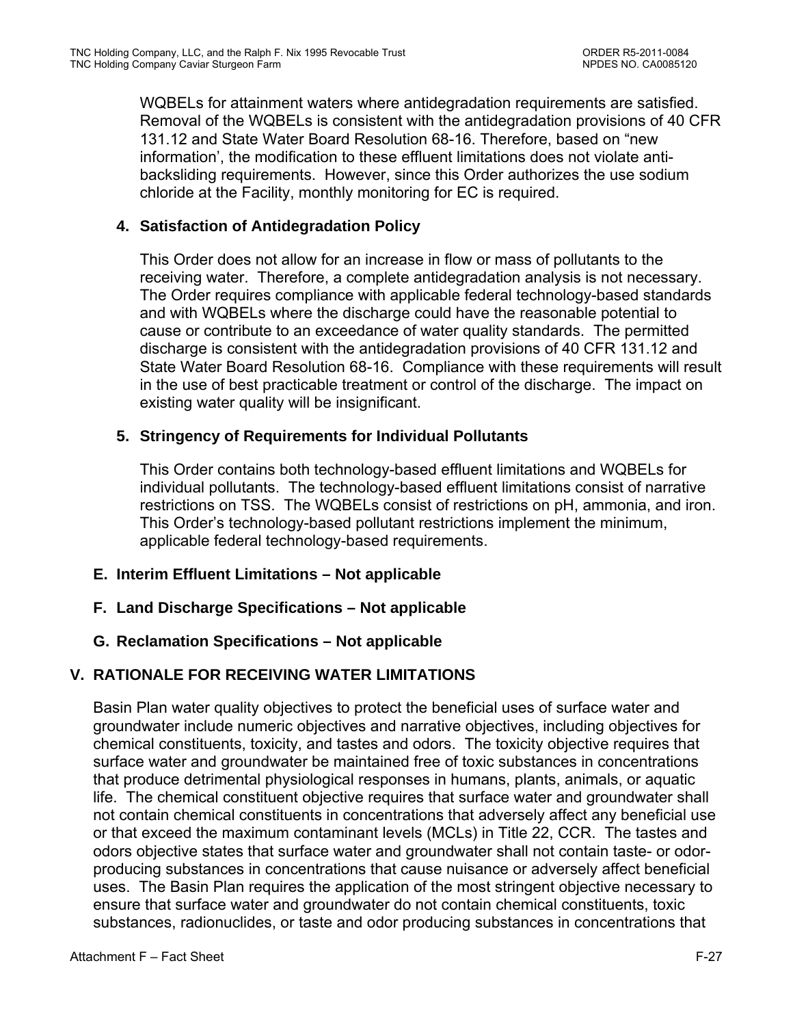WQBELs for attainment waters where antidegradation requirements are satisfied. Removal of the WQBELs is consistent with the antidegradation provisions of 40 CFR 131.12 and State Water Board Resolution 68-16. Therefore, based on "new information', the modification to these effluent limitations does not violate antibacksliding requirements. However, since this Order authorizes the use sodium chloride at the Facility, monthly monitoring for EC is required.

## **4. Satisfaction of Antidegradation Policy**

This Order does not allow for an increase in flow or mass of pollutants to the receiving water. Therefore, a complete antidegradation analysis is not necessary. The Order requires compliance with applicable federal technology-based standards and with WQBELs where the discharge could have the reasonable potential to cause or contribute to an exceedance of water quality standards. The permitted discharge is consistent with the antidegradation provisions of 40 CFR 131.12 and State Water Board Resolution 68-16. Compliance with these requirements will result in the use of best practicable treatment or control of the discharge. The impact on existing water quality will be insignificant.

## **5. Stringency of Requirements for Individual Pollutants**

This Order contains both technology-based effluent limitations and WQBELs for individual pollutants. The technology-based effluent limitations consist of narrative restrictions on TSS. The WQBELs consist of restrictions on pH, ammonia, and iron. This Order's technology-based pollutant restrictions implement the minimum, applicable federal technology-based requirements.

### **E. Interim Effluent Limitations – Not applicable**

**F. Land Discharge Specifications – Not applicable** 

## **G. Reclamation Specifications – Not applicable**

## **V. RATIONALE FOR RECEIVING WATER LIMITATIONS**

Basin Plan water quality objectives to protect the beneficial uses of surface water and groundwater include numeric objectives and narrative objectives, including objectives for chemical constituents, toxicity, and tastes and odors. The toxicity objective requires that surface water and groundwater be maintained free of toxic substances in concentrations that produce detrimental physiological responses in humans, plants, animals, or aquatic life. The chemical constituent objective requires that surface water and groundwater shall not contain chemical constituents in concentrations that adversely affect any beneficial use or that exceed the maximum contaminant levels (MCLs) in Title 22, CCR. The tastes and odors objective states that surface water and groundwater shall not contain taste- or odorproducing substances in concentrations that cause nuisance or adversely affect beneficial uses. The Basin Plan requires the application of the most stringent objective necessary to ensure that surface water and groundwater do not contain chemical constituents, toxic substances, radionuclides, or taste and odor producing substances in concentrations that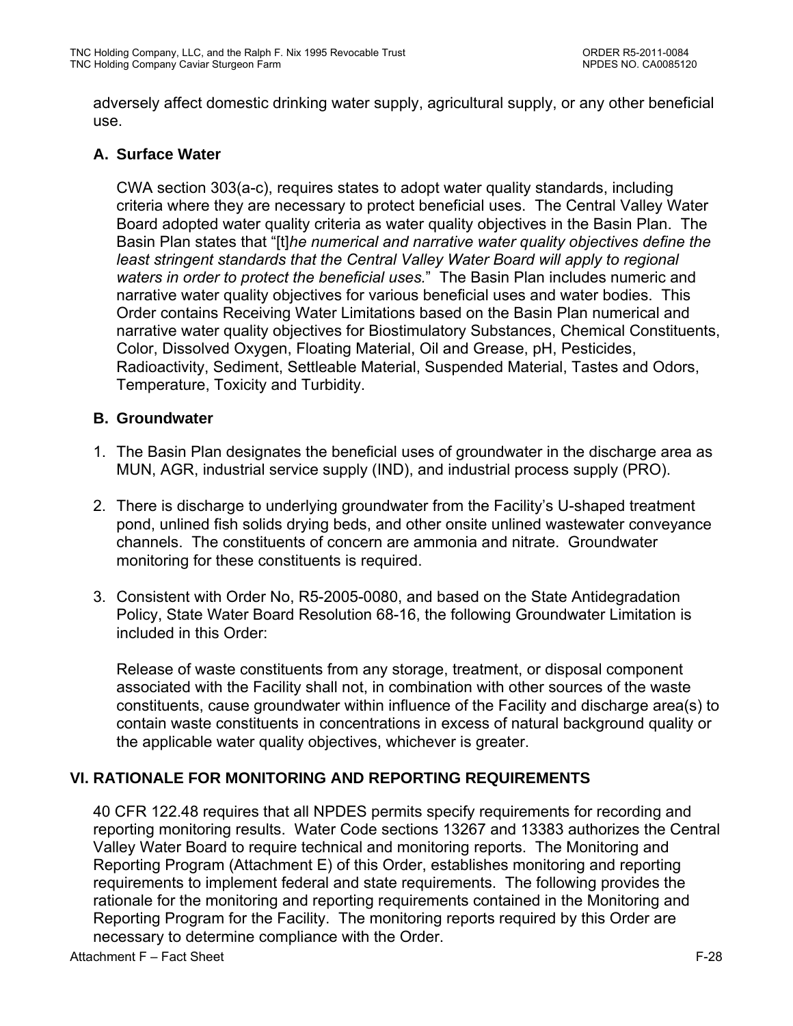adversely affect domestic drinking water supply, agricultural supply, or any other beneficial use.

## **A. Surface Water**

CWA section 303(a-c), requires states to adopt water quality standards, including criteria where they are necessary to protect beneficial uses. The Central Valley Water Board adopted water quality criteria as water quality objectives in the Basin Plan. The Basin Plan states that "[t]*he numerical and narrative water quality objectives define the*  least stringent standards that the Central Valley Water Board will apply to regional *waters in order to protect the beneficial uses.*" The Basin Plan includes numeric and narrative water quality objectives for various beneficial uses and water bodies. This Order contains Receiving Water Limitations based on the Basin Plan numerical and narrative water quality objectives for Biostimulatory Substances, Chemical Constituents, Color, Dissolved Oxygen, Floating Material, Oil and Grease, pH, Pesticides, Radioactivity, Sediment, Settleable Material, Suspended Material, Tastes and Odors, Temperature, Toxicity and Turbidity.

### **B. Groundwater**

- 1. The Basin Plan designates the beneficial uses of groundwater in the discharge area as MUN, AGR, industrial service supply (IND), and industrial process supply (PRO).
- 2. There is discharge to underlying groundwater from the Facility's U-shaped treatment pond, unlined fish solids drying beds, and other onsite unlined wastewater conveyance channels. The constituents of concern are ammonia and nitrate. Groundwater monitoring for these constituents is required.
- 3. Consistent with Order No, R5-2005-0080, and based on the State Antidegradation Policy, State Water Board Resolution 68-16, the following Groundwater Limitation is included in this Order:

Release of waste constituents from any storage, treatment, or disposal component associated with the Facility shall not, in combination with other sources of the waste constituents, cause groundwater within influence of the Facility and discharge area(s) to contain waste constituents in concentrations in excess of natural background quality or the applicable water quality objectives, whichever is greater.

### **VI. RATIONALE FOR MONITORING AND REPORTING REQUIREMENTS**

40 CFR 122.48 requires that all NPDES permits specify requirements for recording and reporting monitoring results. Water Code sections 13267 and 13383 authorizes the Central Valley Water Board to require technical and monitoring reports. The Monitoring and Reporting Program (Attachment E) of this Order, establishes monitoring and reporting requirements to implement federal and state requirements. The following provides the rationale for the monitoring and reporting requirements contained in the Monitoring and Reporting Program for the Facility. The monitoring reports required by this Order are necessary to determine compliance with the Order.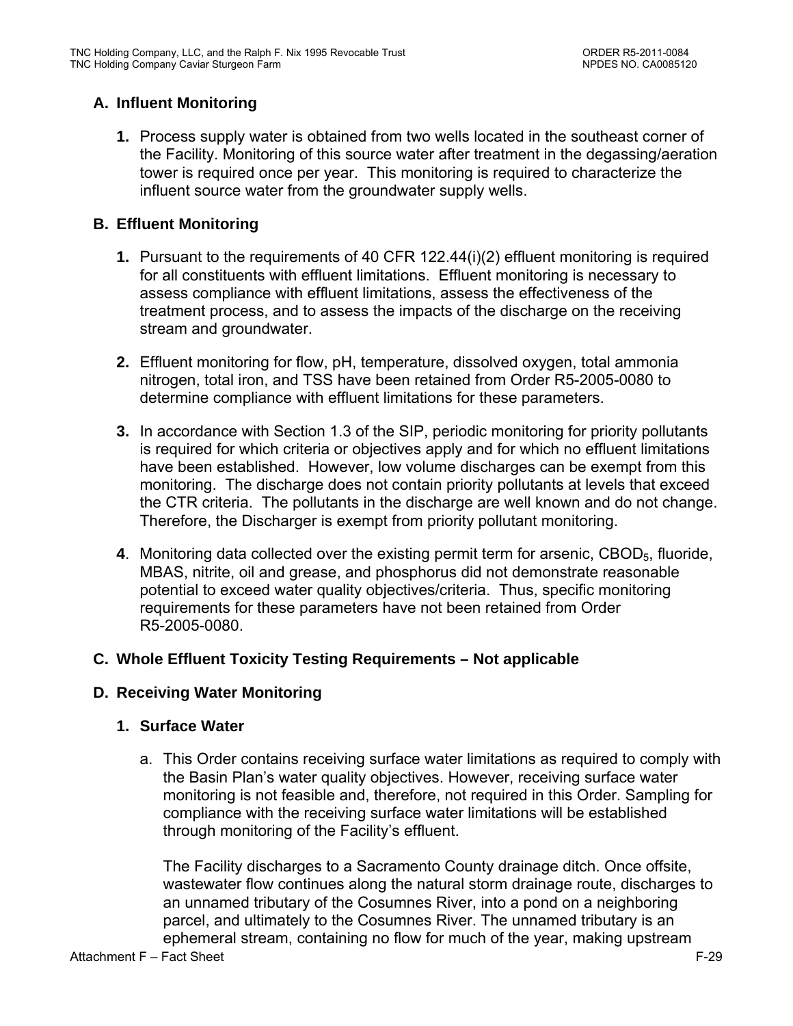# **A. Influent Monitoring**

**1.** Process supply water is obtained from two wells located in the southeast corner of the Facility. Monitoring of this source water after treatment in the degassing/aeration tower is required once per year. This monitoring is required to characterize the influent source water from the groundwater supply wells.

# **B. Effluent Monitoring**

- **1.** Pursuant to the requirements of 40 CFR 122.44(i)(2) effluent monitoring is required for all constituents with effluent limitations. Effluent monitoring is necessary to assess compliance with effluent limitations, assess the effectiveness of the treatment process, and to assess the impacts of the discharge on the receiving stream and groundwater.
- **2.** Effluent monitoring for flow, pH, temperature, dissolved oxygen, total ammonia nitrogen, total iron, and TSS have been retained from Order R5-2005-0080 to determine compliance with effluent limitations for these parameters.
- **3.** In accordance with Section 1.3 of the SIP, periodic monitoring for priority pollutants is required for which criteria or objectives apply and for which no effluent limitations have been established. However, low volume discharges can be exempt from this monitoring. The discharge does not contain priority pollutants at levels that exceed the CTR criteria. The pollutants in the discharge are well known and do not change. Therefore, the Discharger is exempt from priority pollutant monitoring.
- **4**. Monitoring data collected over the existing permit term for arsenic, CBOD<sub>5</sub>, fluoride, MBAS, nitrite, oil and grease, and phosphorus did not demonstrate reasonable potential to exceed water quality objectives/criteria. Thus, specific monitoring requirements for these parameters have not been retained from Order R5-2005-0080.

## **C. Whole Effluent Toxicity Testing Requirements – Not applicable**

## **D. Receiving Water Monitoring**

## **1. Surface Water**

a. This Order contains receiving surface water limitations as required to comply with the Basin Plan's water quality objectives. However, receiving surface water monitoring is not feasible and, therefore, not required in this Order. Sampling for compliance with the receiving surface water limitations will be established through monitoring of the Facility's effluent.

The Facility discharges to a Sacramento County drainage ditch. Once offsite, wastewater flow continues along the natural storm drainage route, discharges to an unnamed tributary of the Cosumnes River, into a pond on a neighboring parcel, and ultimately to the Cosumnes River. The unnamed tributary is an ephemeral stream, containing no flow for much of the year, making upstream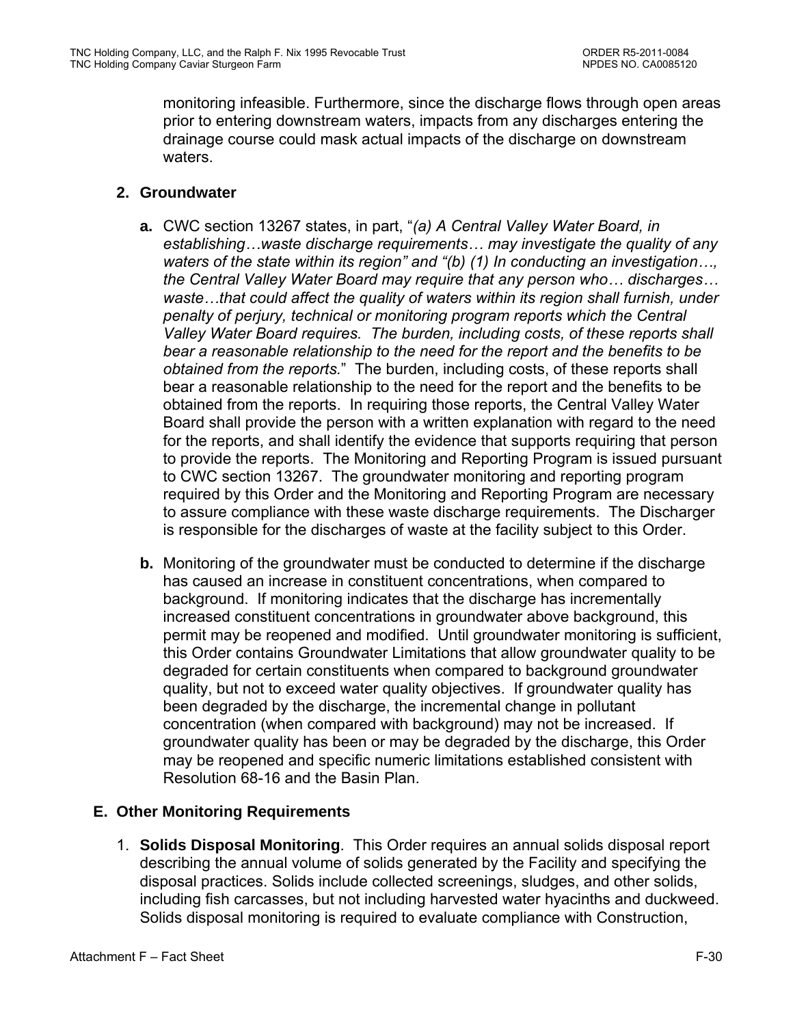monitoring infeasible. Furthermore, since the discharge flows through open areas prior to entering downstream waters, impacts from any discharges entering the drainage course could mask actual impacts of the discharge on downstream waters.

## **2. Groundwater**

- **a.** CWC section 13267 states, in part, "*(a) A Central Valley Water Board, in establishing…waste discharge requirements… may investigate the quality of any waters of the state within its region" and "(b) (1) In conducting an investigation…, the Central Valley Water Board may require that any person who… discharges… waste…that could affect the quality of waters within its region shall furnish, under penalty of perjury, technical or monitoring program reports which the Central Valley Water Board requires. The burden, including costs, of these reports shall bear a reasonable relationship to the need for the report and the benefits to be obtained from the reports.*" The burden, including costs, of these reports shall bear a reasonable relationship to the need for the report and the benefits to be obtained from the reports. In requiring those reports, the Central Valley Water Board shall provide the person with a written explanation with regard to the need for the reports, and shall identify the evidence that supports requiring that person to provide the reports. The Monitoring and Reporting Program is issued pursuant to CWC section 13267. The groundwater monitoring and reporting program required by this Order and the Monitoring and Reporting Program are necessary to assure compliance with these waste discharge requirements. The Discharger is responsible for the discharges of waste at the facility subject to this Order.
- **b.** Monitoring of the groundwater must be conducted to determine if the discharge has caused an increase in constituent concentrations, when compared to background. If monitoring indicates that the discharge has incrementally increased constituent concentrations in groundwater above background, this permit may be reopened and modified. Until groundwater monitoring is sufficient, this Order contains Groundwater Limitations that allow groundwater quality to be degraded for certain constituents when compared to background groundwater quality, but not to exceed water quality objectives. If groundwater quality has been degraded by the discharge, the incremental change in pollutant concentration (when compared with background) may not be increased. If groundwater quality has been or may be degraded by the discharge, this Order may be reopened and specific numeric limitations established consistent with Resolution 68-16 and the Basin Plan.

## **E. Other Monitoring Requirements**

1. **Solids Disposal Monitoring**. This Order requires an annual solids disposal report describing the annual volume of solids generated by the Facility and specifying the disposal practices. Solids include collected screenings, sludges, and other solids, including fish carcasses, but not including harvested water hyacinths and duckweed. Solids disposal monitoring is required to evaluate compliance with Construction,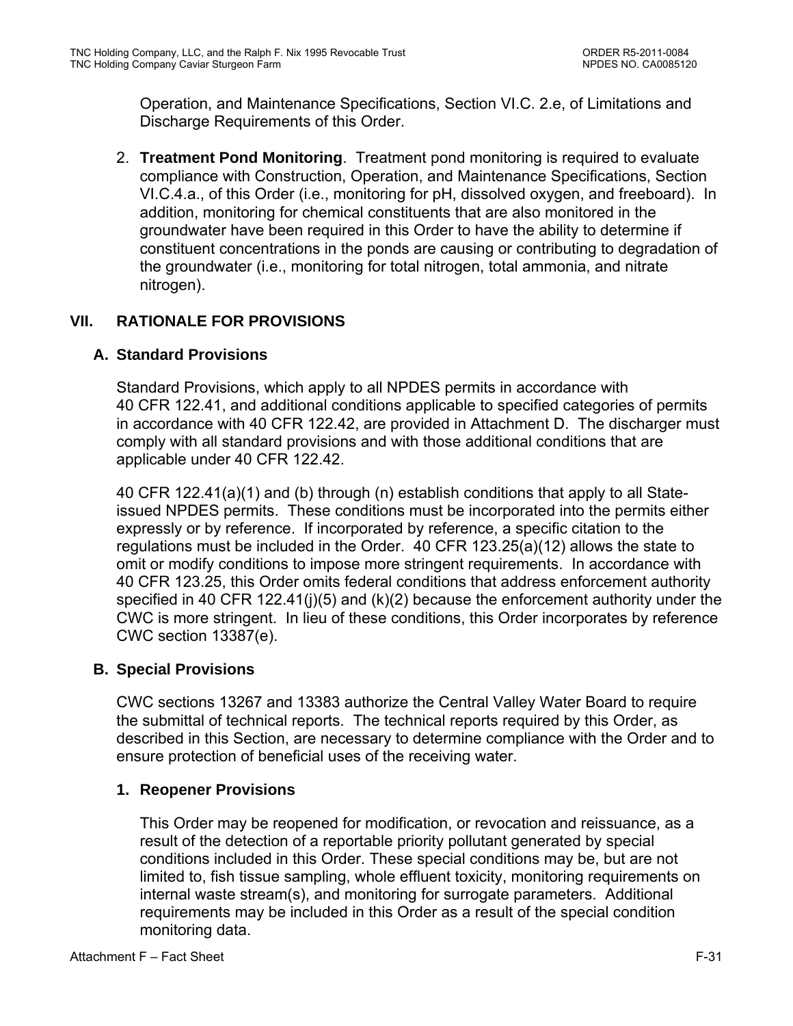Operation, and Maintenance Specifications, Section VI.C. 2.e, of Limitations and Discharge Requirements of this Order.

2. **Treatment Pond Monitoring**. Treatment pond monitoring is required to evaluate compliance with Construction, Operation, and Maintenance Specifications, Section VI.C.4.a., of this Order (i.e., monitoring for pH, dissolved oxygen, and freeboard). In addition, monitoring for chemical constituents that are also monitored in the groundwater have been required in this Order to have the ability to determine if constituent concentrations in the ponds are causing or contributing to degradation of the groundwater (i.e., monitoring for total nitrogen, total ammonia, and nitrate nitrogen).

# **VII. RATIONALE FOR PROVISIONS**

# **A. Standard Provisions**

Standard Provisions, which apply to all NPDES permits in accordance with 40 CFR 122.41, and additional conditions applicable to specified categories of permits in accordance with 40 CFR 122.42, are provided in Attachment D. The discharger must comply with all standard provisions and with those additional conditions that are applicable under 40 CFR 122.42.

40 CFR 122.41(a)(1) and (b) through (n) establish conditions that apply to all Stateissued NPDES permits. These conditions must be incorporated into the permits either expressly or by reference. If incorporated by reference, a specific citation to the regulations must be included in the Order. 40 CFR 123.25(a)(12) allows the state to omit or modify conditions to impose more stringent requirements. In accordance with 40 CFR 123.25, this Order omits federal conditions that address enforcement authority specified in 40 CFR 122.41(j)(5) and (k)(2) because the enforcement authority under the CWC is more stringent. In lieu of these conditions, this Order incorporates by reference CWC section 13387(e).

## **B. Special Provisions**

CWC sections 13267 and 13383 authorize the Central Valley Water Board to require the submittal of technical reports. The technical reports required by this Order, as described in this Section, are necessary to determine compliance with the Order and to ensure protection of beneficial uses of the receiving water.

## **1. Reopener Provisions**

This Order may be reopened for modification, or revocation and reissuance, as a result of the detection of a reportable priority pollutant generated by special conditions included in this Order. These special conditions may be, but are not limited to, fish tissue sampling, whole effluent toxicity, monitoring requirements on internal waste stream(s), and monitoring for surrogate parameters. Additional requirements may be included in this Order as a result of the special condition monitoring data.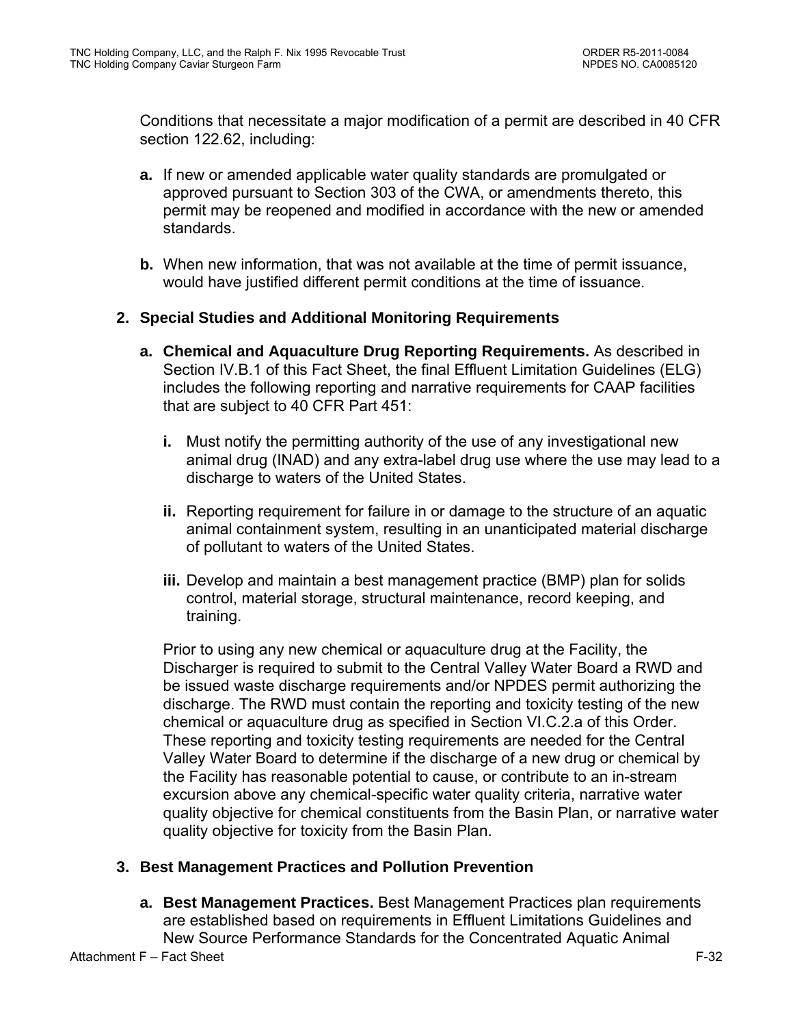Conditions that necessitate a major modification of a permit are described in 40 CFR section 122.62, including:

- **a.** If new or amended applicable water quality standards are promulgated or approved pursuant to Section 303 of the CWA, or amendments thereto, this permit may be reopened and modified in accordance with the new or amended standards.
- **b.** When new information, that was not available at the time of permit issuance, would have justified different permit conditions at the time of issuance.

## **2. Special Studies and Additional Monitoring Requirements**

- **a. Chemical and Aquaculture Drug Reporting Requirements.** As described in Section IV.B.1 of this Fact Sheet, the final Effluent Limitation Guidelines (ELG) includes the following reporting and narrative requirements for CAAP facilities that are subject to 40 CFR Part 451:
	- **i.** Must notify the permitting authority of the use of any investigational new animal drug (INAD) and any extra-label drug use where the use may lead to a discharge to waters of the United States.
	- **ii.** Reporting requirement for failure in or damage to the structure of an aquatic animal containment system, resulting in an unanticipated material discharge of pollutant to waters of the United States.
	- **iii.** Develop and maintain a best management practice (BMP) plan for solids control, material storage, structural maintenance, record keeping, and training.

Prior to using any new chemical or aquaculture drug at the Facility, the Discharger is required to submit to the Central Valley Water Board a RWD and be issued waste discharge requirements and/or NPDES permit authorizing the discharge. The RWD must contain the reporting and toxicity testing of the new chemical or aquaculture drug as specified in Section VI.C.2.a of this Order. These reporting and toxicity testing requirements are needed for the Central Valley Water Board to determine if the discharge of a new drug or chemical by the Facility has reasonable potential to cause, or contribute to an in-stream excursion above any chemical-specific water quality criteria, narrative water quality objective for chemical constituents from the Basin Plan, or narrative water quality objective for toxicity from the Basin Plan.

### **3. Best Management Practices and Pollution Prevention**

**a. Best Management Practices.** Best Management Practices plan requirements are established based on requirements in Effluent Limitations Guidelines and New Source Performance Standards for the Concentrated Aquatic Animal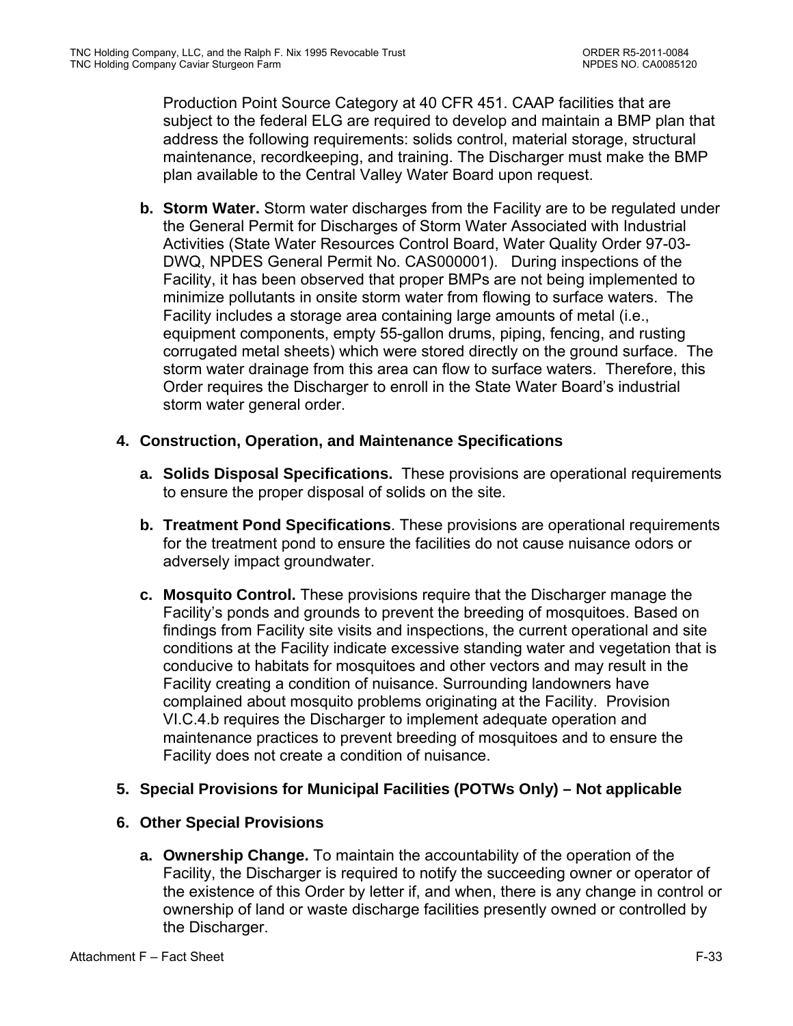Production Point Source Category at 40 CFR 451. CAAP facilities that are subject to the federal ELG are required to develop and maintain a BMP plan that address the following requirements: solids control, material storage, structural maintenance, recordkeeping, and training. The Discharger must make the BMP plan available to the Central Valley Water Board upon request.

**b. Storm Water.** Storm water discharges from the Facility are to be regulated under the General Permit for Discharges of Storm Water Associated with Industrial Activities (State Water Resources Control Board, Water Quality Order 97-03- DWQ, NPDES General Permit No. CAS000001). During inspections of the Facility, it has been observed that proper BMPs are not being implemented to minimize pollutants in onsite storm water from flowing to surface waters. The Facility includes a storage area containing large amounts of metal (i.e., equipment components, empty 55-gallon drums, piping, fencing, and rusting corrugated metal sheets) which were stored directly on the ground surface. The storm water drainage from this area can flow to surface waters. Therefore, this Order requires the Discharger to enroll in the State Water Board's industrial storm water general order.

## **4. Construction, Operation, and Maintenance Specifications**

- **a. Solids Disposal Specifications.** These provisions are operational requirements to ensure the proper disposal of solids on the site.
- **b. Treatment Pond Specifications**. These provisions are operational requirements for the treatment pond to ensure the facilities do not cause nuisance odors or adversely impact groundwater.
- **c. Mosquito Control.** These provisions require that the Discharger manage the Facility's ponds and grounds to prevent the breeding of mosquitoes. Based on findings from Facility site visits and inspections, the current operational and site conditions at the Facility indicate excessive standing water and vegetation that is conducive to habitats for mosquitoes and other vectors and may result in the Facility creating a condition of nuisance. Surrounding landowners have complained about mosquito problems originating at the Facility. Provision VI.C.4.b requires the Discharger to implement adequate operation and maintenance practices to prevent breeding of mosquitoes and to ensure the Facility does not create a condition of nuisance.

## **5. Special Provisions for Municipal Facilities (POTWs Only) – Not applicable**

## **6. Other Special Provisions**

**a. Ownership Change.** To maintain the accountability of the operation of the Facility, the Discharger is required to notify the succeeding owner or operator of the existence of this Order by letter if, and when, there is any change in control or ownership of land or waste discharge facilities presently owned or controlled by the Discharger.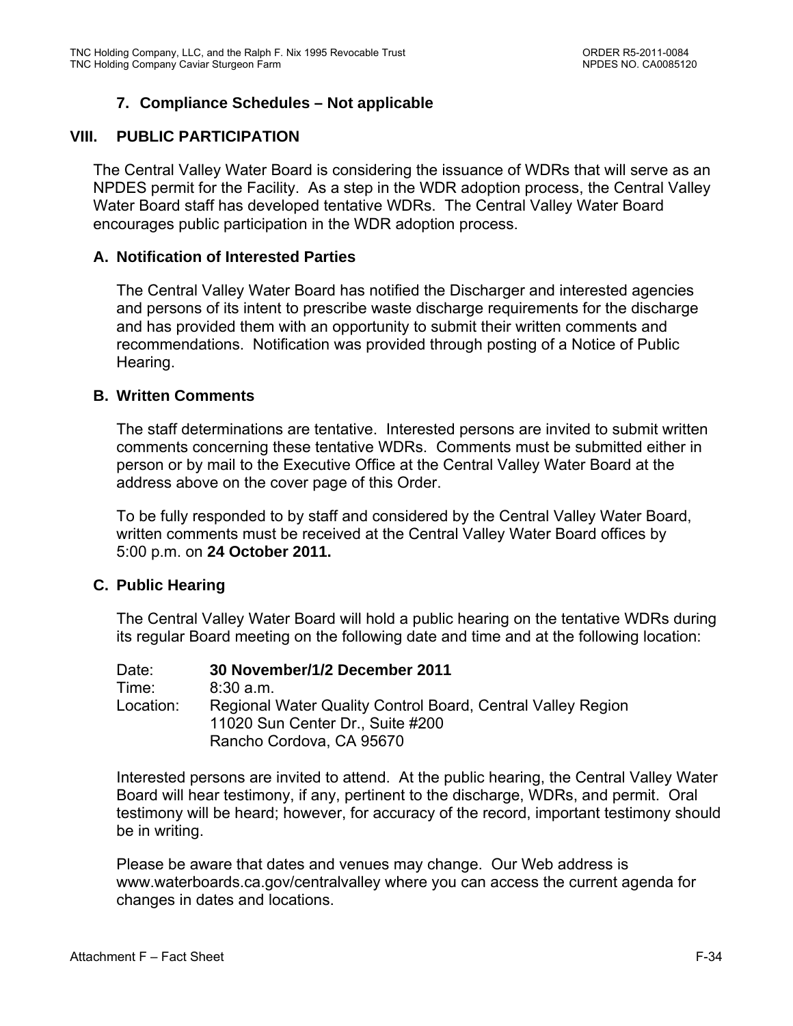## **7. Compliance Schedules – Not applicable**

### **VIII. PUBLIC PARTICIPATION**

The Central Valley Water Board is considering the issuance of WDRs that will serve as an NPDES permit for the Facility. As a step in the WDR adoption process, the Central Valley Water Board staff has developed tentative WDRs. The Central Valley Water Board encourages public participation in the WDR adoption process.

### **A. Notification of Interested Parties**

The Central Valley Water Board has notified the Discharger and interested agencies and persons of its intent to prescribe waste discharge requirements for the discharge and has provided them with an opportunity to submit their written comments and recommendations. Notification was provided through posting of a Notice of Public Hearing.

### **B. Written Comments**

The staff determinations are tentative. Interested persons are invited to submit written comments concerning these tentative WDRs. Comments must be submitted either in person or by mail to the Executive Office at the Central Valley Water Board at the address above on the cover page of this Order.

To be fully responded to by staff and considered by the Central Valley Water Board, written comments must be received at the Central Valley Water Board offices by 5:00 p.m. on **24 October 2011.**

### **C. Public Hearing**

The Central Valley Water Board will hold a public hearing on the tentative WDRs during its regular Board meeting on the following date and time and at the following location:

| Date:     | 30 November/1/2 December 2011                                                                                               |
|-----------|-----------------------------------------------------------------------------------------------------------------------------|
| Time:     | 8:30a.m.                                                                                                                    |
| Location: | Regional Water Quality Control Board, Central Valley Region<br>11020 Sun Center Dr., Suite #200<br>Rancho Cordova, CA 95670 |

Interested persons are invited to attend. At the public hearing, the Central Valley Water Board will hear testimony, if any, pertinent to the discharge, WDRs, and permit. Oral testimony will be heard; however, for accuracy of the record, important testimony should be in writing.

Please be aware that dates and venues may change. Our Web address is www.waterboards.ca.gov/centralvalley where you can access the current agenda for changes in dates and locations.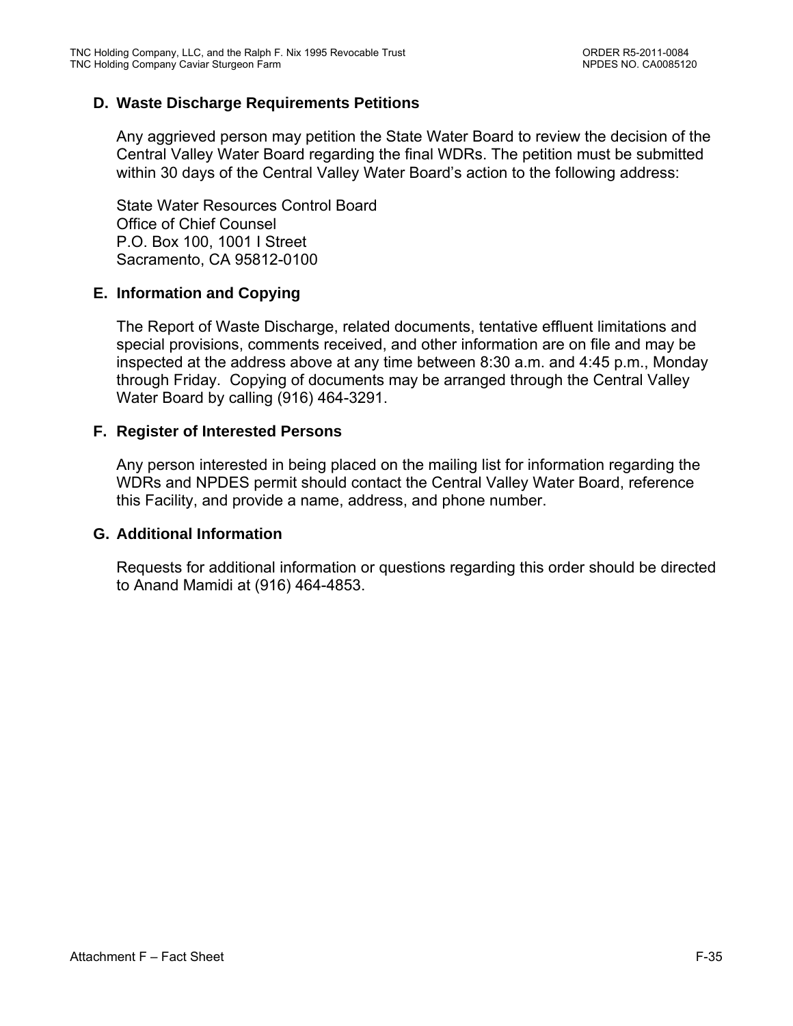## **D. Waste Discharge Requirements Petitions**

Any aggrieved person may petition the State Water Board to review the decision of the Central Valley Water Board regarding the final WDRs. The petition must be submitted within 30 days of the Central Valley Water Board's action to the following address:

State Water Resources Control Board Office of Chief Counsel P.O. Box 100, 1001 I Street Sacramento, CA 95812-0100

### **E. Information and Copying**

The Report of Waste Discharge, related documents, tentative effluent limitations and special provisions, comments received, and other information are on file and may be inspected at the address above at any time between 8:30 a.m. and 4:45 p.m., Monday through Friday. Copying of documents may be arranged through the Central Valley Water Board by calling (916) 464-3291.

### **F. Register of Interested Persons**

Any person interested in being placed on the mailing list for information regarding the WDRs and NPDES permit should contact the Central Valley Water Board, reference this Facility, and provide a name, address, and phone number.

#### **G. Additional Information**

Requests for additional information or questions regarding this order should be directed to Anand Mamidi at (916) 464-4853.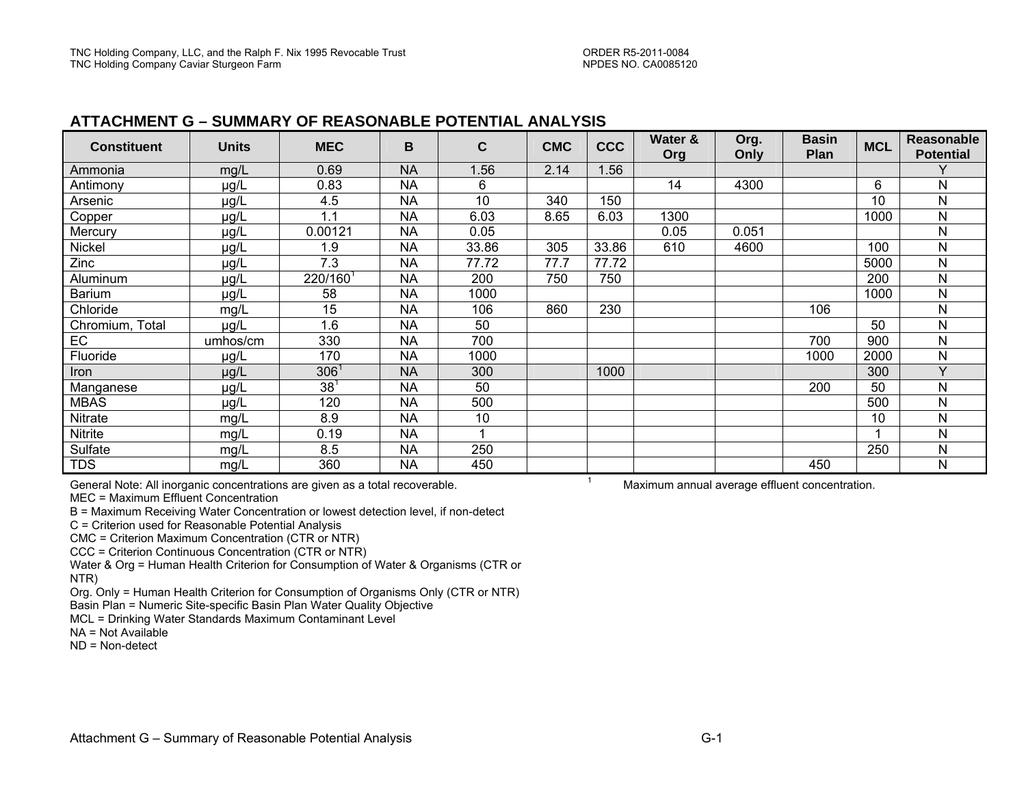#### **ATTACHMENT G – SUMMARY OF REASONABLE POTENTIAL ANALYSIS**

| <b>Constituent</b> | <b>Units</b> | <b>MEC</b>       | B         | $\mathbf{C}$ | <b>CMC</b> | <b>CCC</b> | Water &<br>Org | Org.<br>Only | <b>Basin</b><br>Plan | <b>MCL</b> | <b>Reasonable</b><br><b>Potential</b> |
|--------------------|--------------|------------------|-----------|--------------|------------|------------|----------------|--------------|----------------------|------------|---------------------------------------|
| Ammonia            | mg/L         | 0.69             | <b>NA</b> | 1.56         | 2.14       | 1.56       |                |              |                      |            |                                       |
| Antimony           | $\mu$ g/L    | 0.83             | <b>NA</b> | 6            |            |            | 14             | 4300         |                      | 6          | Ν                                     |
| Arsenic            | µg/L         | 4.5              | <b>NA</b> | 10           | 340        | 150        |                |              |                      | 10         | N                                     |
| Copper             | µg/L         | 1.1              | <b>NA</b> | 6.03         | 8.65       | 6.03       | 1300           |              |                      | 1000       | N                                     |
| Mercury            | µg/L         | 0.00121          | <b>NA</b> | 0.05         |            |            | 0.05           | 0.051        |                      |            | N                                     |
| Nickel             | µg/L         | 1.9              | <b>NA</b> | 33.86        | 305        | 33.86      | 610            | 4600         |                      | 100        | Ν                                     |
| Zinc               | $\mu$ g/L    | 7.3              | <b>NA</b> | 77.72        | 77.7       | 77.72      |                |              |                      | 5000       | N                                     |
| Aluminum           | $\mu$ g/L    | 220/160          | <b>NA</b> | 200          | 750        | 750        |                |              |                      | 200        | Ν                                     |
| <b>Barium</b>      | µg/L         | 58               | <b>NA</b> | 1000         |            |            |                |              |                      | 1000       | Ν                                     |
| Chloride           | mg/L         | 15               | <b>NA</b> | 106          | 860        | 230        |                |              | 106                  |            | N                                     |
| Chromium, Total    | $\mu$ g/L    | 1.6              | <b>NA</b> | 50           |            |            |                |              |                      | 50         | N                                     |
| EC                 | umhos/cm     | 330              | <b>NA</b> | 700          |            |            |                |              | 700                  | 900        | Ν                                     |
| Fluoride           | $\mu$ g/L    | 170              | <b>NA</b> | 1000         |            |            |                |              | 1000                 | 2000       | N                                     |
| Iron               | µg/L         | 306 <sup>1</sup> | <b>NA</b> | 300          |            | 1000       |                |              |                      | 300        | $\vee$                                |
| Manganese          | $\mu$ g/L    | $\overline{38}$  | <b>NA</b> | 50           |            |            |                |              | 200                  | 50         | N                                     |
| <b>MBAS</b>        | µg/L         | 120              | <b>NA</b> | 500          |            |            |                |              |                      | 500        | N                                     |
| Nitrate            | mg/L         | 8.9              | <b>NA</b> | 10           |            |            |                |              |                      | 10         | Ν                                     |
| Nitrite            | mg/L         | 0.19             | <b>NA</b> |              |            |            |                |              |                      |            | Ν                                     |
| Sulfate            | mg/L         | 8.5              | <b>NA</b> | 250          |            |            |                |              |                      | 250        | N                                     |
| <b>TDS</b>         | mg/L         | 360              | <b>NA</b> | 450          |            |            |                |              | 450                  |            | Ν                                     |

General Note: All inorganic concentrations are given as a total recoverable.

MEC = Maximum Effluent Concentration

B = Maximum Receiving Water Concentration or lowest detection level, if non-detect

C = Criterion used for Reasonable Potential Analysis

CMC = Criterion Maximum Concentration (CTR or NTR)

CCC = Criterion Continuous Concentration (CTR or NTR)

Water & Org = Human Health Criterion for Consumption of Water & Organisms (CTR or NTR)

Org. Only = Human Health Criterion for Consumption of Organisms Only (CTR or NTR)

Basin Plan = Numeric Site-specific Basin Plan Water Quality Objective

MCL = Drinking Water Standards Maximum Contaminant Level

 $NA = Not Available$ 

ND = Non-detect

1 Maximum annual average effluent concentration.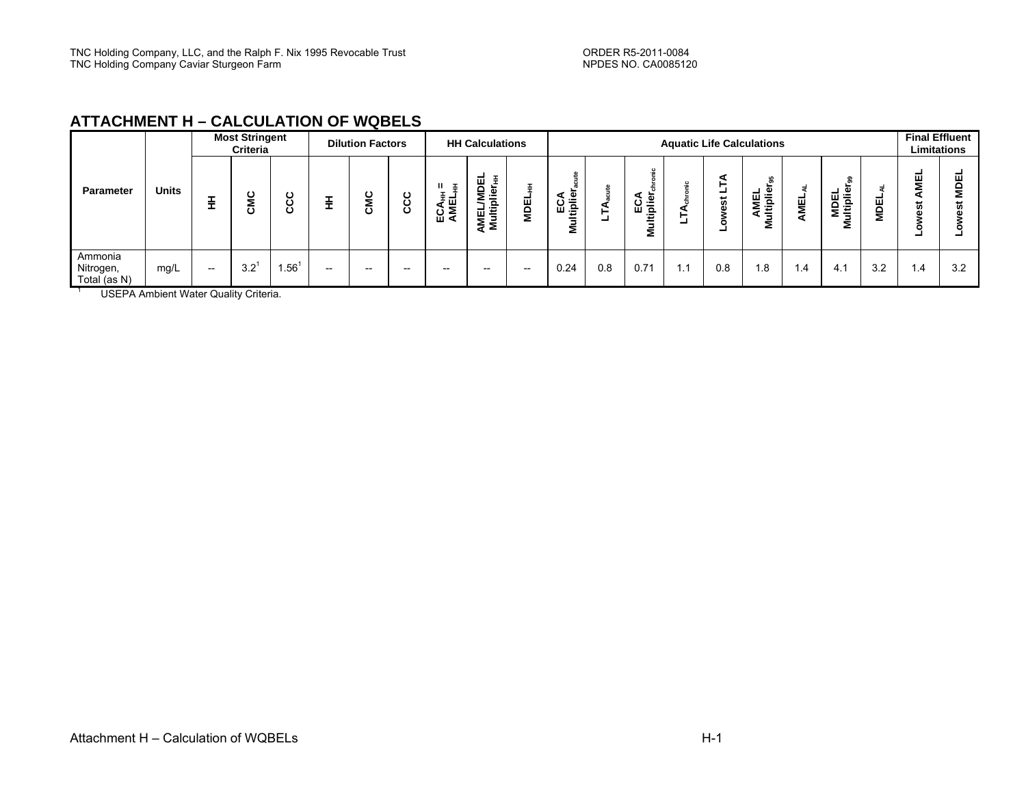### **ATTACHMENT H – CALCULATION OF WQBELS**

|                                                                                              | <b>Most Stringent</b><br>Criteria     |             |             | <b>Dilution Factors</b> |                                       | <b>HH Calculations</b> |                                |                                        | <b>Aquatic Life Calculations</b> |                         |     |                     |     |                   |                                   |             |                                        | <b>Final Effluent</b><br>Limitations |             |     |
|----------------------------------------------------------------------------------------------|---------------------------------------|-------------|-------------|-------------------------|---------------------------------------|------------------------|--------------------------------|----------------------------------------|----------------------------------|-------------------------|-----|---------------------|-----|-------------------|-----------------------------------|-------------|----------------------------------------|--------------------------------------|-------------|-----|
| <b>Units</b><br>Parameter                                                                    | ÷                                     | ပ<br>Σ<br>ပ | ပ<br>ల<br>Ō |                         | CMC                                   | ပ<br>ပ္ပ               | 졸<br>ECA <sub>HH</sub><br>AMEL | 핌<br>Ŧ.<br>EL/M<br>Iltiplie<br>a<br>M⊒ | <b>MDEL</b>                      | ECA<br>tiplie<br>◀<br>Σ | -   | ပ် ≞<br>ш<br>௨<br>Σ |     | ⋖<br>5<br>۵۱<br>- | 볾<br><b>AMEL</b><br>ultiplie<br>2 | <b>AMEL</b> | $\sigma$<br>Φ<br>훤<br>ш<br>÷<br>≞<br>Σ | <b>MDEL</b>                          | ᇤ<br>Σ<br>m |     |
| Ammonia<br>Nitrogen,<br>mg/L<br>Total (as N)<br><b>LICEDA Ambient Water Quality Criteria</b> | $\hspace{0.05cm}$ – $\hspace{0.05cm}$ | 3.2         | $.56^{1}$   | $- -$                   | $\hspace{0.05cm}$ – $\hspace{0.05cm}$ | $- -$                  | $- -$                          | $- -$                                  | $- -$                            | 0.24                    | 0.8 | 0.71                | 1.1 | 0.8               | l.8                               | 1.4         | 4.1                                    | 3.2                                  | . . 4       | 3.2 |

USEPA Ambient Water Quality Criteria.